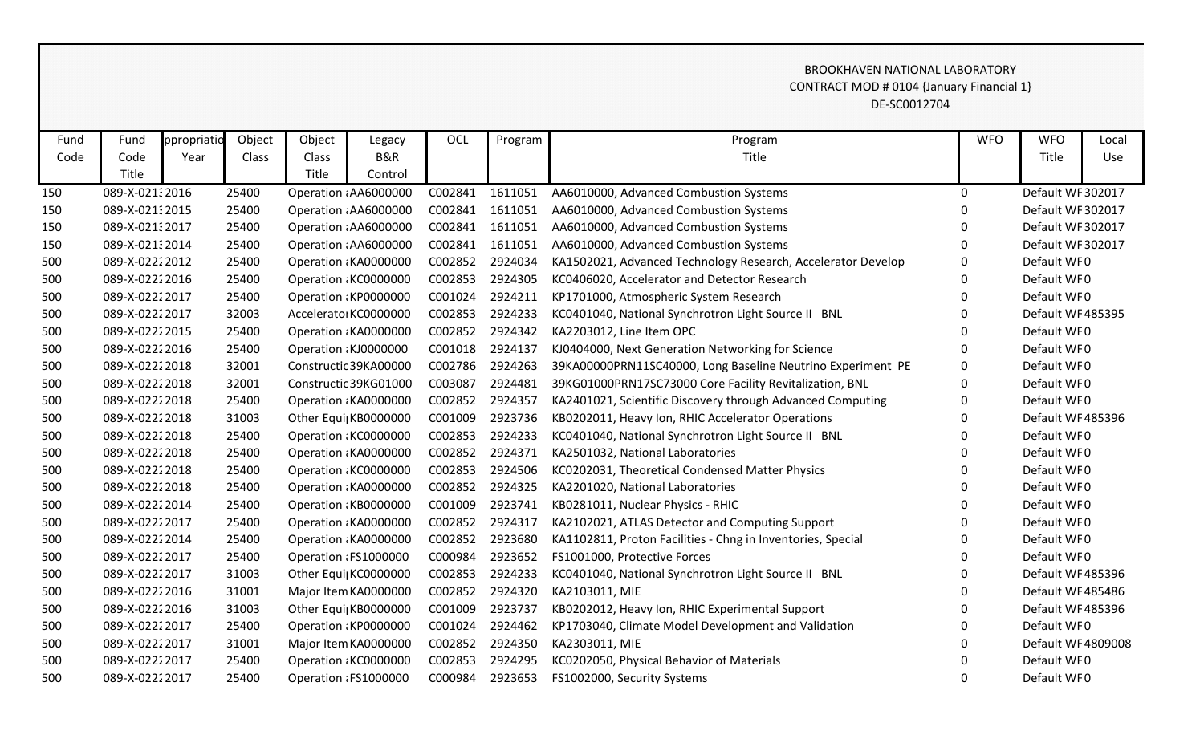## DE-SC0012704 CONTRACT MOD # 0104 {January Financial 1} BROOKHAVEN NATIONAL LABORATORY

| Fund | Fund            | ppropriatio | Object | Object | Legacy                | OCL     | Program | Program                                                      | <b>WFO</b>  | <b>WFO</b>         | Local |
|------|-----------------|-------------|--------|--------|-----------------------|---------|---------|--------------------------------------------------------------|-------------|--------------------|-------|
| Code | Code            | Year        | Class  | Class  | B&R                   |         |         | Title                                                        |             | Title              | Use   |
|      | Title           |             |        | Title  | Control               |         |         |                                                              |             |                    |       |
| 150  | 089-X-021:2016  |             | 25400  |        | Operation : AA6000000 | C002841 | 1611051 | AA6010000, Advanced Combustion Systems                       | $\mathbf 0$ | Default WF 302017  |       |
| 150  | 089-X-0213 2015 |             | 25400  |        | Operation : AA6000000 | C002841 | 1611051 | AA6010000, Advanced Combustion Systems                       | 0           | Default WF 302017  |       |
| 150  | 089-X-021:2017  |             | 25400  |        | Operation : AA6000000 | C002841 | 1611051 | AA6010000, Advanced Combustion Systems                       | $\Omega$    | Default WF 302017  |       |
| 150  | 089-X-021:2014  |             | 25400  |        | Operation : AA6000000 | C002841 | 1611051 | AA6010000, Advanced Combustion Systems                       | 0           | Default WF 302017  |       |
| 500  | 089-X-02222012  |             | 25400  |        | Operation: KA0000000  | C002852 | 2924034 | KA1502021, Advanced Technology Research, Accelerator Develop | 0           | Default WF0        |       |
| 500  | 089-X-02222016  |             | 25400  |        | Operation: KC0000000  | C002853 | 2924305 | KC0406020, Accelerator and Detector Research                 | $\Omega$    | Default WF0        |       |
| 500  | 089-X-02222017  |             | 25400  |        | Operation: KP0000000  | C001024 | 2924211 | KP1701000, Atmospheric System Research                       | 0           | Default WF0        |       |
| 500  | 089-X-02222017  |             | 32003  |        | Accelerato KC0000000  | C002853 | 2924233 | KC0401040, National Synchrotron Light Source II BNL          | 0           | Default WF485395   |       |
| 500  | 089-X-02222015  |             | 25400  |        | Operation: KA0000000  | C002852 | 2924342 | KA2203012, Line Item OPC                                     | $\Omega$    | Default WF0        |       |
| 500  | 089-X-02222016  |             | 25400  |        | Operation : KJ0000000 | C001018 | 2924137 | KJ0404000, Next Generation Networking for Science            | 0           | Default WF0        |       |
| 500  | 089-X-02222018  |             | 32001  |        | Constructic 39KA00000 | C002786 | 2924263 | 39KA00000PRN11SC40000, Long Baseline Neutrino Experiment PE  | 0           | Default WF0        |       |
| 500  | 089-X-02222018  |             | 32001  |        | Constructic 39KG01000 | C003087 | 2924481 | 39KG01000PRN17SC73000 Core Facility Revitalization, BNL      | $\Omega$    | Default WF0        |       |
| 500  | 089-X-02222018  |             | 25400  |        | Operation: KA0000000  | C002852 | 2924357 | KA2401021, Scientific Discovery through Advanced Computing   | 0           | Default WF0        |       |
| 500  | 089-X-02222018  |             | 31003  |        | Other Equi  KB0000000 | C001009 | 2923736 | KB0202011, Heavy Ion, RHIC Accelerator Operations            | 0           | Default WF485396   |       |
| 500  | 089-X-02222018  |             | 25400  |        | Operation: KC0000000  | C002853 | 2924233 | KC0401040, National Synchrotron Light Source II BNL          | 0           | Default WF0        |       |
| 500  | 089-X-02222018  |             | 25400  |        | Operation : KA0000000 | C002852 | 2924371 | KA2501032, National Laboratories                             | $\Omega$    | Default WF0        |       |
| 500  | 089-X-02222018  |             | 25400  |        | Operation: KC0000000  | C002853 | 2924506 | KC0202031, Theoretical Condensed Matter Physics              | 0           | Default WF0        |       |
| 500  | 089-X-02222018  |             | 25400  |        | Operation: KA0000000  | C002852 | 2924325 | KA2201020, National Laboratories                             | $\mathbf 0$ | Default WF0        |       |
| 500  | 089-X-02222014  |             | 25400  |        | Operation: KB0000000  | C001009 | 2923741 | KB0281011, Nuclear Physics - RHIC                            | 0           | Default WF0        |       |
| 500  | 089-X-02222017  |             | 25400  |        | Operation: KA0000000  | C002852 | 2924317 | KA2102021, ATLAS Detector and Computing Support              | 0           | Default WF0        |       |
| 500  | 089-X-02222014  |             | 25400  |        | Operation: KA0000000  | C002852 | 2923680 | KA1102811, Proton Facilities - Chng in Inventories, Special  | 0           | Default WF0        |       |
| 500  | 089-X-02222017  |             | 25400  |        | Operation : FS1000000 | C000984 | 2923652 | FS1001000, Protective Forces                                 | $\Omega$    | Default WF0        |       |
| 500  | 089-X-02222017  |             | 31003  |        | Other Equi  KC0000000 | C002853 | 2924233 | KC0401040, National Synchrotron Light Source II BNL          | 0           | Default WF485396   |       |
| 500  | 089-X-02222016  |             | 31001  |        | Major Item KA0000000  | C002852 | 2924320 | KA2103011, MIE                                               | 0           | Default WF 485486  |       |
| 500  | 089-X-02222016  |             | 31003  |        | Other Equi  KB0000000 | C001009 | 2923737 | KB0202012, Heavy Ion, RHIC Experimental Support              | $\Omega$    | Default WF485396   |       |
| 500  | 089-X-02222017  |             | 25400  |        | Operation: KP0000000  | C001024 | 2924462 | KP1703040, Climate Model Development and Validation          | 0           | Default WF0        |       |
| 500  | 089-X-02222017  |             | 31001  |        | Major Item KA0000000  | C002852 | 2924350 | KA2303011, MIE                                               | 0           | Default WF 4809008 |       |
| 500  | 089-X-02222017  |             | 25400  |        | Operation: KC0000000  | C002853 | 2924295 | KC0202050, Physical Behavior of Materials                    | 0           | Default WF0        |       |
| 500  | 089-X-02222017  |             | 25400  |        | Operation : FS1000000 | C000984 | 2923653 | FS1002000, Security Systems                                  | $\Omega$    | Default WF0        |       |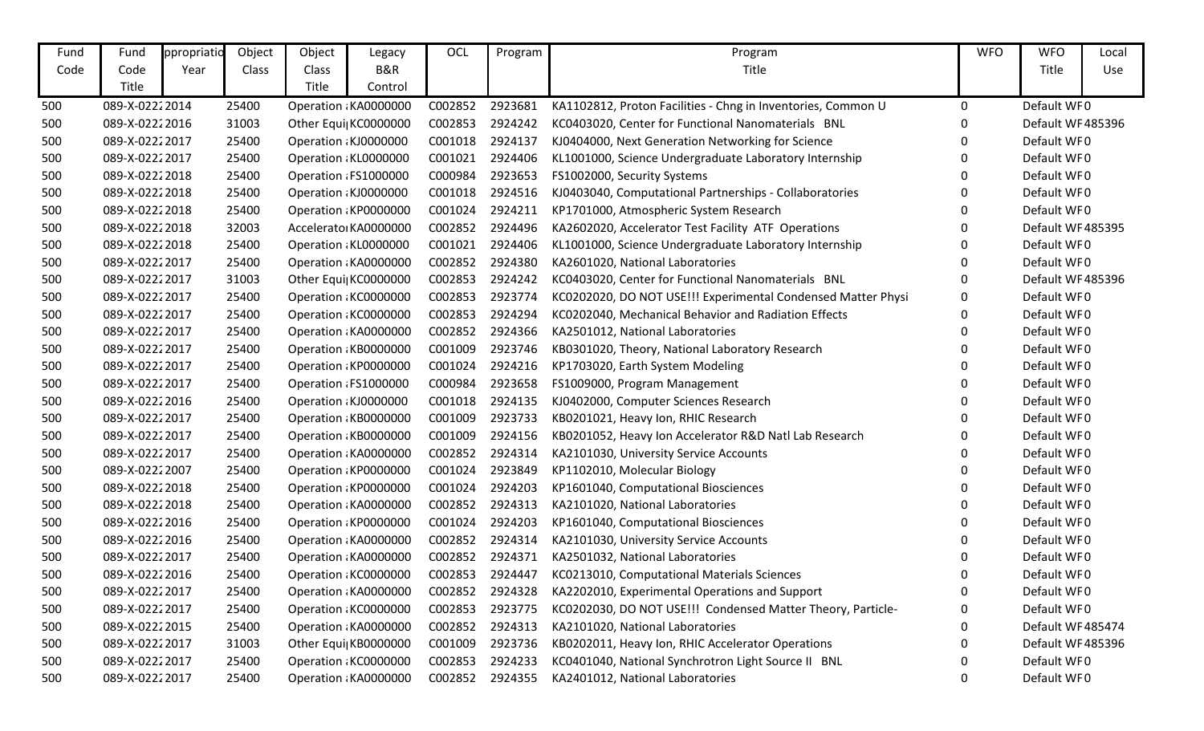| Fund | Fund           | ppropriatio | Object | Object | Legacy                | OCL     | Program | Program                                                      | <b>WFO</b> | <b>WFO</b>        | Local |
|------|----------------|-------------|--------|--------|-----------------------|---------|---------|--------------------------------------------------------------|------------|-------------------|-------|
| Code | Code           | Year        | Class  | Class  | B&R                   |         |         | Title                                                        |            | Title             | Use   |
|      | Title          |             |        | Title  | Control               |         |         |                                                              |            |                   |       |
| 500  | 089-X-02222014 |             | 25400  |        | Operation : KA0000000 | C002852 | 2923681 | KA1102812, Proton Facilities - Chng in Inventories, Common U | 0          | Default WF0       |       |
| 500  | 089-X-02222016 |             | 31003  |        | Other Equi  KC0000000 | C002853 | 2924242 | KC0403020, Center for Functional Nanomaterials BNL           | 0          | Default WF485396  |       |
| 500  | 089-X-02222017 |             | 25400  |        | Operation : KJ0000000 | C001018 | 2924137 | KJ0404000, Next Generation Networking for Science            |            | Default WF0       |       |
| 500  | 089-X-02222017 |             | 25400  |        | Operation: KL0000000  | C001021 | 2924406 | KL1001000, Science Undergraduate Laboratory Internship       | 0          | Default WF0       |       |
| 500  | 089-X-02222018 |             | 25400  |        | Operation : FS1000000 | C000984 | 2923653 | FS1002000, Security Systems                                  | 0          | Default WF0       |       |
| 500  | 089-X-02222018 |             | 25400  |        | Operation : KJ0000000 | C001018 | 2924516 | KJ0403040, Computational Partnerships - Collaboratories      | 0          | Default WF0       |       |
| 500  | 089-X-02222018 |             | 25400  |        | Operation KP0000000   | C001024 | 2924211 | KP1701000, Atmospheric System Research                       | 0          | Default WF0       |       |
| 500  | 089-X-02222018 |             | 32003  |        | Accelerato KA0000000  | C002852 | 2924496 | KA2602020, Accelerator Test Facility ATF Operations          | 0          | Default WF485395  |       |
| 500  | 089-X-02222018 |             | 25400  |        | Operation: KL0000000  | C001021 | 2924406 | KL1001000, Science Undergraduate Laboratory Internship       | 0          | Default WF0       |       |
| 500  | 089-X-02222017 |             | 25400  |        | Operation : KA0000000 | C002852 | 2924380 | KA2601020, National Laboratories                             | 0          | Default WF0       |       |
| 500  | 089-X-02222017 |             | 31003  |        | Other Equi  KC0000000 | C002853 | 2924242 | KC0403020, Center for Functional Nanomaterials BNL           | 0          | Default WF485396  |       |
| 500  | 089-X-02222017 |             | 25400  |        | Operation KC0000000   | C002853 | 2923774 | KC0202020, DO NOT USE!!! Experimental Condensed Matter Physi | 0          | Default WF0       |       |
| 500  | 089-X-02222017 |             | 25400  |        | Operation: KC0000000  | C002853 | 2924294 | KC0202040, Mechanical Behavior and Radiation Effects         | 0          | Default WF0       |       |
| 500  | 089-X-02222017 |             | 25400  |        | Operation : KA0000000 | C002852 | 2924366 | KA2501012, National Laboratories                             | 0          | Default WF0       |       |
| 500  | 089-X-02222017 |             | 25400  |        | Operation: KB0000000  | C001009 | 2923746 | KB0301020, Theory, National Laboratory Research              | 0          | Default WF0       |       |
| 500  | 089-X-02222017 |             | 25400  |        | Operation KP0000000   | C001024 | 2924216 | KP1703020, Earth System Modeling                             | 0          | Default WF0       |       |
| 500  | 089-X-02222017 |             | 25400  |        | Operation: FS1000000  | C000984 | 2923658 | FS1009000, Program Management                                | 0          | Default WF0       |       |
| 500  | 089-X-02222016 |             | 25400  |        | Operation : KJ0000000 | C001018 | 2924135 | KJ0402000, Computer Sciences Research                        | 0          | Default WF0       |       |
| 500  | 089-X-02222017 |             | 25400  |        | Operation KB0000000   | C001009 | 2923733 | KB0201021, Heavy Ion, RHIC Research                          | 0          | Default WF0       |       |
| 500  | 089-X-02222017 |             | 25400  |        | Operation: KB0000000  | C001009 | 2924156 | KB0201052, Heavy Ion Accelerator R&D Natl Lab Research       | 0          | Default WF0       |       |
| 500  | 089-X-02222017 |             | 25400  |        | Operation : KA0000000 | C002852 | 2924314 | KA2101030, University Service Accounts                       | 0          | Default WF0       |       |
| 500  | 089-X-02222007 |             | 25400  |        | Operation KP0000000   | C001024 | 2923849 | KP1102010, Molecular Biology                                 | 0          | Default WF0       |       |
| 500  | 089-X-02222018 |             | 25400  |        | Operation KP0000000   | C001024 | 2924203 | KP1601040, Computational Biosciences                         | 0          | Default WF0       |       |
| 500  | 089-X-02222018 |             | 25400  |        | Operation : KA0000000 | C002852 | 2924313 | KA2101020, National Laboratories                             | 0          | Default WF0       |       |
| 500  | 089-X-02222016 |             | 25400  |        | Operation KP0000000   | C001024 | 2924203 | KP1601040, Computational Biosciences                         | 0          | Default WF0       |       |
| 500  | 089-X-02222016 |             | 25400  |        | Operation : KA0000000 | C002852 | 2924314 | KA2101030, University Service Accounts                       | 0          | Default WF0       |       |
| 500  | 089-X-02222017 |             | 25400  |        | Operation : KA0000000 | C002852 | 2924371 | KA2501032, National Laboratories                             | 0          | Default WF0       |       |
| 500  | 089-X-02222016 |             | 25400  |        | Operation : KC0000000 | C002853 | 2924447 | KC0213010, Computational Materials Sciences                  | n          | Default WF0       |       |
| 500  | 089-X-02222017 |             | 25400  |        | Operation : KA0000000 | C002852 | 2924328 | KA2202010, Experimental Operations and Support               | 0          | Default WF0       |       |
| 500  | 089-X-02222017 |             | 25400  |        | Operation KC0000000   | C002853 | 2923775 | KC0202030, DO NOT USE!!! Condensed Matter Theory, Particle-  | 0          | Default WF0       |       |
| 500  | 089-X-02222015 |             | 25400  |        | Operation : KA0000000 | C002852 | 2924313 | KA2101020, National Laboratories                             |            | Default WF 485474 |       |
| 500  | 089-X-02222017 |             | 31003  |        | Other Equi  KB0000000 | C001009 | 2923736 | KB0202011, Heavy Ion, RHIC Accelerator Operations            |            | Default WF485396  |       |
| 500  | 089-X-02222017 |             | 25400  |        | Operation KC0000000   | C002853 | 2924233 | KC0401040, National Synchrotron Light Source II BNL          |            | Default WF0       |       |
| 500  | 089-X-02222017 |             | 25400  |        | Operation : KA0000000 | C002852 | 2924355 | KA2401012, National Laboratories                             | 0          | Default WF0       |       |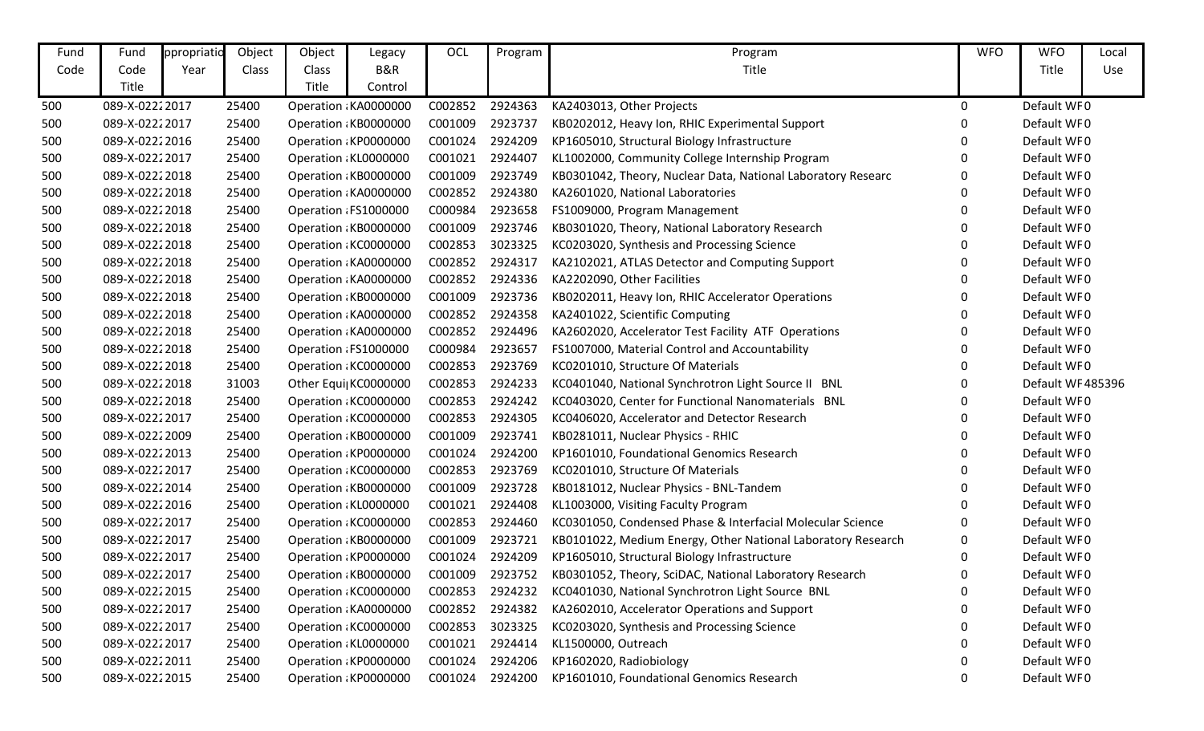| Fund | Fund           | ppropriatio | Object | Object | Legacy                | OCL     | Program | Program                                                      | <b>WFO</b> | <b>WFO</b>       | Local |
|------|----------------|-------------|--------|--------|-----------------------|---------|---------|--------------------------------------------------------------|------------|------------------|-------|
| Code | Code           | Year        | Class  | Class  | B&R                   |         |         | Title                                                        |            | Title            | Use   |
|      | Title          |             |        | Title  | Control               |         |         |                                                              |            |                  |       |
| 500  | 089-X-02222017 |             | 25400  |        | Operation : KA0000000 | C002852 | 2924363 | KA2403013, Other Projects                                    | 0          | Default WF0      |       |
| 500  | 089-X-02222017 |             | 25400  |        | Operation: KB0000000  | C001009 | 2923737 | KB0202012, Heavy Ion, RHIC Experimental Support              | 0          | Default WF0      |       |
| 500  | 089-X-02222016 |             | 25400  |        | Operation : KP0000000 | C001024 | 2924209 | KP1605010, Structural Biology Infrastructure                 | 0          | Default WF0      |       |
| 500  | 089-X-02222017 |             | 25400  |        | Operation KL0000000   | C001021 | 2924407 | KL1002000, Community College Internship Program              | 0          | Default WF0      |       |
| 500  | 089-X-02222018 |             | 25400  |        | Operation: KB0000000  | C001009 | 2923749 | KB0301042, Theory, Nuclear Data, National Laboratory Researc | 0          | Default WF0      |       |
| 500  | 089-X-02222018 |             | 25400  |        | Operation : KA0000000 | C002852 | 2924380 | KA2601020, National Laboratories                             | O          | Default WF0      |       |
| 500  | 089-X-02222018 |             | 25400  |        | Operation : FS1000000 | C000984 | 2923658 | FS1009000, Program Management                                | 0          | Default WF0      |       |
| 500  | 089-X-02222018 |             | 25400  |        | Operation: KB0000000  | C001009 | 2923746 | KB0301020, Theory, National Laboratory Research              | 0          | Default WF0      |       |
| 500  | 089-X-02222018 |             | 25400  |        | Operation: KC0000000  | C002853 | 3023325 | KC0203020, Synthesis and Processing Science                  | 0          | Default WF0      |       |
| 500  | 089-X-02222018 |             | 25400  |        | Operation : KA0000000 | C002852 | 2924317 | KA2102021, ATLAS Detector and Computing Support              | 0          | Default WF0      |       |
| 500  | 089-X-02222018 |             | 25400  |        | Operation : KA0000000 | C002852 | 2924336 | KA2202090, Other Facilities                                  | 0          | Default WF0      |       |
| 500  | 089-X-02222018 |             | 25400  |        | Operation: KB0000000  | C001009 | 2923736 | KB0202011, Heavy Ion, RHIC Accelerator Operations            | 0          | Default WF0      |       |
| 500  | 089-X-02222018 |             | 25400  |        | Operation: KA0000000  | C002852 | 2924358 | KA2401022, Scientific Computing                              | 0          | Default WF0      |       |
| 500  | 089-X-02222018 |             | 25400  |        | Operation: KA0000000  | C002852 | 2924496 | KA2602020, Accelerator Test Facility ATF Operations          | 0          | Default WF0      |       |
| 500  | 089-X-02222018 |             | 25400  |        | Operation : FS1000000 | C000984 | 2923657 | FS1007000, Material Control and Accountability               | 0          | Default WF0      |       |
| 500  | 089-X-02222018 |             | 25400  |        | Operation: KC0000000  | C002853 | 2923769 | KC0201010, Structure Of Materials                            | 0          | Default WF0      |       |
| 500  | 089-X-02222018 |             | 31003  |        | Other Equi  KC0000000 | C002853 | 2924233 | KC0401040, National Synchrotron Light Source II BNL          | 0          | Default WF485396 |       |
| 500  | 089-X-02222018 |             | 25400  |        | Operation: KC0000000  | C002853 | 2924242 | KC0403020, Center for Functional Nanomaterials BNL           | 0          | Default WF0      |       |
| 500  | 089-X-02222017 |             | 25400  |        | Operation: KC0000000  | C002853 | 2924305 | KC0406020, Accelerator and Detector Research                 | 0          | Default WF0      |       |
| 500  | 089-X-02222009 |             | 25400  |        | Operation: KB0000000  | C001009 | 2923741 | KB0281011, Nuclear Physics - RHIC                            | 0          | Default WF0      |       |
| 500  | 089-X-02222013 |             | 25400  |        | Operation: KP0000000  | C001024 | 2924200 | KP1601010, Foundational Genomics Research                    | 0          | Default WF0      |       |
| 500  | 089-X-02222017 |             | 25400  |        | Operation : KC0000000 | C002853 | 2923769 | KC0201010, Structure Of Materials                            | 0          | Default WF0      |       |
| 500  | 089-X-02222014 |             | 25400  |        | Operation: KB0000000  | C001009 | 2923728 | KB0181012, Nuclear Physics - BNL-Tandem                      | 0          | Default WF0      |       |
| 500  | 089-X-02222016 |             | 25400  |        | Operation : KL0000000 | C001021 | 2924408 | KL1003000, Visiting Faculty Program                          | 0          | Default WF0      |       |
| 500  | 089-X-02222017 |             | 25400  |        | Operation KC0000000   | C002853 | 2924460 | KC0301050, Condensed Phase & Interfacial Molecular Science   | 0          | Default WF0      |       |
| 500  | 089-X-02222017 |             | 25400  |        | Operation: KB0000000  | C001009 | 2923721 | KB0101022, Medium Energy, Other National Laboratory Research | 0          | Default WF0      |       |
| 500  | 089-X-02222017 |             | 25400  |        | Operation: KP0000000  | C001024 | 2924209 | KP1605010, Structural Biology Infrastructure                 | 0          | Default WF0      |       |
| 500  | 089-X-02222017 |             | 25400  |        | Operation : KB0000000 | C001009 | 2923752 | KB0301052, Theory, SciDAC, National Laboratory Research      |            | Default WF0      |       |
| 500  | 089-X-02222015 |             | 25400  |        | Operation : KC0000000 | C002853 | 2924232 | KC0401030, National Synchrotron Light Source BNL             | 0          | Default WF0      |       |
| 500  | 089-X-02222017 |             | 25400  |        | Operation : KA0000000 | C002852 | 2924382 | KA2602010, Accelerator Operations and Support                | 0          | Default WF0      |       |
| 500  | 089-X-02222017 |             | 25400  |        | Operation: KC0000000  | C002853 | 3023325 | KC0203020, Synthesis and Processing Science                  |            | Default WF0      |       |
| 500  | 089-X-02222017 |             | 25400  |        | Operation : KL0000000 | C001021 | 2924414 | KL1500000, Outreach                                          |            | Default WF0      |       |
| 500  | 089-X-02222011 |             | 25400  |        | Operation: KP0000000  | C001024 | 2924206 | KP1602020, Radiobiology                                      |            | Default WF0      |       |
| 500  | 089-X-02222015 |             | 25400  |        | Operation: KP0000000  | C001024 | 2924200 | KP1601010, Foundational Genomics Research                    | 0          | Default WF0      |       |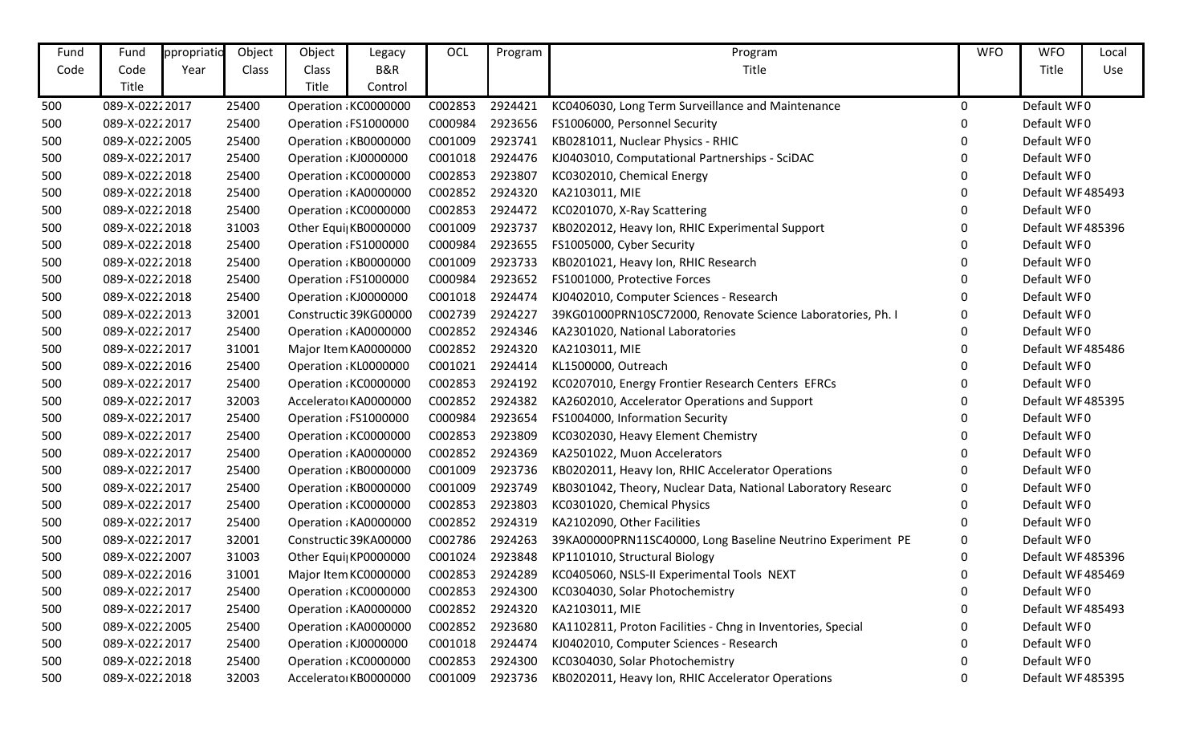| Fund | Fund           | ppropriatio | Object | Object | Legacy                | OCL     | Program | Program                                                      | <b>WFO</b> | <b>WFO</b>        | Local |
|------|----------------|-------------|--------|--------|-----------------------|---------|---------|--------------------------------------------------------------|------------|-------------------|-------|
| Code | Code           | Year        | Class  | Class  | <b>B&amp;R</b>        |         |         | Title                                                        |            | Title             | Use   |
|      | Title          |             |        | Title  | Control               |         |         |                                                              |            |                   |       |
| 500  | 089-X-02222017 |             | 25400  |        | Operation: KC0000000  | C002853 | 2924421 | KC0406030, Long Term Surveillance and Maintenance            | $\Omega$   | Default WF0       |       |
| 500  | 089-X-02222017 |             | 25400  |        | Operation: FS1000000  | C000984 | 2923656 | FS1006000, Personnel Security                                | 0          | Default WF0       |       |
| 500  | 089-X-02222005 |             | 25400  |        | Operation KB0000000   | C001009 | 2923741 | KB0281011, Nuclear Physics - RHIC                            | 0          | Default WF0       |       |
| 500  | 089-X-02222017 |             | 25400  |        | Operation : KJ0000000 | C001018 | 2924476 | KJ0403010, Computational Partnerships - SciDAC               | 0          | Default WF0       |       |
| 500  | 089-X-02222018 |             | 25400  |        | Operation: KC0000000  | C002853 | 2923807 | KC0302010, Chemical Energy                                   | 0          | Default WF0       |       |
| 500  | 089-X-02222018 |             | 25400  |        | Operation : KA0000000 | C002852 | 2924320 | KA2103011, MIE                                               | 0          | Default WF485493  |       |
| 500  | 089-X-02222018 |             | 25400  |        | Operation KC0000000   | C002853 | 2924472 | KC0201070, X-Ray Scattering                                  | 0          | Default WF0       |       |
| 500  | 089-X-02222018 |             | 31003  |        | Other Equi  KB0000000 | C001009 | 2923737 | KB0202012, Heavy Ion, RHIC Experimental Support              | 0          | Default WF485396  |       |
| 500  | 089-X-02222018 |             | 25400  |        | Operation: FS1000000  | C000984 | 2923655 | FS1005000, Cyber Security                                    | 0          | Default WF0       |       |
| 500  | 089-X-02222018 |             | 25400  |        | Operation KB0000000   | C001009 | 2923733 | KB0201021, Heavy Ion, RHIC Research                          | 0          | Default WF0       |       |
| 500  | 089-X-02222018 |             | 25400  |        | Operation: FS1000000  | C000984 | 2923652 | FS1001000, Protective Forces                                 | 0          | Default WF0       |       |
| 500  | 089-X-02222018 |             | 25400  |        | Operation : KJ0000000 | C001018 | 2924474 | KJ0402010, Computer Sciences - Research                      | 0          | Default WF0       |       |
| 500  | 089-X-02222013 |             | 32001  |        | Constructic 39KG00000 | C002739 | 2924227 | 39KG01000PRN10SC72000, Renovate Science Laboratories, Ph. I  | 0          | Default WF0       |       |
| 500  | 089-X-02222017 |             | 25400  |        | Operation : KA0000000 | C002852 | 2924346 | KA2301020, National Laboratories                             | 0          | Default WF0       |       |
| 500  | 089-X-02222017 |             | 31001  |        | Major Item KA0000000  | C002852 | 2924320 | KA2103011, MIE                                               | 0          | Default WF485486  |       |
| 500  | 089-X-02222016 |             | 25400  |        | Operation: KL0000000  | C001021 | 2924414 | KL1500000, Outreach                                          | 0          | Default WF0       |       |
| 500  | 089-X-02222017 |             | 25400  |        | Operation: KC0000000  | C002853 | 2924192 | KC0207010, Energy Frontier Research Centers EFRCs            | 0          | Default WF0       |       |
| 500  | 089-X-02222017 |             | 32003  |        | Accelerato KA0000000  | C002852 | 2924382 | KA2602010, Accelerator Operations and Support                | 0          | Default WF485395  |       |
| 500  | 089-X-02222017 |             | 25400  |        | Operation: FS1000000  | C000984 | 2923654 | FS1004000, Information Security                              | 0          | Default WF0       |       |
| 500  | 089-X-02222017 |             | 25400  |        | Operation: KC0000000  | C002853 | 2923809 | KC0302030, Heavy Element Chemistry                           | 0          | Default WF0       |       |
| 500  | 089-X-02222017 |             | 25400  |        | Operation : KA0000000 | C002852 | 2924369 | KA2501022, Muon Accelerators                                 | 0          | Default WF0       |       |
| 500  | 089-X-02222017 |             | 25400  |        | Operation KB0000000   | C001009 | 2923736 | KB0202011, Heavy Ion, RHIC Accelerator Operations            | 0          | Default WF0       |       |
| 500  | 089-X-02222017 |             | 25400  |        | Operation: KB0000000  | C001009 | 2923749 | KB0301042, Theory, Nuclear Data, National Laboratory Researc | 0          | Default WF0       |       |
| 500  | 089-X-02222017 |             | 25400  |        | Operation: KC0000000  | C002853 | 2923803 | KC0301020, Chemical Physics                                  | 0          | Default WF0       |       |
| 500  | 089-X-02222017 |             | 25400  |        | Operation: KA0000000  | C002852 | 2924319 | KA2102090, Other Facilities                                  | 0          | Default WF0       |       |
| 500  | 089-X-02222017 |             | 32001  |        | Constructic 39KA00000 | C002786 | 2924263 | 39KA00000PRN11SC40000, Long Baseline Neutrino Experiment PE  | 0          | Default WF0       |       |
| 500  | 089-X-02222007 |             | 31003  |        | Other Equi  KP0000000 | C001024 | 2923848 | KP1101010, Structural Biology                                | 0          | Default WF485396  |       |
| 500  | 089-X-02222016 |             | 31001  |        | Major Item KC0000000  | C002853 | 2924289 | KC0405060, NSLS-II Experimental Tools NEXT                   | U          | Default WF485469  |       |
| 500  | 089-X-02222017 |             | 25400  |        | Operation : KC0000000 | C002853 | 2924300 | KC0304030, Solar Photochemistry                              | 0          | Default WF0       |       |
| 500  | 089-X-02222017 |             | 25400  |        | Operation : KA0000000 | C002852 | 2924320 | KA2103011, MIE                                               | 0          | Default WF485493  |       |
| 500  | 089-X-02222005 |             | 25400  |        | Operation : KA0000000 | C002852 | 2923680 | KA1102811, Proton Facilities - Chng in Inventories, Special  |            | Default WF0       |       |
| 500  | 089-X-02222017 |             | 25400  |        | Operation : KJ0000000 | C001018 | 2924474 | KJ0402010, Computer Sciences - Research                      |            | Default WF0       |       |
| 500  | 089-X-02222018 |             | 25400  |        | Operation: KC0000000  | C002853 | 2924300 | KC0304030, Solar Photochemistry                              |            | Default WF0       |       |
| 500  | 089-X-02222018 |             | 32003  |        | Accelerato KB0000000  | C001009 | 2923736 | KB0202011, Heavy Ion, RHIC Accelerator Operations            | 0          | Default WF 485395 |       |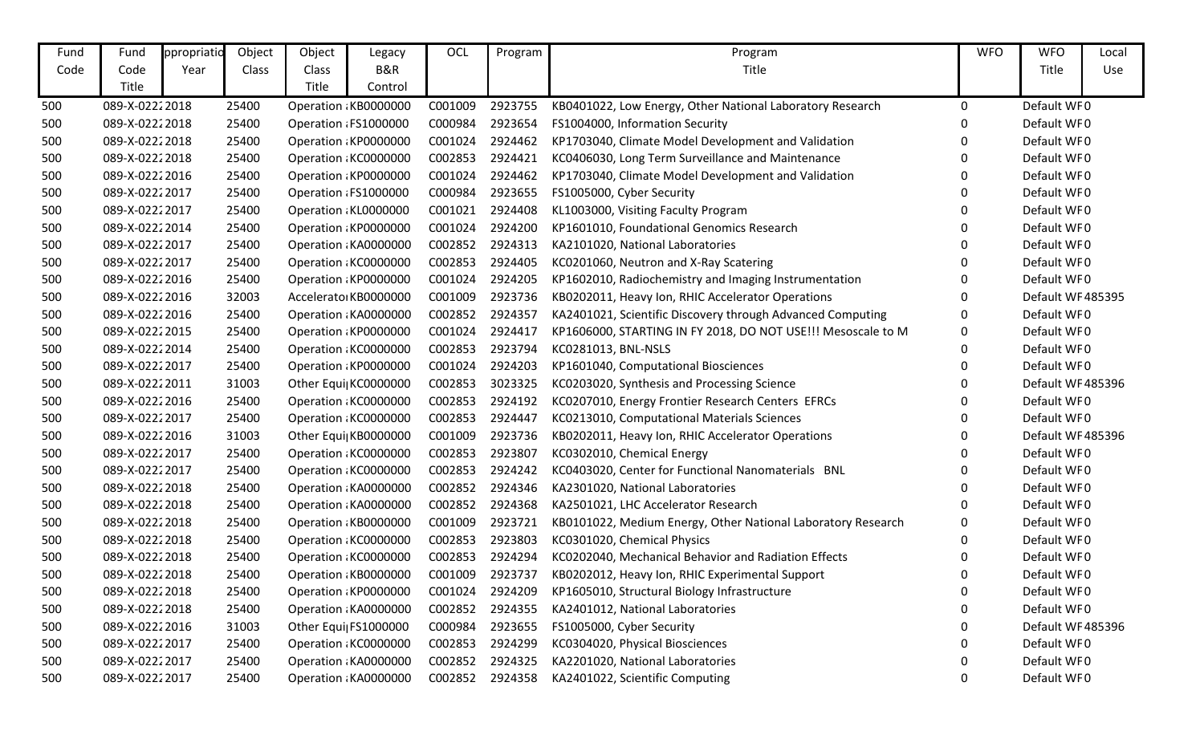| Fund | Fund           | ppropriatio | Object | Object       | Legacy                | OCL     | Program | Program                                                       | <b>WFO</b> | <b>WFO</b>       | Local |
|------|----------------|-------------|--------|--------------|-----------------------|---------|---------|---------------------------------------------------------------|------------|------------------|-------|
| Code | Code           | Year        | Class  | <b>Class</b> | B&R                   |         |         | Title                                                         |            | Title            | Use   |
|      | Title          |             |        | Title        | Control               |         |         |                                                               |            |                  |       |
| 500  | 089-X-02222018 |             | 25400  |              | Operation KB0000000   | C001009 | 2923755 | KB0401022, Low Energy, Other National Laboratory Research     | 0          | Default WF0      |       |
| 500  | 089-X-02222018 |             | 25400  |              | Operation : FS1000000 | C000984 | 2923654 | FS1004000, Information Security                               | 0          | Default WF0      |       |
| 500  | 089-X-02222018 |             | 25400  |              | Operation KP0000000   | C001024 | 2924462 | KP1703040, Climate Model Development and Validation           | 0          | Default WF0      |       |
| 500  | 089-X-02222018 |             | 25400  |              | Operation KC0000000   | C002853 | 2924421 | KC0406030, Long Term Surveillance and Maintenance             | 0          | Default WF0      |       |
| 500  | 089-X-02222016 |             | 25400  |              | Operation KP0000000   | C001024 | 2924462 | KP1703040, Climate Model Development and Validation           | 0          | Default WF0      |       |
| 500  | 089-X-02222017 |             | 25400  |              | Operation : FS1000000 | C000984 | 2923655 | FS1005000, Cyber Security                                     | 0          | Default WF0      |       |
| 500  | 089-X-02222017 |             | 25400  |              | Operation: KL0000000  | C001021 | 2924408 | KL1003000, Visiting Faculty Program                           | 0          | Default WF0      |       |
| 500  | 089-X-02222014 |             | 25400  |              | Operation KP0000000   | C001024 | 2924200 | KP1601010, Foundational Genomics Research                     | 0          | Default WF0      |       |
| 500  | 089-X-02222017 |             | 25400  |              | Operation : KA0000000 | C002852 | 2924313 | KA2101020, National Laboratories                              | 0          | Default WF0      |       |
| 500  | 089-X-02222017 |             | 25400  |              | Operation KC0000000   | C002853 | 2924405 | KC0201060, Neutron and X-Ray Scatering                        | 0          | Default WF0      |       |
| 500  | 089-X-02222016 |             | 25400  |              | Operation KP0000000   | C001024 | 2924205 | KP1602010, Radiochemistry and Imaging Instrumentation         | 0          | Default WF0      |       |
| 500  | 089-X-02222016 |             | 32003  |              | Accelerato KB0000000  | C001009 | 2923736 | KB0202011, Heavy Ion, RHIC Accelerator Operations             | 0          | Default WF485395 |       |
| 500  | 089-X-02222016 |             | 25400  |              | Operation: KA0000000  | C002852 | 2924357 | KA2401021, Scientific Discovery through Advanced Computing    | 0          | Default WF0      |       |
| 500  | 089-X-02222015 |             | 25400  |              | Operation KP0000000   | C001024 | 2924417 | KP1606000, STARTING IN FY 2018, DO NOT USE !!! Mesoscale to M | 0          | Default WF0      |       |
| 500  | 089-X-02222014 |             | 25400  |              | Operation KC0000000   | C002853 | 2923794 | KC0281013, BNL-NSLS                                           | 0          | Default WF0      |       |
| 500  | 089-X-02222017 |             | 25400  |              | Operation: KP0000000  | C001024 | 2924203 | KP1601040, Computational Biosciences                          | 0          | Default WF0      |       |
| 500  | 089-X-02222011 |             | 31003  |              | Other Equi  KC0000000 | C002853 | 3023325 | KC0203020, Synthesis and Processing Science                   | 0          | Default WF485396 |       |
| 500  | 089-X-02222016 |             | 25400  |              | Operation KC0000000   | C002853 | 2924192 | KC0207010, Energy Frontier Research Centers EFRCs             | 0          | Default WF0      |       |
| 500  | 089-X-02222017 |             | 25400  |              | Operation KC0000000   | C002853 | 2924447 | KC0213010, Computational Materials Sciences                   | 0          | Default WF0      |       |
| 500  | 089-X-02222016 |             | 31003  |              | Other Equi  KB0000000 | C001009 | 2923736 | KB0202011, Heavy Ion, RHIC Accelerator Operations             | 0          | Default WF485396 |       |
| 500  | 089-X-02222017 |             | 25400  |              | Operation : KC0000000 | C002853 | 2923807 | KC0302010, Chemical Energy                                    | 0          | Default WF0      |       |
| 500  | 089-X-02222017 |             | 25400  |              | Operation: KC0000000  | C002853 | 2924242 | KC0403020, Center for Functional Nanomaterials BNL            | 0          | Default WF0      |       |
| 500  | 089-X-02222018 |             | 25400  |              | Operation : KA0000000 | C002852 | 2924346 | KA2301020, National Laboratories                              | 0          | Default WF0      |       |
| 500  | 089-X-02222018 |             | 25400  |              | Operation : KA0000000 | C002852 | 2924368 | KA2501021, LHC Accelerator Research                           | 0          | Default WF0      |       |
| 500  | 089-X-02222018 |             | 25400  |              | Operation: KB0000000  | C001009 | 2923721 | KB0101022, Medium Energy, Other National Laboratory Research  | 0          | Default WF0      |       |
| 500  | 089-X-02222018 |             | 25400  |              | Operation: KC0000000  | C002853 | 2923803 | KC0301020, Chemical Physics                                   | 0          | Default WF0      |       |
| 500  | 089-X-02222018 |             | 25400  |              | Operation: KC0000000  | C002853 | 2924294 | KC0202040, Mechanical Behavior and Radiation Effects          |            | Default WF0      |       |
| 500  | 089-X-02222018 |             | 25400  |              | Operation : KB0000000 | C001009 | 2923737 | KB0202012, Heavy Ion, RHIC Experimental Support               |            | Default WF0      |       |
| 500  | 089-X-02222018 |             | 25400  |              | Operation : KP0000000 | C001024 | 2924209 | KP1605010, Structural Biology Infrastructure                  | 0          | Default WF0      |       |
| 500  | 089-X-02222018 |             | 25400  |              | Operation : KA0000000 | C002852 | 2924355 | KA2401012, National Laboratories                              | 0          | Default WF0      |       |
| 500  | 089-X-02222016 |             | 31003  |              | Other Equi FS1000000  | C000984 | 2923655 | FS1005000, Cyber Security                                     |            | Default WF485396 |       |
| 500  | 089-X-02222017 |             | 25400  |              | Operation KC0000000   | C002853 | 2924299 | KC0304020, Physical Biosciences                               |            | Default WF0      |       |
| 500  | 089-X-02222017 |             | 25400  |              | Operation KA0000000   | C002852 | 2924325 | KA2201020, National Laboratories                              |            | Default WF0      |       |
| 500  | 089-X-02222017 |             | 25400  |              | Operation : KA0000000 | C002852 | 2924358 | KA2401022, Scientific Computing                               | 0          | Default WF0      |       |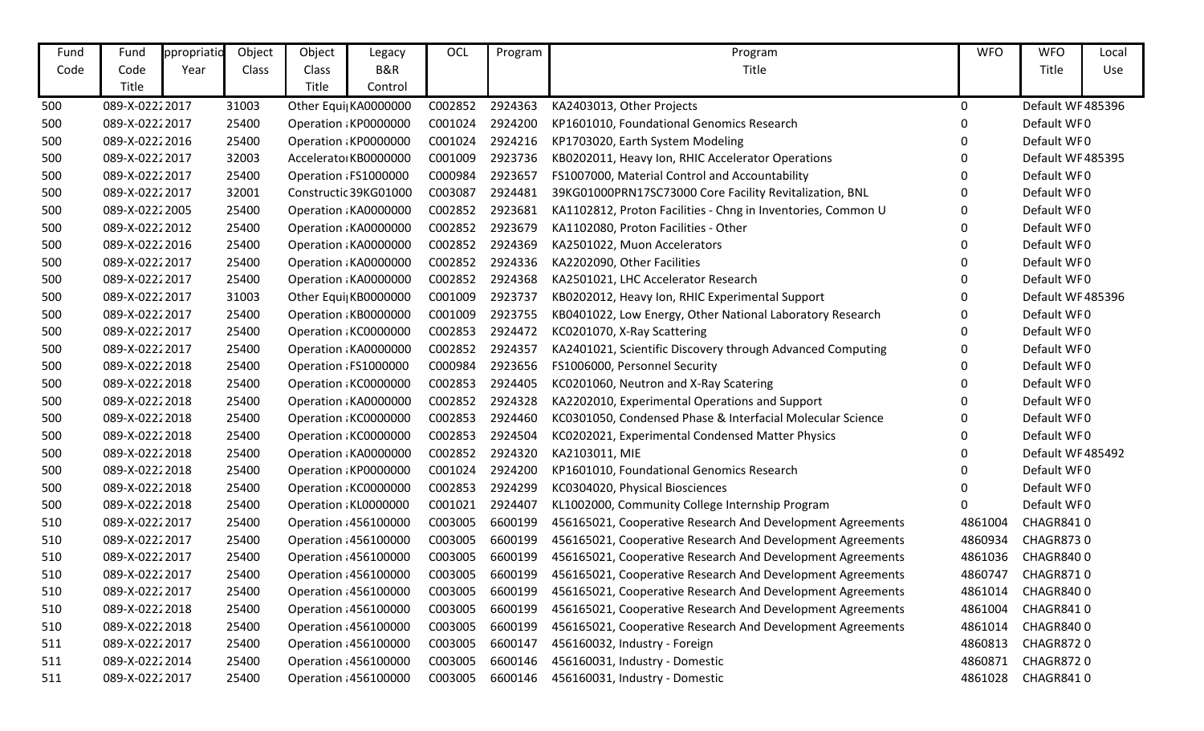| Fund | Fund           | ppropriatio | Object | Object | Legacy                | OCL     | Program | Program                                                      | <b>WFO</b> | <b>WFO</b>        | Local |
|------|----------------|-------------|--------|--------|-----------------------|---------|---------|--------------------------------------------------------------|------------|-------------------|-------|
| Code | Code           | Year        | Class  | Class  | B&R                   |         |         | Title                                                        |            | Title             | Use   |
|      | Title          |             |        | Title  | Control               |         |         |                                                              |            |                   |       |
| 500  | 089-X-02222017 |             | 31003  |        | Other Equi  KA0000000 | C002852 | 2924363 | KA2403013, Other Projects                                    | $\Omega$   | Default WF485396  |       |
| 500  | 089-X-02222017 |             | 25400  |        | Operation : KP0000000 | C001024 | 2924200 | KP1601010, Foundational Genomics Research                    | 0          | Default WF0       |       |
| 500  | 089-X-02222016 |             | 25400  |        | Operation: KP0000000  | C001024 | 2924216 | KP1703020, Earth System Modeling                             | 0          | Default WF0       |       |
| 500  | 089-X-02222017 |             | 32003  |        | Accelerato KB0000000  | C001009 | 2923736 | KB0202011, Heavy Ion, RHIC Accelerator Operations            | 0          | Default WF485395  |       |
| 500  | 089-X-02222017 |             | 25400  |        | Operation : FS1000000 | C000984 | 2923657 | FS1007000, Material Control and Accountability               | 0          | Default WF0       |       |
| 500  | 089-X-02222017 |             | 32001  |        | Constructic 39KG01000 | C003087 | 2924481 | 39KG01000PRN17SC73000 Core Facility Revitalization, BNL      | 0          | Default WF0       |       |
| 500  | 089-X-02222005 |             | 25400  |        | Operation : KA0000000 | C002852 | 2923681 | KA1102812, Proton Facilities - Chng in Inventories, Common U | 0          | Default WF0       |       |
| 500  | 089-X-02222012 |             | 25400  |        | Operation KA0000000   | C002852 | 2923679 | KA1102080, Proton Facilities - Other                         | 0          | Default WF0       |       |
| 500  | 089-X-02222016 |             | 25400  |        | Operation : KA0000000 | C002852 | 2924369 | KA2501022, Muon Accelerators                                 | 0          | Default WF0       |       |
| 500  | 089-X-02222017 |             | 25400  |        | Operation : KA0000000 | C002852 | 2924336 | KA2202090, Other Facilities                                  | 0          | Default WF0       |       |
| 500  | 089-X-02222017 |             | 25400  |        | Operation : KA0000000 | C002852 | 2924368 | KA2501021, LHC Accelerator Research                          | 0          | Default WF0       |       |
| 500  | 089-X-02222017 |             | 31003  |        | Other Equi KB0000000  | C001009 | 2923737 | KB0202012, Heavy Ion, RHIC Experimental Support              | 0          | Default WF485396  |       |
| 500  | 089-X-02222017 |             | 25400  |        | Operation : KB0000000 | C001009 | 2923755 | KB0401022, Low Energy, Other National Laboratory Research    | 0          | Default WF0       |       |
| 500  | 089-X-02222017 |             | 25400  |        | Operation: KC0000000  | C002853 | 2924472 | KC0201070, X-Ray Scattering                                  | 0          | Default WF0       |       |
| 500  | 089-X-02222017 |             | 25400  |        | Operation: KA0000000  | C002852 | 2924357 | KA2401021, Scientific Discovery through Advanced Computing   | 0          | Default WF0       |       |
| 500  | 089-X-02222018 |             | 25400  |        | Operation : FS1000000 | C000984 | 2923656 | FS1006000, Personnel Security                                | 0          | Default WF0       |       |
| 500  | 089-X-02222018 |             | 25400  |        | Operation KC0000000   | C002853 | 2924405 | KC0201060, Neutron and X-Ray Scatering                       | 0          | Default WF0       |       |
| 500  | 089-X-02222018 |             | 25400  |        | Operation : KA0000000 | C002852 | 2924328 | KA2202010, Experimental Operations and Support               | 0          | Default WF0       |       |
| 500  | 089-X-02222018 |             | 25400  |        | Operation KC0000000   | C002853 | 2924460 | KC0301050, Condensed Phase & Interfacial Molecular Science   | 0          | Default WF0       |       |
| 500  | 089-X-02222018 |             | 25400  |        | Operation KC0000000   | C002853 | 2924504 | KC0202021, Experimental Condensed Matter Physics             | 0          | Default WF0       |       |
| 500  | 089-X-02222018 |             | 25400  |        | Operation : KA0000000 | C002852 | 2924320 | KA2103011, MIE                                               | 0          | Default WF485492  |       |
| 500  | 089-X-02222018 |             | 25400  |        | Operation: KP0000000  | C001024 | 2924200 | KP1601010, Foundational Genomics Research                    | 0          | Default WF0       |       |
| 500  | 089-X-02222018 |             | 25400  |        | Operation: KC0000000  | C002853 | 2924299 | KC0304020, Physical Biosciences                              | 0          | Default WF0       |       |
| 500  | 089-X-02222018 |             | 25400  |        | Operation : KL0000000 | C001021 | 2924407 | KL1002000, Community College Internship Program              | 0          | Default WF0       |       |
| 510  | 089-X-02222017 |             | 25400  |        | Operation : 456100000 | C003005 | 6600199 | 456165021, Cooperative Research And Development Agreements   | 4861004    | CHAGR8410         |       |
| 510  | 089-X-02222017 |             | 25400  |        | Operation : 456100000 | C003005 | 6600199 | 456165021, Cooperative Research And Development Agreements   | 4860934    | CHAGR8730         |       |
| 510  | 089-X-02222017 |             | 25400  |        | Operation : 456100000 | C003005 | 6600199 | 456165021, Cooperative Research And Development Agreements   | 4861036    | <b>CHAGR8400</b>  |       |
| 510  | 089-X-02222017 |             | 25400  |        | Operation : 456100000 | C003005 | 6600199 | 456165021, Cooperative Research And Development Agreements   |            | 4860747 CHAGR8710 |       |
| 510  | 089-X-02222017 |             | 25400  |        | Operation 456100000   | C003005 | 6600199 | 456165021, Cooperative Research And Development Agreements   | 4861014    | CHAGR8400         |       |
| 510  | 089-X-02222018 |             | 25400  |        | Operation : 456100000 | C003005 | 6600199 | 456165021, Cooperative Research And Development Agreements   | 4861004    | <b>CHAGR8410</b>  |       |
| 510  | 089-X-02222018 |             | 25400  |        | Operation : 456100000 | C003005 | 6600199 | 456165021, Cooperative Research And Development Agreements   | 4861014    | CHAGR8400         |       |
| 511  | 089-X-02222017 |             | 25400  |        | Operation : 456100000 | C003005 | 6600147 | 456160032, Industry - Foreign                                | 4860813    | CHAGR8720         |       |
| 511  | 089-X-02222014 |             | 25400  |        | Operation : 456100000 | C003005 | 6600146 | 456160031, Industry - Domestic                               | 4860871    | CHAGR8720         |       |
| 511  | 089-X-02222017 |             | 25400  |        | Operation : 456100000 | C003005 | 6600146 | 456160031, Industry - Domestic                               | 4861028    | CHAGR8410         |       |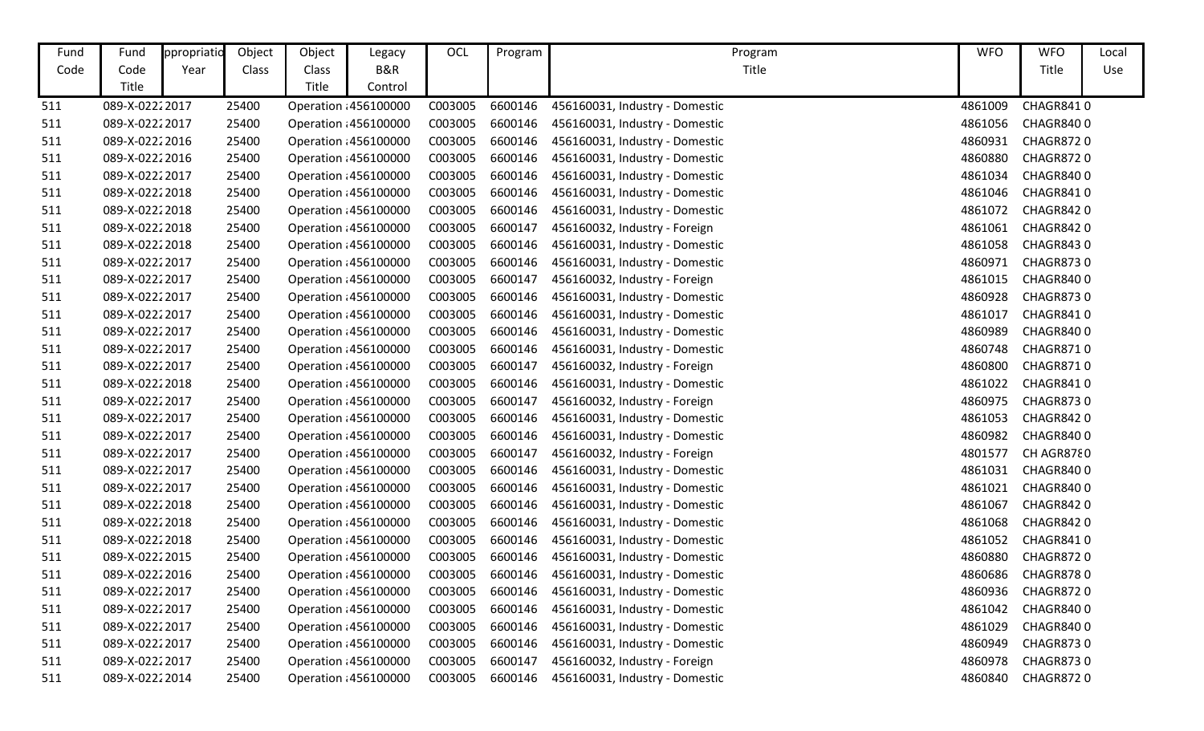| Fund | Fund           | ppropriatio | Object | Object | Legacy                | OCL     | Program | Program                        | <b>WFO</b> | <b>WFO</b>       | Local |
|------|----------------|-------------|--------|--------|-----------------------|---------|---------|--------------------------------|------------|------------------|-------|
| Code | Code           | Year        | Class  | Class  | B&R                   |         |         | Title                          |            | Title            | Use   |
|      | Title          |             |        | Title  | Control               |         |         |                                |            |                  |       |
| 511  | 089-X-02222017 |             | 25400  |        | Operation : 456100000 | C003005 | 6600146 | 456160031, Industry - Domestic | 4861009    | CHAGR8410        |       |
| 511  | 089-X-02222017 |             | 25400  |        | Operation : 456100000 | C003005 | 6600146 | 456160031, Industry - Domestic | 4861056    | CHAGR8400        |       |
| 511  | 089-X-02222016 |             | 25400  |        | Operation : 456100000 | C003005 | 6600146 | 456160031, Industry - Domestic | 4860931    | <b>CHAGR8720</b> |       |
| 511  | 089-X-02222016 |             | 25400  |        | Operation : 456100000 | C003005 | 6600146 | 456160031, Industry - Domestic | 4860880    | CHAGR8720        |       |
| 511  | 089-X-02222017 |             | 25400  |        | Operation 456100000   | C003005 | 6600146 | 456160031, Industry - Domestic | 4861034    | CHAGR8400        |       |
| 511  | 089-X-02222018 |             | 25400  |        | Operation : 456100000 | C003005 | 6600146 | 456160031, Industry - Domestic | 4861046    | CHAGR8410        |       |
| 511  | 089-X-02222018 |             | 25400  |        | Operation : 456100000 | C003005 | 6600146 | 456160031, Industry - Domestic | 4861072    | CHAGR8420        |       |
| 511  | 089-X-02222018 |             | 25400  |        | Operation 456100000   | C003005 | 6600147 | 456160032, Industry - Foreign  | 4861061    | CHAGR8420        |       |
| 511  | 089-X-02222018 |             | 25400  |        | Operation : 456100000 | C003005 | 6600146 | 456160031, Industry - Domestic | 4861058    | CHAGR8430        |       |
| 511  | 089-X-02222017 |             | 25400  |        | Operation : 456100000 | C003005 | 6600146 | 456160031, Industry - Domestic | 4860971    | <b>CHAGR8730</b> |       |
| 511  | 089-X-02222017 |             | 25400  |        | Operation : 456100000 | C003005 | 6600147 | 456160032, Industry - Foreign  | 4861015    | <b>CHAGR8400</b> |       |
| 511  | 089-X-02222017 |             | 25400  |        | Operation : 456100000 | C003005 | 6600146 | 456160031, Industry - Domestic | 4860928    | CHAGR8730        |       |
| 511  | 089-X-02222017 |             | 25400  |        | Operation : 456100000 | C003005 | 6600146 | 456160031, Industry - Domestic | 4861017    | CHAGR8410        |       |
| 511  | 089-X-02222017 |             | 25400  |        | Operation : 456100000 | C003005 | 6600146 | 456160031, Industry - Domestic | 4860989    | CHAGR8400        |       |
| 511  | 089-X-02222017 |             | 25400  |        | Operation : 456100000 | C003005 | 6600146 | 456160031, Industry - Domestic | 4860748    | <b>CHAGR8710</b> |       |
| 511  | 089-X-02222017 |             | 25400  |        | Operation : 456100000 | C003005 | 6600147 | 456160032, Industry - Foreign  | 4860800    | <b>CHAGR8710</b> |       |
| 511  | 089-X-02222018 |             | 25400  |        | Operation 456100000   | C003005 | 6600146 | 456160031, Industry - Domestic | 4861022    | CHAGR8410        |       |
| 511  | 089-X-02222017 |             | 25400  |        | Operation : 456100000 | C003005 | 6600147 | 456160032, Industry - Foreign  | 4860975    | CHAGR8730        |       |
| 511  | 089-X-02222017 |             | 25400  |        | Operation : 456100000 | C003005 | 6600146 | 456160031, Industry - Domestic | 4861053    | CHAGR8420        |       |
| 511  | 089-X-02222017 |             | 25400  |        | Operation 456100000   | C003005 | 6600146 | 456160031, Industry - Domestic | 4860982    | CHAGR8400        |       |
| 511  | 089-X-02222017 |             | 25400  |        | Operation 456100000   | C003005 | 6600147 | 456160032, Industry - Foreign  | 4801577    | CH AGR8780       |       |
| 511  | 089-X-02222017 |             | 25400  |        | Operation : 456100000 | C003005 | 6600146 | 456160031, Industry - Domestic | 4861031    | CHAGR8400        |       |
| 511  | 089-X-02222017 |             | 25400  |        | Operation : 456100000 | C003005 | 6600146 | 456160031, Industry - Domestic | 4861021    | CHAGR8400        |       |
| 511  | 089-X-02222018 |             | 25400  |        | Operation 456100000   | C003005 | 6600146 | 456160031, Industry - Domestic | 4861067    | CHAGR8420        |       |
| 511  | 089-X-02222018 |             | 25400  |        | Operation : 456100000 | C003005 | 6600146 | 456160031, Industry - Domestic | 4861068    | CHAGR8420        |       |
| 511  | 089-X-02222018 |             | 25400  |        | Operation : 456100000 | C003005 | 6600146 | 456160031, Industry - Domestic | 4861052    | CHAGR8410        |       |
| 511  | 089-X-02222015 |             | 25400  |        | Operation : 456100000 | C003005 | 6600146 | 456160031, Industry - Domestic | 4860880    | CHAGR8720        |       |
| 511  | 089-X-02222016 |             | 25400  |        | Operation : 456100000 | C003005 | 6600146 | 456160031, Industry - Domestic | 4860686    | <b>CHAGR8780</b> |       |
| 511  | 089-X-02222017 |             | 25400  |        | Operation : 456100000 | C003005 | 6600146 | 456160031, Industry - Domestic | 4860936    | <b>CHAGR8720</b> |       |
| 511  | 089-X-02222017 |             | 25400  |        | Operation : 456100000 | C003005 | 6600146 | 456160031, Industry - Domestic | 4861042    | CHAGR8400        |       |
| 511  | 089-X-02222017 |             | 25400  |        | Operation : 456100000 | C003005 | 6600146 | 456160031, Industry - Domestic | 4861029    | CHAGR8400        |       |
| 511  | 089-X-02222017 |             | 25400  |        | Operation : 456100000 | C003005 | 6600146 | 456160031, Industry - Domestic | 4860949    | CHAGR8730        |       |
| 511  | 089-X-02222017 |             | 25400  |        | Operation 456100000   | C003005 | 6600147 | 456160032, Industry - Foreign  | 4860978    | <b>CHAGR8730</b> |       |
| 511  | 089-X-02222014 |             | 25400  |        | Operation : 456100000 | C003005 | 6600146 | 456160031, Industry - Domestic | 4860840    | CHAGR8720        |       |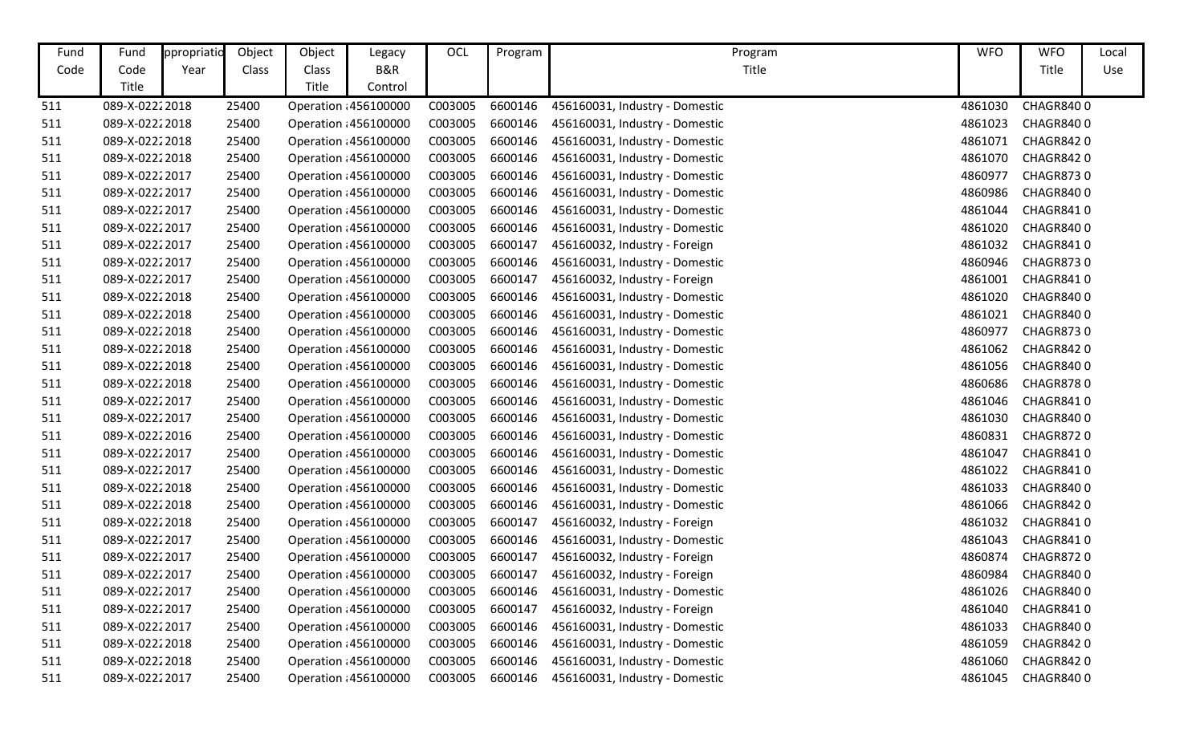| Fund | Fund           | ppropriatio | Object | Object | Legacy                | OCL     | Program | Program                        | <b>WFO</b> | <b>WFO</b>       | Local |
|------|----------------|-------------|--------|--------|-----------------------|---------|---------|--------------------------------|------------|------------------|-------|
| Code | Code           | Year        | Class  | Class  | B&R                   |         |         | Title                          |            | Title            | Use   |
|      | Title          |             |        | Title  | Control               |         |         |                                |            |                  |       |
| 511  | 089-X-02222018 |             | 25400  |        | Operation : 456100000 | C003005 | 6600146 | 456160031, Industry - Domestic | 4861030    | CHAGR8400        |       |
| 511  | 089-X-02222018 |             | 25400  |        | Operation : 456100000 | C003005 | 6600146 | 456160031, Industry - Domestic | 4861023    | CHAGR8400        |       |
| 511  | 089-X-02222018 |             | 25400  |        | Operation : 456100000 | C003005 | 6600146 | 456160031, Industry - Domestic | 4861071    | CHAGR8420        |       |
| 511  | 089-X-02222018 |             | 25400  |        | Operation : 456100000 | C003005 | 6600146 | 456160031, Industry - Domestic | 4861070    | CHAGR8420        |       |
| 511  | 089-X-02222017 |             | 25400  |        | Operation 456100000   | C003005 | 6600146 | 456160031, Industry - Domestic | 4860977    | <b>CHAGR8730</b> |       |
| 511  | 089-X-02222017 |             | 25400  |        | Operation : 456100000 | C003005 | 6600146 | 456160031, Industry - Domestic | 4860986    | <b>CHAGR8400</b> |       |
| 511  | 089-X-02222017 |             | 25400  |        | Operation : 456100000 | C003005 | 6600146 | 456160031, Industry - Domestic | 4861044    | CHAGR8410        |       |
| 511  | 089-X-02222017 |             | 25400  |        | Operation 456100000   | C003005 | 6600146 | 456160031, Industry - Domestic | 4861020    | CHAGR8400        |       |
| 511  | 089-X-02222017 |             | 25400  |        | Operation : 456100000 | C003005 | 6600147 | 456160032, Industry - Foreign  | 4861032    | CHAGR8410        |       |
| 511  | 089-X-02222017 |             | 25400  |        | Operation : 456100000 | C003005 | 6600146 | 456160031, Industry - Domestic | 4860946    | <b>CHAGR8730</b> |       |
| 511  | 089-X-02222017 |             | 25400  |        | Operation : 456100000 | C003005 | 6600147 | 456160032, Industry - Foreign  | 4861001    | CHAGR8410        |       |
| 511  | 089-X-02222018 |             | 25400  |        | Operation 456100000   | C003005 | 6600146 | 456160031, Industry - Domestic | 4861020    | CHAGR8400        |       |
| 511  | 089-X-02222018 |             | 25400  |        | Operation : 456100000 | C003005 | 6600146 | 456160031, Industry - Domestic | 4861021    | CHAGR8400        |       |
| 511  | 089-X-02222018 |             | 25400  |        | Operation : 456100000 | C003005 | 6600146 | 456160031, Industry - Domestic | 4860977    | CHAGR8730        |       |
| 511  | 089-X-02222018 |             | 25400  |        | Operation : 456100000 | C003005 | 6600146 | 456160031, Industry - Domestic | 4861062    | CHAGR8420        |       |
| 511  | 089-X-02222018 |             | 25400  |        | Operation : 456100000 | C003005 | 6600146 | 456160031, Industry - Domestic | 4861056    | CHAGR8400        |       |
| 511  | 089-X-02222018 |             | 25400  |        | Operation : 456100000 | C003005 | 6600146 | 456160031, Industry - Domestic | 4860686    | CHAGR8780        |       |
| 511  | 089-X-02222017 |             | 25400  |        | Operation : 456100000 | C003005 | 6600146 | 456160031, Industry - Domestic | 4861046    | CHAGR8410        |       |
| 511  | 089-X-02222017 |             | 25400  |        | Operation : 456100000 | C003005 | 6600146 | 456160031, Industry - Domestic | 4861030    | CHAGR8400        |       |
| 511  | 089-X-02222016 |             | 25400  |        | Operation 456100000   | C003005 | 6600146 | 456160031, Industry - Domestic | 4860831    | CHAGR8720        |       |
| 511  | 089-X-02222017 |             | 25400  |        | Operation 456100000   | C003005 | 6600146 | 456160031, Industry - Domestic | 4861047    | CHAGR8410        |       |
| 511  | 089-X-02222017 |             | 25400  |        | Operation : 456100000 | C003005 | 6600146 | 456160031, Industry - Domestic | 4861022    | CHAGR8410        |       |
| 511  | 089-X-02222018 |             | 25400  |        | Operation : 456100000 | C003005 | 6600146 | 456160031, Industry - Domestic | 4861033    | CHAGR8400        |       |
| 511  | 089-X-02222018 |             | 25400  |        | Operation 456100000   | C003005 | 6600146 | 456160031, Industry - Domestic | 4861066    | CHAGR8420        |       |
| 511  | 089-X-02222018 |             | 25400  |        | Operation : 456100000 | C003005 | 6600147 | 456160032, Industry - Foreign  | 4861032    | CHAGR8410        |       |
| 511  | 089-X-02222017 |             | 25400  |        | Operation : 456100000 | C003005 | 6600146 | 456160031, Industry - Domestic | 4861043    | CHAGR8410        |       |
| 511  | 089-X-02222017 |             | 25400  |        | Operation : 456100000 | C003005 | 6600147 | 456160032, Industry - Foreign  | 4860874    | <b>CHAGR8720</b> |       |
| 511  | 089-X-02222017 |             | 25400  |        | Operation : 456100000 | C003005 | 6600147 | 456160032, Industry - Foreign  | 4860984    | CHAGR8400        |       |
| 511  | 089-X-02222017 |             | 25400  |        | Operation : 456100000 | C003005 | 6600146 | 456160031, Industry - Domestic | 4861026    | CHAGR8400        |       |
| 511  | 089-X-02222017 |             | 25400  |        | Operation 456100000   | C003005 | 6600147 | 456160032, Industry - Foreign  | 4861040    | CHAGR8410        |       |
| 511  | 089-X-02222017 |             | 25400  |        | Operation : 456100000 | C003005 | 6600146 | 456160031, Industry - Domestic | 4861033    | CHAGR8400        |       |
| 511  | 089-X-02222018 |             | 25400  |        | Operation : 456100000 | C003005 | 6600146 | 456160031, Industry - Domestic | 4861059    | CHAGR8420        |       |
| 511  | 089-X-02222018 |             | 25400  |        | Operation : 456100000 | C003005 | 6600146 | 456160031, Industry - Domestic | 4861060    | CHAGR8420        |       |
| 511  | 089-X-02222017 |             | 25400  |        | Operation : 456100000 | C003005 | 6600146 | 456160031, Industry - Domestic | 4861045    | CHAGR8400        |       |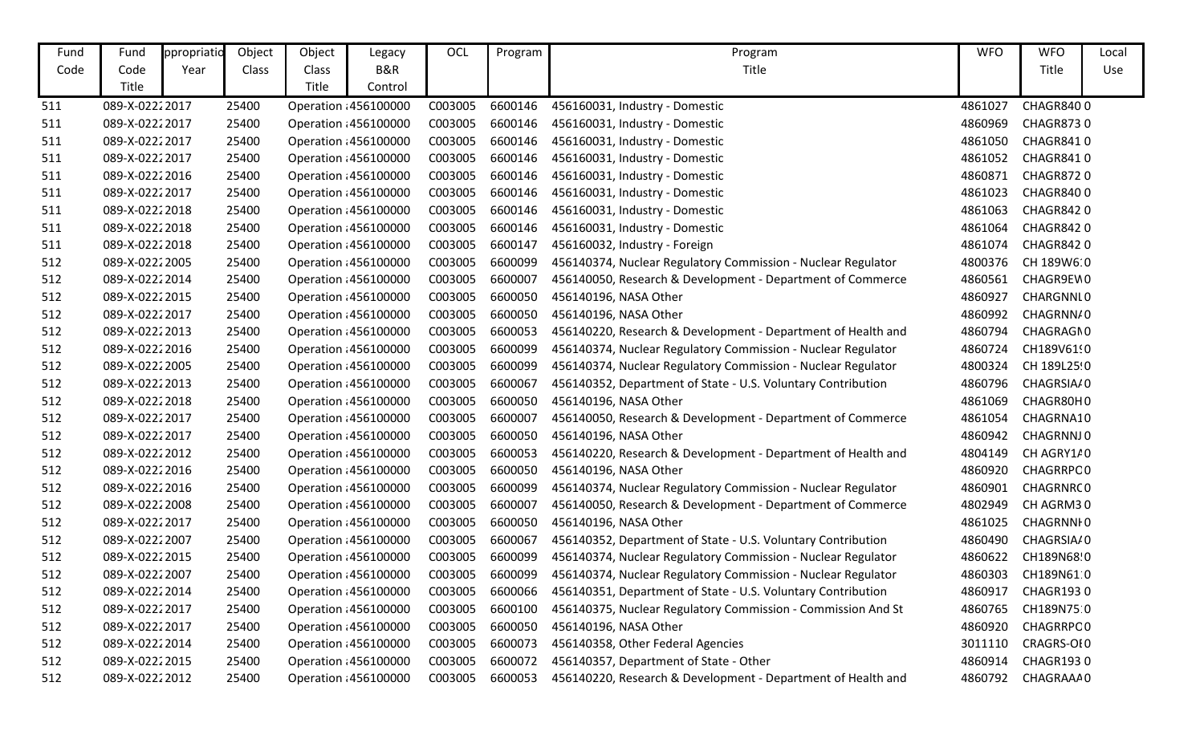| Fund | Fund           | ppropriatic | Object | Object       | Legacy                | OCL     | Program | Program                                                      | <b>WFO</b> | <b>WFO</b>         | Local |
|------|----------------|-------------|--------|--------------|-----------------------|---------|---------|--------------------------------------------------------------|------------|--------------------|-------|
| Code | Code           | Year        | Class  | Class        | <b>B&amp;R</b>        |         |         | Title                                                        |            | Title              | Use   |
|      | Title          |             |        | <b>Title</b> | Control               |         |         |                                                              |            |                    |       |
| 511  | 089-X-02222017 |             | 25400  |              | Operation : 456100000 | C003005 | 6600146 | 456160031, Industry - Domestic                               | 4861027    | CHAGR8400          |       |
| 511  | 089-X-02222017 |             | 25400  |              | Operation : 456100000 | C003005 | 6600146 | 456160031, Industry - Domestic                               | 4860969    | <b>CHAGR8730</b>   |       |
| 511  | 089-X-02222017 |             | 25400  |              | Operation : 456100000 | C003005 | 6600146 | 456160031, Industry - Domestic                               | 4861050    | CHAGR8410          |       |
| 511  | 089-X-02222017 |             | 25400  |              | Operation : 456100000 | C003005 | 6600146 | 456160031, Industry - Domestic                               | 4861052    | CHAGR8410          |       |
| 511  | 089-X-02222016 |             | 25400  |              | Operation : 456100000 | C003005 | 6600146 | 456160031, Industry - Domestic                               | 4860871    | <b>CHAGR8720</b>   |       |
| 511  | 089-X-02222017 |             | 25400  |              | Operation : 456100000 | C003005 | 6600146 | 456160031, Industry - Domestic                               | 4861023    | CHAGR8400          |       |
| 511  | 089-X-02222018 |             | 25400  |              | Operation : 456100000 | C003005 | 6600146 | 456160031, Industry - Domestic                               | 4861063    | <b>CHAGR8420</b>   |       |
| 511  | 089-X-02222018 |             | 25400  |              | Operation : 456100000 | C003005 | 6600146 | 456160031, Industry - Domestic                               | 4861064    | CHAGR8420          |       |
| 511  | 089-X-02222018 |             | 25400  |              | Operation : 456100000 | C003005 | 6600147 | 456160032, Industry - Foreign                                | 4861074    | <b>CHAGR8420</b>   |       |
| 512  | 089-X-02222005 |             | 25400  |              | Operation : 456100000 | C003005 | 6600099 | 456140374, Nuclear Regulatory Commission - Nuclear Regulator | 4800376    | CH 189W6:0         |       |
| 512  | 089-X-02222014 |             | 25400  |              | Operation : 456100000 | C003005 | 6600007 | 456140050, Research & Development - Department of Commerce   | 4860561    | CHAGR9EW0          |       |
| 512  | 089-X-02222015 |             | 25400  |              | Operation : 456100000 | C003005 | 6600050 | 456140196, NASA Other                                        | 4860927    | CHARGNNL0          |       |
| 512  | 089-X-02222017 |             | 25400  |              | Operation : 456100000 | C003005 | 6600050 | 456140196, NASA Other                                        | 4860992    | CHAGRNN/0          |       |
| 512  | 089-X-02222013 |             | 25400  |              | Operation : 456100000 | C003005 | 6600053 | 456140220, Research & Development - Department of Health and | 4860794    | CHAGRAGN0          |       |
| 512  | 089-X-02222016 |             | 25400  |              | Operation : 456100000 | C003005 | 6600099 | 456140374, Nuclear Regulatory Commission - Nuclear Regulator | 4860724    | CH189V6190         |       |
| 512  | 089-X-02222005 |             | 25400  |              | Operation : 456100000 | C003005 | 6600099 | 456140374, Nuclear Regulatory Commission - Nuclear Regulator | 4800324    | CH 189L25!0        |       |
| 512  | 089-X-02222013 |             | 25400  |              | Operation : 456100000 | C003005 | 6600067 | 456140352, Department of State - U.S. Voluntary Contribution | 4860796    | CHAGRSIA/0         |       |
| 512  | 089-X-02222018 |             | 25400  |              | Operation : 456100000 | C003005 | 6600050 | 456140196, NASA Other                                        | 4861069    | CHAGR80H0          |       |
| 512  | 089-X-02222017 |             | 25400  |              | Operation : 456100000 | C003005 | 6600007 | 456140050, Research & Development - Department of Commerce   | 4861054    | CHAGRNA10          |       |
| 512  | 089-X-02222017 |             | 25400  |              | Operation : 456100000 | C003005 | 6600050 | 456140196, NASA Other                                        | 4860942    | CHAGRNNJ0          |       |
| 512  | 089-X-02222012 |             | 25400  |              | Operation : 456100000 | C003005 | 6600053 | 456140220, Research & Development - Department of Health and | 4804149    | CH AGRY1/0         |       |
| 512  | 089-X-02222016 |             | 25400  |              | Operation : 456100000 | C003005 | 6600050 | 456140196, NASA Other                                        | 4860920    | CHAGRRPC0          |       |
| 512  | 089-X-02222016 |             | 25400  |              | Operation : 456100000 | C003005 | 6600099 | 456140374, Nuclear Regulatory Commission - Nuclear Regulator | 4860901    | CHAGRNRC0          |       |
| 512  | 089-X-02222008 |             | 25400  |              | Operation : 456100000 | C003005 | 6600007 | 456140050, Research & Development - Department of Commerce   | 4802949    | CH AGRM30          |       |
| 512  | 089-X-02222017 |             | 25400  |              | Operation : 456100000 | C003005 | 6600050 | 456140196, NASA Other                                        | 4861025    | CHAGRNNI 0         |       |
| 512  | 089-X-02222007 |             | 25400  |              | Operation : 456100000 | C003005 | 6600067 | 456140352, Department of State - U.S. Voluntary Contribution | 4860490    | CHAGRSIA/0         |       |
| 512  | 089-X-02222015 |             | 25400  |              | Operation : 456100000 | C003005 | 6600099 | 456140374, Nuclear Regulatory Commission - Nuclear Regulator | 4860622    | CH189N68!0         |       |
| 512  | 089-X-02222007 |             | 25400  |              | Operation : 456100000 | C003005 | 6600099 | 456140374, Nuclear Regulatory Commission - Nuclear Regulator |            | 4860303 CH189N61.0 |       |
| 512  | 089-X-02222014 |             | 25400  |              | Operation : 456100000 | C003005 | 6600066 | 456140351, Department of State - U.S. Voluntary Contribution | 4860917    | CHAGR1930          |       |
| 512  | 089-X-02222017 |             | 25400  |              | Operation : 456100000 | C003005 | 6600100 | 456140375, Nuclear Regulatory Commission - Commission And St | 4860765    | CH189N75:0         |       |
| 512  | 089-X-02222017 |             | 25400  |              | Operation : 456100000 | C003005 | 6600050 | 456140196, NASA Other                                        | 4860920    | CHAGRRPC0          |       |
| 512  | 089-X-02222014 |             | 25400  |              | Operation : 456100000 | C003005 | 6600073 | 456140358, Other Federal Agencies                            | 3011110    | CRAGRS-OI0         |       |
| 512  | 089-X-02222015 |             | 25400  |              | Operation : 456100000 | C003005 | 6600072 | 456140357, Department of State - Other                       | 4860914    | CHAGR1930          |       |
| 512  | 089-X-02222012 |             | 25400  |              | Operation : 456100000 | C003005 | 6600053 | 456140220, Research & Development - Department of Health and | 4860792    | CHAGRAAA0          |       |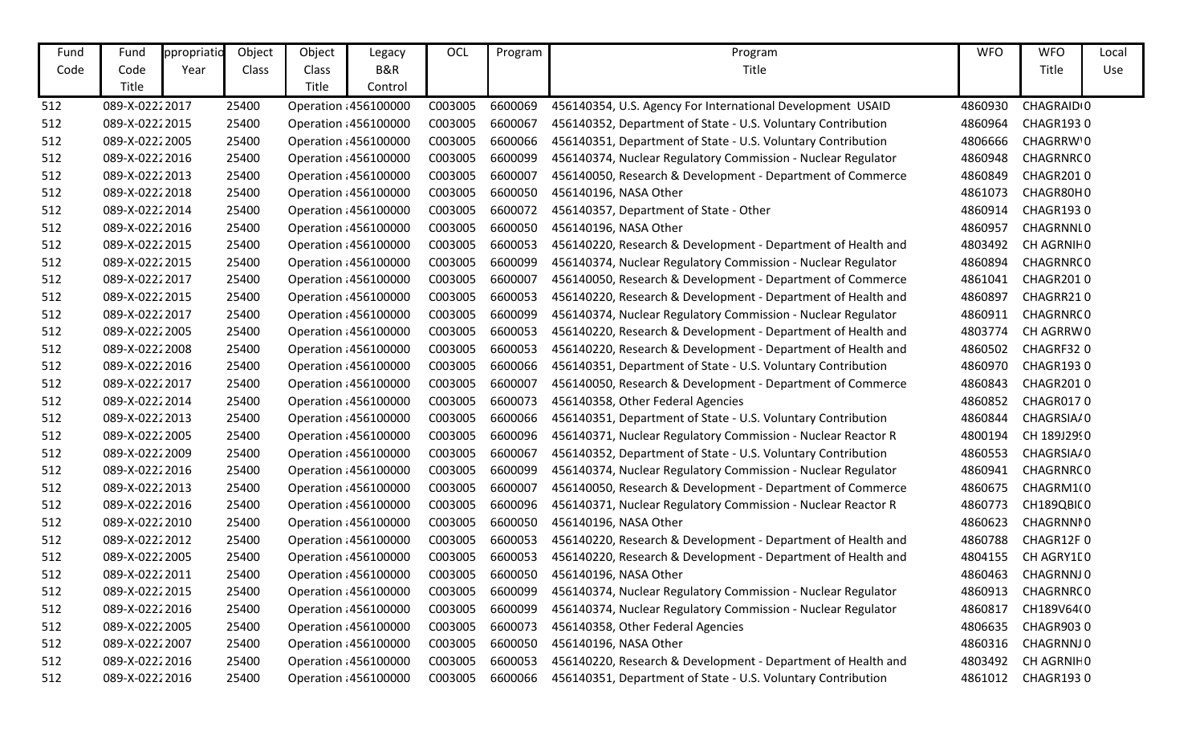| Fund | Fund            | ppropriatic | Object | Object | Legacy                | OCL     | Program | Program                                                      | <b>WFO</b> | <b>WFO</b>             | Local |
|------|-----------------|-------------|--------|--------|-----------------------|---------|---------|--------------------------------------------------------------|------------|------------------------|-------|
| Code | Code            | Year        | Class  | Class  | <b>B&amp;R</b>        |         |         | Title                                                        |            | Title                  | Use   |
|      | Title           |             |        | Title  | Control               |         |         |                                                              |            |                        |       |
| 512  | 089-X-02222017  |             | 25400  |        | Operation : 456100000 | C003005 | 6600069 | 456140354, U.S. Agency For International Development USAID   | 4860930    | CHAGRAID <sub>10</sub> |       |
| 512  | 089-X-02222015  |             | 25400  |        | Operation : 456100000 | C003005 | 6600067 | 456140352, Department of State - U.S. Voluntary Contribution | 4860964    | <b>CHAGR1930</b>       |       |
| 512  | 089-X-02222005  |             | 25400  |        | Operation : 456100000 | C003005 | 6600066 | 456140351, Department of State - U.S. Voluntary Contribution | 4806666    | CHAGRRW'O              |       |
| 512  | 089-X-02222016  |             | 25400  |        | Operation : 456100000 | C003005 | 6600099 | 456140374, Nuclear Regulatory Commission - Nuclear Regulator | 4860948    | CHAGRNRC0              |       |
| 512  | 089-X-02222013  |             | 25400  |        | Operation : 456100000 | C003005 | 6600007 | 456140050, Research & Development - Department of Commerce   | 4860849    | <b>CHAGR2010</b>       |       |
| 512  | 089-X-02222018  |             | 25400  |        | Operation : 456100000 | C003005 | 6600050 | 456140196, NASA Other                                        | 4861073    | CHAGR80H0              |       |
| 512  | 089-X-02222014  |             | 25400  |        | Operation : 456100000 | C003005 | 6600072 | 456140357, Department of State - Other                       | 4860914    | <b>CHAGR1930</b>       |       |
| 512  | 089-X-0222 2016 |             | 25400  |        | Operation : 456100000 | C003005 | 6600050 | 456140196, NASA Other                                        | 4860957    | CHAGRNNL0              |       |
| 512  | 089-X-02222015  |             | 25400  |        | Operation : 456100000 | C003005 | 6600053 | 456140220, Research & Development - Department of Health and | 4803492    | CH AGRNIHO             |       |
| 512  | 089-X-02222015  |             | 25400  |        | Operation : 456100000 | C003005 | 6600099 | 456140374, Nuclear Regulatory Commission - Nuclear Regulator | 4860894    | CHAGRNRC0              |       |
| 512  | 089-X-02222017  |             | 25400  |        | Operation : 456100000 | C003005 | 6600007 | 456140050, Research & Development - Department of Commerce   | 4861041    | <b>CHAGR2010</b>       |       |
| 512  | 089-X-02222015  |             | 25400  |        | Operation : 456100000 | C003005 | 6600053 | 456140220, Research & Development - Department of Health and | 4860897    | CHAGRR210              |       |
| 512  | 089-X-02222017  |             | 25400  |        | Operation : 456100000 | C003005 | 6600099 | 456140374, Nuclear Regulatory Commission - Nuclear Regulator | 4860911    | CHAGRNRC0              |       |
| 512  | 089-X-02222005  |             | 25400  |        | Operation : 456100000 | C003005 | 6600053 | 456140220, Research & Development - Department of Health and | 4803774    | CH AGRRW0              |       |
| 512  | 089-X-02222008  |             | 25400  |        | Operation : 456100000 | C003005 | 6600053 | 456140220, Research & Development - Department of Health and | 4860502    | CHAGRF320              |       |
| 512  | 089-X-02222016  |             | 25400  |        | Operation : 456100000 | C003005 | 6600066 | 456140351, Department of State - U.S. Voluntary Contribution | 4860970    | <b>CHAGR1930</b>       |       |
| 512  | 089-X-02222017  |             | 25400  |        | Operation : 456100000 | C003005 | 6600007 | 456140050, Research & Development - Department of Commerce   | 4860843    | CHAGR2010              |       |
| 512  | 089-X-02222014  |             | 25400  |        | Operation : 456100000 | C003005 | 6600073 | 456140358, Other Federal Agencies                            | 4860852    | CHAGR0170              |       |
| 512  | 089-X-02222013  |             | 25400  |        | Operation : 456100000 | C003005 | 6600066 | 456140351, Department of State - U.S. Voluntary Contribution | 4860844    | CHAGRSIA/0             |       |
| 512  | 089-X-02222005  |             | 25400  |        | Operation : 456100000 | C003005 | 6600096 | 456140371, Nuclear Regulatory Commission - Nuclear Reactor R | 4800194    | CH 189J2990            |       |
| 512  | 089-X-02222009  |             | 25400  |        | Operation : 456100000 | C003005 | 6600067 | 456140352, Department of State - U.S. Voluntary Contribution | 4860553    | CHAGRSIA/0             |       |
| 512  | 089-X-02222016  |             | 25400  |        | Operation : 456100000 | C003005 | 6600099 | 456140374, Nuclear Regulatory Commission - Nuclear Regulator | 4860941    | CHAGRNRC0              |       |
| 512  | 089-X-02222013  |             | 25400  |        | Operation : 456100000 | C003005 | 6600007 | 456140050, Research & Development - Department of Commerce   | 4860675    | CHAGRM1(0              |       |
| 512  | 089-X-02222016  |             | 25400  |        | Operation : 456100000 | C003005 | 6600096 | 456140371, Nuclear Regulatory Commission - Nuclear Reactor R | 4860773    | CH189QBIC0             |       |
| 512  | 089-X-02222010  |             | 25400  |        | Operation : 456100000 | C003005 | 6600050 | 456140196, NASA Other                                        | 4860623    | CHAGRNNI0              |       |
| 512  | 089-X-02222012  |             | 25400  |        | Operation : 456100000 | C003005 | 6600053 | 456140220, Research & Development - Department of Health and | 4860788    | CHAGR12F0              |       |
| 512  | 089-X-02222005  |             | 25400  |        | Operation : 456100000 | C003005 | 6600053 | 456140220, Research & Development - Department of Health and | 4804155    | CH AGRY1E0             |       |
| 512  | 089-X-02222011  |             | 25400  |        | Operation : 456100000 | C003005 |         | 6600050 456140196, NASA Other                                |            | 4860463 CHAGRNNJ0      |       |
| 512  | 089-X-02222015  |             | 25400  |        | Operation : 456100000 | C003005 | 6600099 | 456140374, Nuclear Regulatory Commission - Nuclear Regulator | 4860913    | CHAGRNRC0              |       |
| 512  | 089-X-02222016  |             | 25400  |        | Operation : 456100000 | C003005 | 6600099 | 456140374, Nuclear Regulatory Commission - Nuclear Regulator | 4860817    | CH189V64(0             |       |
| 512  | 089-X-02222005  |             | 25400  |        | Operation : 456100000 | C003005 | 6600073 | 456140358, Other Federal Agencies                            | 4806635    | CHAGR9030              |       |
| 512  | 089-X-02222007  |             | 25400  |        | Operation : 456100000 | C003005 | 6600050 | 456140196, NASA Other                                        | 4860316    | CHAGRNNJ0              |       |
| 512  | 089-X-02222016  |             | 25400  |        | Operation : 456100000 | C003005 | 6600053 | 456140220, Research & Development - Department of Health and | 4803492    | CH AGRNIHO             |       |
| 512  | 089-X-0222 2016 |             | 25400  |        | Operation : 456100000 | C003005 | 6600066 | 456140351, Department of State - U.S. Voluntary Contribution | 4861012    | CHAGR1930              |       |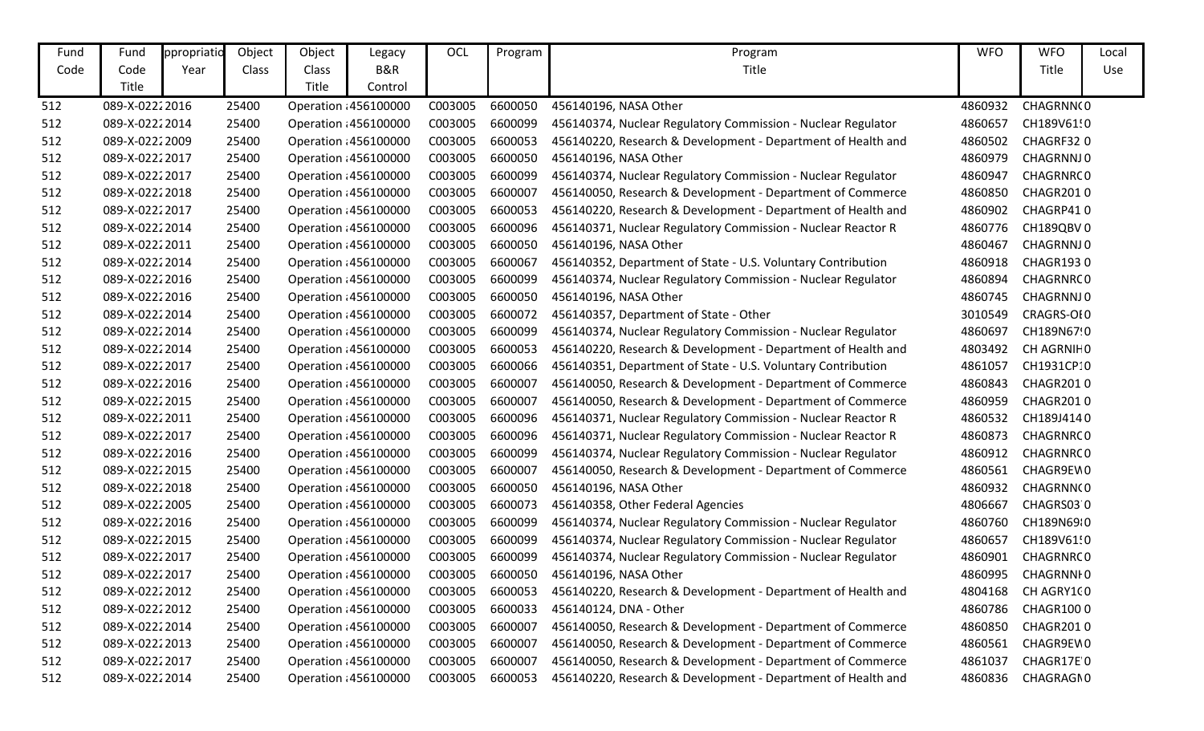| Fund | Fund           | ppropriatic | Object       | Object | Legacy                | OCL     | Program | Program                                                      | <b>WFO</b> | <b>WFO</b>        | Local |
|------|----------------|-------------|--------------|--------|-----------------------|---------|---------|--------------------------------------------------------------|------------|-------------------|-------|
| Code | Code           | Year        | <b>Class</b> | Class  | B&R                   |         |         | Title                                                        |            | Title             | Use   |
|      | Title          |             |              | Title  | Control               |         |         |                                                              |            |                   |       |
| 512  | 089-X-02222016 |             | 25400        |        | Operation : 456100000 | C003005 | 6600050 | 456140196, NASA Other                                        | 4860932    | CHAGRNN(0         |       |
| 512  | 089-X-02222014 |             | 25400        |        | Operation : 456100000 | C003005 | 6600099 | 456140374, Nuclear Regulatory Commission - Nuclear Regulator | 4860657    | CH189V61!0        |       |
| 512  | 089-X-02222009 |             | 25400        |        | Operation : 456100000 | C003005 | 6600053 | 456140220, Research & Development - Department of Health and | 4860502    | CHAGRF320         |       |
| 512  | 089-X-02222017 |             | 25400        |        | Operation : 456100000 | C003005 | 6600050 | 456140196, NASA Other                                        | 4860979    | CHAGRNNJ0         |       |
| 512  | 089-X-02222017 |             | 25400        |        | Operation : 456100000 | C003005 | 6600099 | 456140374, Nuclear Regulatory Commission - Nuclear Regulator | 4860947    | CHAGRNRC0         |       |
| 512  | 089-X-02222018 |             | 25400        |        | Operation : 456100000 | C003005 | 6600007 | 456140050, Research & Development - Department of Commerce   | 4860850    | CHAGR2010         |       |
| 512  | 089-X-02222017 |             | 25400        |        | Operation : 456100000 | C003005 | 6600053 | 456140220, Research & Development - Department of Health and | 4860902    | CHAGRP410         |       |
| 512  | 089-X-02222014 |             | 25400        |        | Operation : 456100000 | C003005 | 6600096 | 456140371, Nuclear Regulatory Commission - Nuclear Reactor R | 4860776    | CH189QBV0         |       |
| 512  | 089-X-02222011 |             | 25400        |        | Operation : 456100000 | C003005 | 6600050 | 456140196, NASA Other                                        | 4860467    | CHAGRNNJ0         |       |
| 512  | 089-X-02222014 |             | 25400        |        | Operation : 456100000 | C003005 | 6600067 | 456140352, Department of State - U.S. Voluntary Contribution | 4860918    | <b>CHAGR1930</b>  |       |
| 512  | 089-X-02222016 |             | 25400        |        | Operation : 456100000 | C003005 | 6600099 | 456140374, Nuclear Regulatory Commission - Nuclear Regulator | 4860894    | CHAGRNRC0         |       |
| 512  | 089-X-02222016 |             | 25400        |        | Operation : 456100000 | C003005 | 6600050 | 456140196, NASA Other                                        | 4860745    | CHAGRNNJ0         |       |
| 512  | 089-X-02222014 |             | 25400        |        | Operation : 456100000 | C003005 | 6600072 | 456140357, Department of State - Other                       | 3010549    | CRAGRS-OI0        |       |
| 512  | 089-X-02222014 |             | 25400        |        | Operation : 456100000 | C003005 | 6600099 | 456140374, Nuclear Regulatory Commission - Nuclear Regulator | 4860697    | CH189N67!0        |       |
| 512  | 089-X-02222014 |             | 25400        |        | Operation : 456100000 | C003005 | 6600053 | 456140220, Research & Development - Department of Health and | 4803492    | CH AGRNIHO        |       |
| 512  | 089-X-02222017 |             | 25400        |        | Operation : 456100000 | C003005 | 6600066 | 456140351, Department of State - U.S. Voluntary Contribution | 4861057    | CH1931CP10        |       |
| 512  | 089-X-02222016 |             | 25400        |        | Operation : 456100000 | C003005 | 6600007 | 456140050, Research & Development - Department of Commerce   | 4860843    | CHAGR2010         |       |
| 512  | 089-X-02222015 |             | 25400        |        | Operation : 456100000 | C003005 | 6600007 | 456140050, Research & Development - Department of Commerce   | 4860959    | CHAGR2010         |       |
| 512  | 089-X-02222011 |             | 25400        |        | Operation : 456100000 | C003005 | 6600096 | 456140371, Nuclear Regulatory Commission - Nuclear Reactor R | 4860532    | CH189J4140        |       |
| 512  | 089-X-02222017 |             | 25400        |        | Operation : 456100000 | C003005 | 6600096 | 456140371, Nuclear Regulatory Commission - Nuclear Reactor R | 4860873    | CHAGRNRC0         |       |
| 512  | 089-X-02222016 |             | 25400        |        | Operation : 456100000 | C003005 | 6600099 | 456140374, Nuclear Regulatory Commission - Nuclear Regulator | 4860912    | CHAGRNRC0         |       |
| 512  | 089-X-02222015 |             | 25400        |        | Operation : 456100000 | C003005 | 6600007 | 456140050, Research & Development - Department of Commerce   | 4860561    | CHAGR9EW0         |       |
| 512  | 089-X-02222018 |             | 25400        |        | Operation : 456100000 | C003005 | 6600050 | 456140196, NASA Other                                        | 4860932    | CHAGRNN(0         |       |
| 512  | 089-X-02222005 |             | 25400        |        | Operation : 456100000 | C003005 | 6600073 | 456140358, Other Federal Agencies                            | 4806667    | CHAGRS030         |       |
| 512  | 089-X-02222016 |             | 25400        |        | Operation : 456100000 | C003005 | 6600099 | 456140374, Nuclear Regulatory Commission - Nuclear Regulator | 4860760    | CH189N6910        |       |
| 512  | 089-X-02222015 |             | 25400        |        | Operation : 456100000 | C003005 | 6600099 | 456140374, Nuclear Regulatory Commission - Nuclear Regulator | 4860657    | CH189V61!0        |       |
| 512  | 089-X-02222017 |             | 25400        |        | Operation : 456100000 | C003005 | 6600099 | 456140374, Nuclear Regulatory Commission - Nuclear Regulator | 4860901    | CHAGRNRC0         |       |
| 512  | 089-X-02222017 |             | 25400        |        | Operation : 456100000 | C003005 | 6600050 | 456140196, NASA Other                                        |            | 4860995 CHAGRNNI0 |       |
| 512  | 089-X-02222012 |             | 25400        |        | Operation : 456100000 | C003005 | 6600053 | 456140220, Research & Development - Department of Health and | 4804168    | CH AGRY100        |       |
| 512  | 089-X-02222012 |             | 25400        |        | Operation : 456100000 | C003005 | 6600033 | 456140124, DNA - Other                                       | 4860786    | CHAGR1000         |       |
| 512  | 089-X-02222014 |             | 25400        |        | Operation : 456100000 | C003005 | 6600007 | 456140050, Research & Development - Department of Commerce   | 4860850    | CHAGR2010         |       |
| 512  | 089-X-02222013 |             | 25400        |        | Operation : 456100000 | C003005 | 6600007 | 456140050, Research & Development - Department of Commerce   | 4860561    | CHAGR9EW0         |       |
| 512  | 089-X-02222017 |             | 25400        |        | Operation : 456100000 | C003005 | 6600007 | 456140050, Research & Development - Department of Commerce   | 4861037    | CHAGR17E 0        |       |
| 512  | 089-X-02222014 |             | 25400        |        | Operation : 456100000 | C003005 | 6600053 | 456140220, Research & Development - Department of Health and | 4860836    | CHAGRAGN0         |       |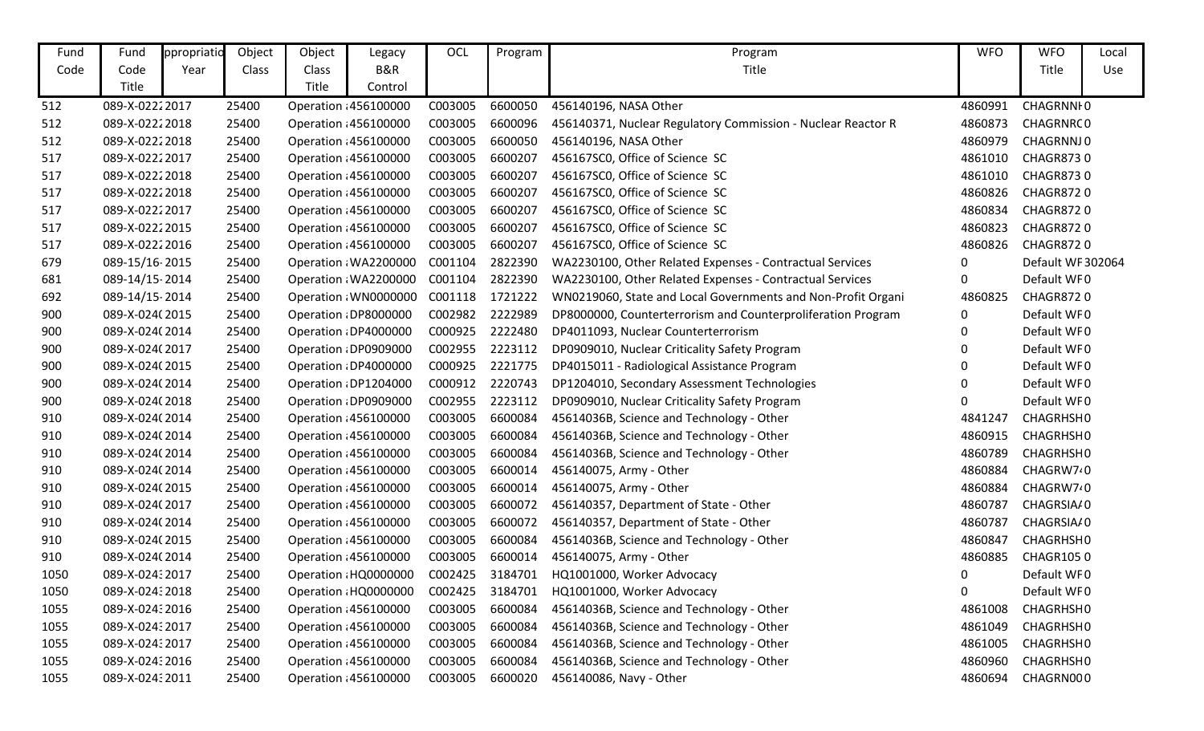| Fund | Fund            | ppropriatio | Object | Object | Legacy                | OCL             | Program | Program                                                      | <b>WFO</b> | <b>WFO</b>            | Local |
|------|-----------------|-------------|--------|--------|-----------------------|-----------------|---------|--------------------------------------------------------------|------------|-----------------------|-------|
| Code | Code            | Year        | Class  | Class  | B&R                   |                 |         | Title                                                        |            | Title                 | Use   |
|      | Title           |             |        | Title  | Control               |                 |         |                                                              |            |                       |       |
| 512  | 089-X-02222017  |             | 25400  |        | Operation : 456100000 | C003005         | 6600050 | 456140196, NASA Other                                        | 4860991    | CHAGRNNI <sub>0</sub> |       |
| 512  | 089-X-02222018  |             | 25400  |        | Operation 456100000   | C003005         | 6600096 | 456140371, Nuclear Regulatory Commission - Nuclear Reactor R | 4860873    | CHAGRNRC0             |       |
| 512  | 089-X-02222018  |             | 25400  |        | Operation : 456100000 | C003005         | 6600050 | 456140196, NASA Other                                        | 4860979    | CHAGRNNJ0             |       |
| 517  | 089-X-02222017  |             | 25400  |        | Operation : 456100000 | C003005         | 6600207 | 456167SC0, Office of Science SC                              | 4861010    | CHAGR8730             |       |
| 517  | 089-X-02222018  |             | 25400  |        | Operation : 456100000 | C003005         | 6600207 | 456167SC0, Office of Science SC                              | 4861010    | <b>CHAGR8730</b>      |       |
| 517  | 089-X-02222018  |             | 25400  |        | Operation : 456100000 | C003005         | 6600207 | 456167SC0, Office of Science SC                              | 4860826    | <b>CHAGR8720</b>      |       |
| 517  | 089-X-02222017  |             | 25400  |        | Operation : 456100000 | C003005         | 6600207 | 456167SC0, Office of Science SC                              | 4860834    | <b>CHAGR8720</b>      |       |
| 517  | 089-X-02222015  |             | 25400  |        | Operation : 456100000 | C003005         | 6600207 | 456167SC0, Office of Science SC                              | 4860823    | CHAGR8720             |       |
| 517  | 089-X-02222016  |             | 25400  |        | Operation : 456100000 | C003005         | 6600207 | 456167SC0, Office of Science SC                              | 4860826    | CHAGR8720             |       |
| 679  | 089-15/16-2015  |             | 25400  |        | Operation : WA2200000 | C001104         | 2822390 | WA2230100, Other Related Expenses - Contractual Services     | 0          | Default WF 302064     |       |
| 681  | 089-14/15-2014  |             | 25400  |        | Operation : WA2200000 | C001104         | 2822390 | WA2230100, Other Related Expenses - Contractual Services     | 0          | Default WF0           |       |
| 692  | 089-14/15-2014  |             | 25400  |        | Operation : WN0000000 | C001118         | 1721222 | WN0219060, State and Local Governments and Non-Profit Organi | 4860825    | <b>CHAGR8720</b>      |       |
| 900  | 089-X-024(2015  |             | 25400  |        | Operation : DP8000000 | C002982         | 2222989 | DP8000000, Counterterrorism and Counterproliferation Program | 0          | Default WF0           |       |
| 900  | 089-X-024(2014  |             | 25400  |        | Operation : DP4000000 | C000925         | 2222480 | DP4011093, Nuclear Counterterrorism                          | 0          | Default WF0           |       |
| 900  | 089-X-024(2017  |             | 25400  |        | Operation : DP0909000 | C002955         | 2223112 | DP0909010, Nuclear Criticality Safety Program                | 0          | Default WF0           |       |
| 900  | 089-X-024(2015  |             | 25400  |        | Operation : DP4000000 | C000925         | 2221775 | DP4015011 - Radiological Assistance Program                  | 0          | Default WF0           |       |
| 900  | 089-X-024(2014  |             | 25400  |        | Operation : DP1204000 | C000912         | 2220743 | DP1204010, Secondary Assessment Technologies                 | 0          | Default WF0           |       |
| 900  | 089-X-024(2018  |             | 25400  |        | Operation : DP0909000 | C002955         | 2223112 | DP0909010, Nuclear Criticality Safety Program                | 0          | Default WF0           |       |
| 910  | 089-X-024(2014  |             | 25400  |        | Operation : 456100000 | C003005         | 6600084 | 45614036B, Science and Technology - Other                    | 4841247    | CHAGRHSH0             |       |
| 910  | 089-X-024(2014  |             | 25400  |        | Operation : 456100000 | C003005         | 6600084 | 45614036B, Science and Technology - Other                    | 4860915    | CHAGRHSH0             |       |
| 910  | 089-X-024(2014  |             | 25400  |        | Operation 456100000   | C003005         | 6600084 | 45614036B, Science and Technology - Other                    | 4860789    | CHAGRHSH0             |       |
| 910  | 089-X-024(2014  |             | 25400  |        | Operation : 456100000 | C003005         | 6600014 | 456140075, Army - Other                                      | 4860884    | CHAGRW7 <sup>2</sup>  |       |
| 910  | 089-X-024(2015  |             | 25400  |        | Operation : 456100000 | C003005         | 6600014 | 456140075, Army - Other                                      | 4860884    | CHAGRW7 <sup>0</sup>  |       |
| 910  | 089-X-024(2017  |             | 25400  |        | Operation : 456100000 | C003005         | 6600072 | 456140357, Department of State - Other                       | 4860787    | CHAGRSIA/0            |       |
| 910  | 089-X-024(2014  |             | 25400  |        | Operation : 456100000 | C003005         | 6600072 | 456140357, Department of State - Other                       | 4860787    | CHAGRSIA/0            |       |
| 910  | 089-X-024(2015  |             | 25400  |        | Operation : 456100000 | C003005         | 6600084 | 45614036B, Science and Technology - Other                    | 4860847    | CHAGRHSH0             |       |
| 910  | 089-X-024(2014  |             | 25400  |        | Operation : 456100000 | C003005         | 6600014 | 456140075, Army - Other                                      | 4860885    | CHAGR1050             |       |
| 1050 | 089-X-024:2017  |             | 25400  |        | Operation HQ0000000   | C002425 3184701 |         | HQ1001000, Worker Advocacy                                   | 0          | Default WF0           |       |
| 1050 | 089-X-024: 2018 |             | 25400  |        | Operation HQ0000000   |                 |         | C002425 3184701 HQ1001000, Worker Advocacy                   | 0          | Default WF0           |       |
| 1055 | 089-X-024: 2016 |             | 25400  |        | Operation 456100000   | C003005         | 6600084 | 45614036B, Science and Technology - Other                    | 4861008    | CHAGRHSH0             |       |
| 1055 | 089-X-02432017  |             | 25400  |        | Operation : 456100000 | C003005         | 6600084 | 45614036B, Science and Technology - Other                    | 4861049    | CHAGRHSH0             |       |
| 1055 | 089-X-024: 2017 |             | 25400  |        | Operation : 456100000 | C003005         | 6600084 | 45614036B, Science and Technology - Other                    | 4861005    | CHAGRHSH0             |       |
| 1055 | 089-X-02432016  |             | 25400  |        | Operation : 456100000 | C003005         | 6600084 | 45614036B, Science and Technology - Other                    | 4860960    | CHAGRHSH0             |       |
| 1055 | 089-X-024: 2011 |             | 25400  |        | Operation 456100000   | C003005         | 6600020 | 456140086, Navy - Other                                      | 4860694    | CHAGRN000             |       |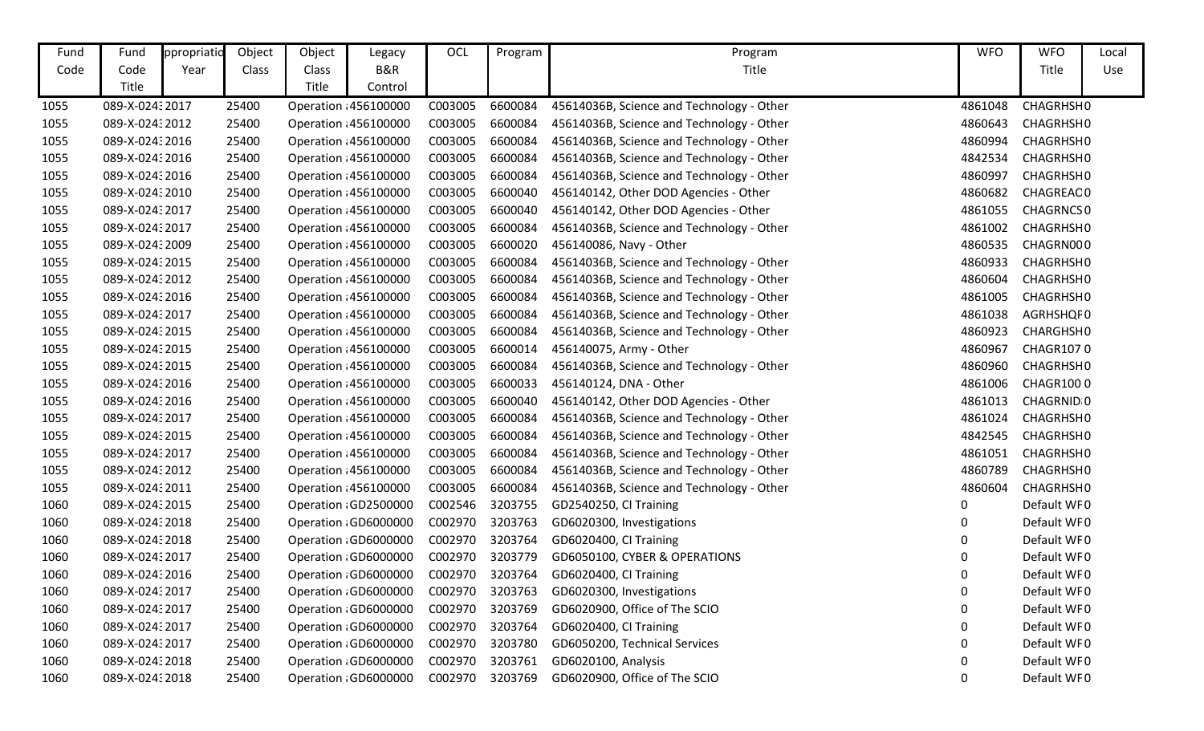| Fund | Fund            | ppropriatio | Object | Object | Legacy                | OCL             | Program | Program                                   | <b>WFO</b>  | <b>WFO</b>  | Local |
|------|-----------------|-------------|--------|--------|-----------------------|-----------------|---------|-------------------------------------------|-------------|-------------|-------|
| Code | Code            | Year        | Class  | Class  | B&R                   |                 |         | Title                                     |             | Title       | Use   |
|      | Title           |             |        | Title  | Control               |                 |         |                                           |             |             |       |
| 1055 | 089-X-02432017  |             | 25400  |        | Operation : 456100000 | C003005         | 6600084 | 45614036B, Science and Technology - Other | 4861048     | CHAGRHSH0   |       |
| 1055 | 089-X-024: 2012 |             | 25400  |        | Operation 456100000   | C003005         | 6600084 | 45614036B, Science and Technology - Other | 4860643     | CHAGRHSH0   |       |
| 1055 | 089-X-024:2016  |             | 25400  |        | Operation 456100000   | C003005         | 6600084 | 45614036B, Science and Technology - Other | 4860994     | CHAGRHSH0   |       |
| 1055 | 089-X-024:2016  |             | 25400  |        | Operation : 456100000 | C003005         | 6600084 | 45614036B, Science and Technology - Other | 4842534     | CHAGRHSH0   |       |
| 1055 | 089-X-024: 2016 |             | 25400  |        | Operation : 456100000 | C003005         | 6600084 | 45614036B, Science and Technology - Other | 4860997     | CHAGRHSH0   |       |
| 1055 | 089-X-024:2010  |             | 25400  |        | Operation : 456100000 | C003005         | 6600040 | 456140142, Other DOD Agencies - Other     | 4860682     | CHAGREAC0   |       |
| 1055 | 089-X-02432017  |             | 25400  |        | Operation : 456100000 | C003005         | 6600040 | 456140142, Other DOD Agencies - Other     | 4861055     | CHAGRNCS 0  |       |
| 1055 | 089-X-024: 2017 |             | 25400  |        | Operation 456100000   | C003005         | 6600084 | 45614036B, Science and Technology - Other | 4861002     | CHAGRHSH0   |       |
| 1055 | 089-X-024: 2009 |             | 25400  |        | Operation : 456100000 | C003005         | 6600020 | 456140086, Navy - Other                   | 4860535     | CHAGRN000   |       |
| 1055 | 089-X-024:2015  |             | 25400  |        | Operation : 456100000 | C003005         | 6600084 | 45614036B, Science and Technology - Other | 4860933     | CHAGRHSH0   |       |
| 1055 | 089-X-024:2012  |             | 25400  |        | Operation 456100000   | C003005         | 6600084 | 45614036B, Science and Technology - Other | 4860604     | CHAGRHSH0   |       |
| 1055 | 089-X-02432016  |             | 25400  |        | Operation : 456100000 | C003005         | 6600084 | 45614036B, Science and Technology - Other | 4861005     | CHAGRHSH0   |       |
| 1055 | 089-X-02432017  |             | 25400  |        | Operation : 456100000 | C003005         | 6600084 | 45614036B, Science and Technology - Other | 4861038     | AGRHSHQF0   |       |
| 1055 | 089-X-024: 2015 |             | 25400  |        | Operation : 456100000 | C003005         | 6600084 | 45614036B, Science and Technology - Other | 4860923     | CHARGHSH0   |       |
| 1055 | 089-X-024: 2015 |             | 25400  |        | Operation : 456100000 | C003005         | 6600014 | 456140075, Army - Other                   | 4860967     | CHAGR1070   |       |
| 1055 | 089-X-024: 2015 |             | 25400  |        | Operation : 456100000 | C003005         | 6600084 | 45614036B, Science and Technology - Other | 4860960     | CHAGRHSH0   |       |
| 1055 | 089-X-02432016  |             | 25400  |        | Operation 456100000   | C003005         | 6600033 | 456140124, DNA - Other                    | 4861006     | CHAGR1000   |       |
| 1055 | 089-X-024:2016  |             | 25400  |        | Operation : 456100000 | C003005         | 6600040 | 456140142, Other DOD Agencies - Other     | 4861013     | CHAGRNID 0  |       |
| 1055 | 089-X-02432017  |             | 25400  |        | Operation : 456100000 | C003005         | 6600084 | 45614036B, Science and Technology - Other | 4861024     | CHAGRHSH0   |       |
| 1055 | 089-X-02432015  |             | 25400  |        | Operation 456100000   | C003005         | 6600084 | 45614036B, Science and Technology - Other | 4842545     | CHAGRHSH0   |       |
| 1055 | 089-X-02432017  |             | 25400  |        | Operation 456100000   | C003005         | 6600084 | 45614036B, Science and Technology - Other | 4861051     | CHAGRHSH0   |       |
| 1055 | 089-X-02432012  |             | 25400  |        | Operation : 456100000 | C003005         | 6600084 | 45614036B, Science and Technology - Other | 4860789     | CHAGRHSH0   |       |
| 1055 | 089-X-02432011  |             | 25400  |        | Operation : 456100000 | C003005         | 6600084 | 45614036B, Science and Technology - Other | 4860604     | CHAGRHSH0   |       |
| 1060 | 089-X-02432015  |             | 25400  |        | Operation : GD2500000 | C002546         | 3203755 | GD2540250, CI Training                    | $\mathbf 0$ | Default WF0 |       |
| 1060 | 089-X-024: 2018 |             | 25400  |        | Operation : GD6000000 | C002970         | 3203763 | GD6020300, Investigations                 | 0           | Default WF0 |       |
| 1060 | 089-X-02432018  |             | 25400  |        | Operation : GD6000000 | C002970         | 3203764 | GD6020400, CI Training                    | 0           | Default WF0 |       |
| 1060 | 089-X-0243 2017 |             | 25400  |        | Operation : GD6000000 | C002970         | 3203779 | GD6050100, CYBER & OPERATIONS             | 0           | Default WF0 |       |
| 1060 | 089-X-024: 2016 |             | 25400  |        | Operation : GD6000000 | C002970 3203764 |         | GD6020400, CI Training                    | 0           | Default WF0 |       |
| 1060 | 089-X-02432017  |             | 25400  |        | Operation GD6000000   | C002970 3203763 |         | GD6020300, Investigations                 | 0           | Default WF0 |       |
| 1060 | 089-X-02432017  |             | 25400  |        | Operation : GD6000000 | C002970         | 3203769 | GD6020900, Office of The SCIO             | 0           | Default WF0 |       |
| 1060 | 089-X-02432017  |             | 25400  |        | Operation : GD6000000 | C002970         | 3203764 | GD6020400, CI Training                    | 0           | Default WF0 |       |
| 1060 | 089-X-02432017  |             | 25400  |        | Operation : GD6000000 | C002970         | 3203780 | GD6050200, Technical Services             | $\Omega$    | Default WF0 |       |
| 1060 | 089-X-02432018  |             | 25400  |        | Operation : GD6000000 | C002970         | 3203761 | GD6020100, Analysis                       | 0           | Default WF0 |       |
| 1060 | 089-X-02432018  |             | 25400  |        | Operation : GD6000000 | C002970         | 3203769 | GD6020900, Office of The SCIO             | 0           | Default WF0 |       |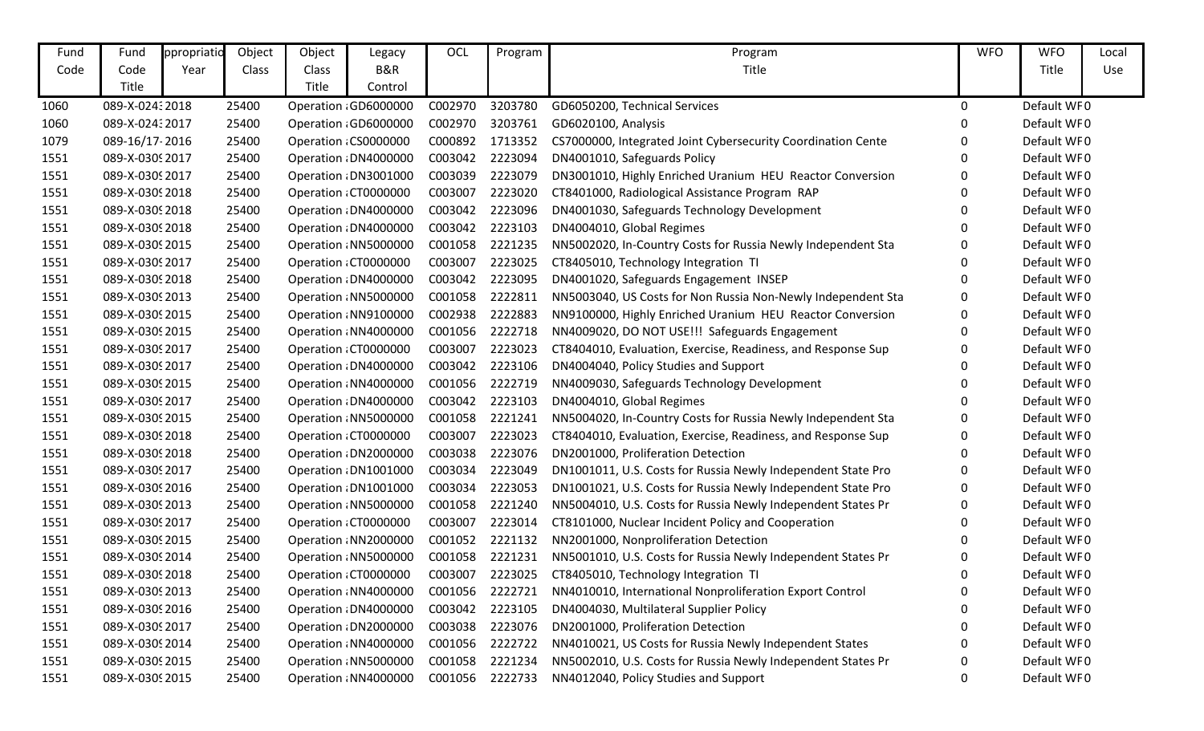| Fund | Fund            | ppropriatio | Object       | Object | Legacy                | OCL     | Program | Program                                                      | <b>WFO</b> | <b>WFO</b>  | Local |
|------|-----------------|-------------|--------------|--------|-----------------------|---------|---------|--------------------------------------------------------------|------------|-------------|-------|
| Code | Code            | Year        | <b>Class</b> | Class  | B&R                   |         |         | Title                                                        |            | Title       | Use   |
|      | Title           |             |              | Title  | Control               |         |         |                                                              |            |             |       |
| 1060 | 089-X-02432018  |             | 25400        |        | Operation : GD6000000 | C002970 | 3203780 | GD6050200, Technical Services                                | 0          | Default WF0 |       |
| 1060 | 089-X-02432017  |             | 25400        |        | Operation : GD6000000 | C002970 | 3203761 | GD6020100, Analysis                                          | 0          | Default WF0 |       |
| 1079 | 089-16/17-2016  |             | 25400        |        | Operation: CS0000000  | C000892 | 1713352 | CS7000000, Integrated Joint Cybersecurity Coordination Cente | 0          | Default WF0 |       |
| 1551 | 089-X-0309 2017 |             | 25400        |        | Operation : DN4000000 | C003042 | 2223094 | DN4001010, Safeguards Policy                                 | 0          | Default WF0 |       |
| 1551 | 089-X-0309 2017 |             | 25400        |        | Operation : DN3001000 | C003039 | 2223079 | DN3001010, Highly Enriched Uranium HEU Reactor Conversion    | 0          | Default WF0 |       |
| 1551 | 089-X-03092018  |             | 25400        |        | Operation: CT0000000  | C003007 | 2223020 | CT8401000, Radiological Assistance Program RAP               | 0          | Default WF0 |       |
| 1551 | 089-X-03092018  |             | 25400        |        | Operation : DN4000000 | C003042 | 2223096 | DN4001030, Safeguards Technology Development                 | 0          | Default WF0 |       |
| 1551 | 089-X-03092018  |             | 25400        |        | Operation : DN4000000 | C003042 | 2223103 | DN4004010, Global Regimes                                    | 0          | Default WF0 |       |
| 1551 | 089-X-03092015  |             | 25400        |        | Operation : NN5000000 | C001058 | 2221235 | NN5002020, In-Country Costs for Russia Newly Independent Sta | 0          | Default WF0 |       |
| 1551 | 089-X-03092017  |             | 25400        |        | Operation : CT0000000 | C003007 | 2223025 | CT8405010, Technology Integration TI                         | 0          | Default WF0 |       |
| 1551 | 089-X-0309 2018 |             | 25400        |        | Operation : DN4000000 | C003042 | 2223095 | DN4001020, Safeguards Engagement INSEP                       | 0          | Default WF0 |       |
| 1551 | 089-X-0309 2013 |             | 25400        |        | Operation: NN5000000  | C001058 | 2222811 | NN5003040, US Costs for Non Russia Non-Newly Independent Sta | 0          | Default WF0 |       |
| 1551 | 089-X-0309 2015 |             | 25400        |        | Operation : NN9100000 | C002938 | 2222883 | NN9100000, Highly Enriched Uranium HEU Reactor Conversion    | 0          | Default WF0 |       |
| 1551 | 089-X-03092015  |             | 25400        |        | Operation : NN4000000 | C001056 | 2222718 | NN4009020, DO NOT USE!!! Safeguards Engagement               | 0          | Default WF0 |       |
| 1551 | 089-X-0309 2017 |             | 25400        |        | Operation: CT0000000  | C003007 | 2223023 | CT8404010, Evaluation, Exercise, Readiness, and Response Sup | 0          | Default WF0 |       |
| 1551 | 089-X-0309 2017 |             | 25400        |        | Operation : DN4000000 | C003042 | 2223106 | DN4004040, Policy Studies and Support                        | 0          | Default WF0 |       |
| 1551 | 089-X-03092015  |             | 25400        |        | Operation : NN4000000 | C001056 | 2222719 | NN4009030, Safeguards Technology Development                 | 0          | Default WF0 |       |
| 1551 | 089-X-0309 2017 |             | 25400        |        | Operation : DN4000000 | C003042 | 2223103 | DN4004010, Global Regimes                                    | 0          | Default WF0 |       |
| 1551 | 089-X-03092015  |             | 25400        |        | Operation : NN5000000 | C001058 | 2221241 | NN5004020, In-Country Costs for Russia Newly Independent Sta | 0          | Default WF0 |       |
| 1551 | 089-X-0309 2018 |             | 25400        |        | Operation: CT0000000  | C003007 | 2223023 | CT8404010, Evaluation, Exercise, Readiness, and Response Sup | 0          | Default WF0 |       |
| 1551 | 089-X-0309 2018 |             | 25400        |        | Operation : DN2000000 | C003038 | 2223076 | DN2001000, Proliferation Detection                           | 0          | Default WF0 |       |
| 1551 | 089-X-0309 2017 |             | 25400        |        | Operation : DN1001000 | C003034 | 2223049 | DN1001011, U.S. Costs for Russia Newly Independent State Pro | 0          | Default WF0 |       |
| 1551 | 089-X-03092016  |             | 25400        |        | Operation : DN1001000 | C003034 | 2223053 | DN1001021, U.S. Costs for Russia Newly Independent State Pro | 0          | Default WF0 |       |
| 1551 | 089-X-0309 2013 |             | 25400        |        | Operation: NN5000000  | C001058 | 2221240 | NN5004010, U.S. Costs for Russia Newly Independent States Pr | 0          | Default WF0 |       |
| 1551 | 089-X-0309 2017 |             | 25400        |        | Operation: CT0000000  | C003007 | 2223014 | CT8101000, Nuclear Incident Policy and Cooperation           | 0          | Default WF0 |       |
| 1551 | 089-X-03092015  |             | 25400        |        | Operation : NN2000000 | C001052 | 2221132 | NN2001000, Nonproliferation Detection                        | 0          | Default WF0 |       |
| 1551 | 089-X-0309 2014 |             | 25400        |        | Operation : NN5000000 | C001058 | 2221231 | NN5001010, U.S. Costs for Russia Newly Independent States Pr | 0          | Default WF0 |       |
| 1551 | 089-X-0309 2018 |             | 25400        |        | Operation : CT0000000 | C003007 | 2223025 | CT8405010, Technology Integration TI                         | 0          | Default WF0 |       |
| 1551 | 089-X-0309 2013 |             | 25400        |        | Operation NN4000000   | C001056 | 2222721 | NN4010010, International Nonproliferation Export Control     | 0          | Default WF0 |       |
| 1551 | 089-X-0309 2016 |             | 25400        |        | Operation : DN4000000 | C003042 | 2223105 | DN4004030, Multilateral Supplier Policy                      | 0          | Default WF0 |       |
| 1551 | 089-X-0309 2017 |             | 25400        |        | Operation : DN2000000 | C003038 | 2223076 | DN2001000, Proliferation Detection                           |            | Default WF0 |       |
| 1551 | 089-X-0309 2014 |             | 25400        |        | Operation : NN4000000 | C001056 | 2222722 | NN4010021, US Costs for Russia Newly Independent States      |            | Default WF0 |       |
| 1551 | 089-X-0309 2015 |             | 25400        |        | Operation: NN5000000  | C001058 | 2221234 | NN5002010, U.S. Costs for Russia Newly Independent States Pr |            | Default WF0 |       |
| 1551 | 089-X-0309 2015 |             | 25400        |        | Operation: NN4000000  | C001056 | 2222733 | NN4012040, Policy Studies and Support                        | 0          | Default WF0 |       |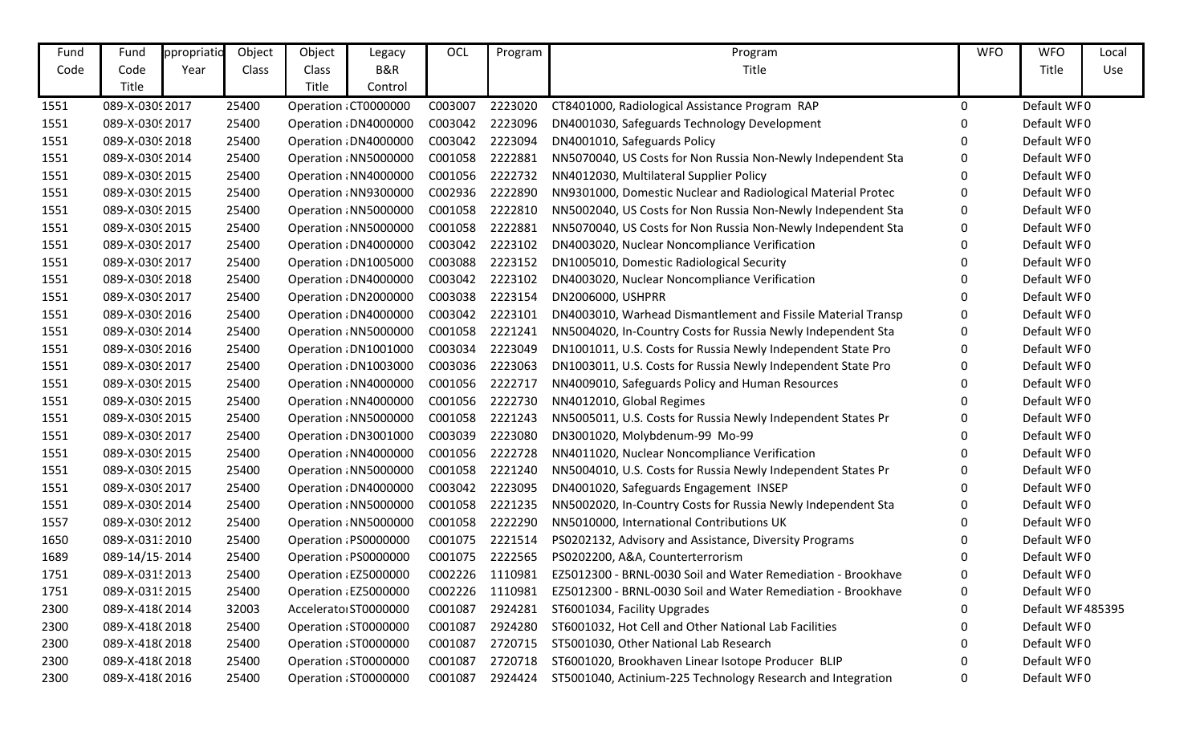| Fund | Fund            | ppropriatio | Object | Object | Legacy                | OCL             | Program | Program                                                      | <b>WFO</b>  | <b>WFO</b>       | Local |
|------|-----------------|-------------|--------|--------|-----------------------|-----------------|---------|--------------------------------------------------------------|-------------|------------------|-------|
| Code | Code            | Year        | Class  | Class  | B&R                   |                 |         | Title                                                        |             | Title            | Use   |
|      | Title           |             |        | Title  | Control               |                 |         |                                                              |             |                  |       |
| 1551 | 089-X-0309 2017 |             | 25400  |        | Operation : CT0000000 | C003007         | 2223020 | CT8401000, Radiological Assistance Program RAP               | 0           | Default WF0      |       |
| 1551 | 089-X-0309 2017 |             | 25400  |        | Operation : DN4000000 | C003042         | 2223096 | DN4001030, Safeguards Technology Development                 |             | Default WF0      |       |
| 1551 | 089-X-0309 2018 |             | 25400  |        | Operation : DN4000000 | C003042         | 2223094 | DN4001010, Safeguards Policy                                 |             | Default WF0      |       |
| 1551 | 089-X-0309 2014 |             | 25400  |        | Operation : NN5000000 | C001058         | 2222881 | NN5070040, US Costs for Non Russia Non-Newly Independent Sta | 0           | Default WF0      |       |
| 1551 | 089-X-03092015  |             | 25400  |        | Operation : NN4000000 | C001056         | 2222732 | NN4012030, Multilateral Supplier Policy                      | $\mathbf 0$ | Default WF0      |       |
| 1551 | 089-X-0309 2015 |             | 25400  |        | Operation : NN9300000 | C002936         | 2222890 | NN9301000, Domestic Nuclear and Radiological Material Protec | 0           | Default WF0      |       |
| 1551 | 089-X-03092015  |             | 25400  |        | Operation : NN5000000 | C001058         | 2222810 | NN5002040, US Costs for Non Russia Non-Newly Independent Sta | 0           | Default WF0      |       |
| 1551 | 089-X-03092015  |             | 25400  |        | Operation : NN5000000 | C001058         | 2222881 | NN5070040, US Costs for Non Russia Non-Newly Independent Sta | 0           | Default WF0      |       |
| 1551 | 089-X-0309 2017 |             | 25400  |        | Operation : DN4000000 | C003042         | 2223102 | DN4003020, Nuclear Noncompliance Verification                | 0           | Default WF0      |       |
| 1551 | 089-X-0309 2017 |             | 25400  |        | Operation : DN1005000 | C003088         | 2223152 | DN1005010, Domestic Radiological Security                    | 0           | Default WF0      |       |
| 1551 | 089-X-03092018  |             | 25400  |        | Operation : DN4000000 | C003042         | 2223102 | DN4003020, Nuclear Noncompliance Verification                | 0           | Default WF0      |       |
| 1551 | 089-X-0309 2017 |             | 25400  |        | Operation : DN2000000 | C003038         | 2223154 | DN2006000, USHPRR                                            | O           | Default WF0      |       |
| 1551 | 089-X-0309 2016 |             | 25400  |        | Operation : DN4000000 | C003042         | 2223101 | DN4003010, Warhead Dismantlement and Fissile Material Transp | 0           | Default WF0      |       |
| 1551 | 089-X-0309 2014 |             | 25400  |        | Operation : NN5000000 | C001058         | 2221241 | NN5004020, In-Country Costs for Russia Newly Independent Sta | 0           | Default WF0      |       |
| 1551 | 089-X-0309 2016 |             | 25400  |        | Operation : DN1001000 | C003034         | 2223049 | DN1001011, U.S. Costs for Russia Newly Independent State Pro | 0           | Default WF0      |       |
| 1551 | 089-X-0309 2017 |             | 25400  |        | Operation : DN1003000 | C003036         | 2223063 | DN1003011, U.S. Costs for Russia Newly Independent State Pro | 0           | Default WF0      |       |
| 1551 | 089-X-0309 2015 |             | 25400  |        | Operation: NN4000000  | C001056         | 2222717 | NN4009010, Safeguards Policy and Human Resources             | 0           | Default WF0      |       |
| 1551 | 089-X-03092015  |             | 25400  |        | Operation : NN4000000 | C001056         | 2222730 | NN4012010, Global Regimes                                    | ŋ           | Default WF0      |       |
| 1551 | 089-X-03092015  |             | 25400  |        | Operation : NN5000000 | C001058         | 2221243 | NN5005011, U.S. Costs for Russia Newly Independent States Pr | 0           | Default WF0      |       |
| 1551 | 089-X-0309 2017 |             | 25400  |        | Operation : DN3001000 | C003039         | 2223080 | DN3001020, Molybdenum-99 Mo-99                               | 0           | Default WF0      |       |
| 1551 | 089-X-03092015  |             | 25400  |        | Operation : NN4000000 | C001056         | 2222728 | NN4011020, Nuclear Noncompliance Verification                |             | Default WF0      |       |
| 1551 | 089-X-0309 2015 |             | 25400  |        | Operation: NN5000000  | C001058         | 2221240 | NN5004010, U.S. Costs for Russia Newly Independent States Pr |             | Default WF0      |       |
| 1551 | 089-X-0309 2017 |             | 25400  |        | Operation : DN4000000 | C003042         | 2223095 | DN4001020, Safeguards Engagement INSEP                       | 0           | Default WF0      |       |
| 1551 | 089-X-0309 2014 |             | 25400  |        | Operation: NN5000000  | C001058         | 2221235 | NN5002020, In-Country Costs for Russia Newly Independent Sta | 0           | Default WF0      |       |
| 1557 | 089-X-03092012  |             | 25400  |        | Operation : NN5000000 | C001058         | 2222290 | NN5010000, International Contributions UK                    | 0           | Default WF0      |       |
| 1650 | 089-X-031:2010  |             | 25400  |        | Operation: PS0000000  | C001075         | 2221514 | PS0202132, Advisory and Assistance, Diversity Programs       | 0           | Default WF0      |       |
| 1689 | 089-14/15-2014  |             | 25400  |        | Operation : PS0000000 | C001075         | 2222565 | PS0202200, A&A, Counterterrorism                             | 0           | Default WF0      |       |
| 1751 | 089-X-0315 2013 |             | 25400  |        | Operation : EZ5000000 | C002226 1110981 |         | EZ5012300 - BRNL-0030 Soil and Water Remediation - Brookhave |             | Default WF0      |       |
| 1751 | 089-X-0315 2015 |             | 25400  |        | Operation: EZ5000000  | C002226         | 1110981 | EZ5012300 - BRNL-0030 Soil and Water Remediation - Brookhave | 0           | Default WF0      |       |
| 2300 | 089-X-418(2014  |             | 32003  |        | Accelerato ST0000000  | C001087         | 2924281 | ST6001034, Facility Upgrades                                 | 0           | Default WF485395 |       |
| 2300 | 089-X-418(2018  |             | 25400  |        | Operation : ST0000000 | C001087         | 2924280 | ST6001032, Hot Cell and Other National Lab Facilities        |             | Default WF0      |       |
| 2300 | 089-X-418(2018  |             | 25400  |        | Operation: ST0000000  | C001087         | 2720715 | ST5001030, Other National Lab Research                       |             | Default WF0      |       |
| 2300 | 089-X-418(2018  |             | 25400  |        | Operation : ST0000000 | C001087         | 2720718 | ST6001020, Brookhaven Linear Isotope Producer BLIP           |             | Default WF0      |       |
| 2300 | 089-X-418(2016  |             | 25400  |        | Operation: ST0000000  | C001087         | 2924424 | ST5001040, Actinium-225 Technology Research and Integration  | 0           | Default WF0      |       |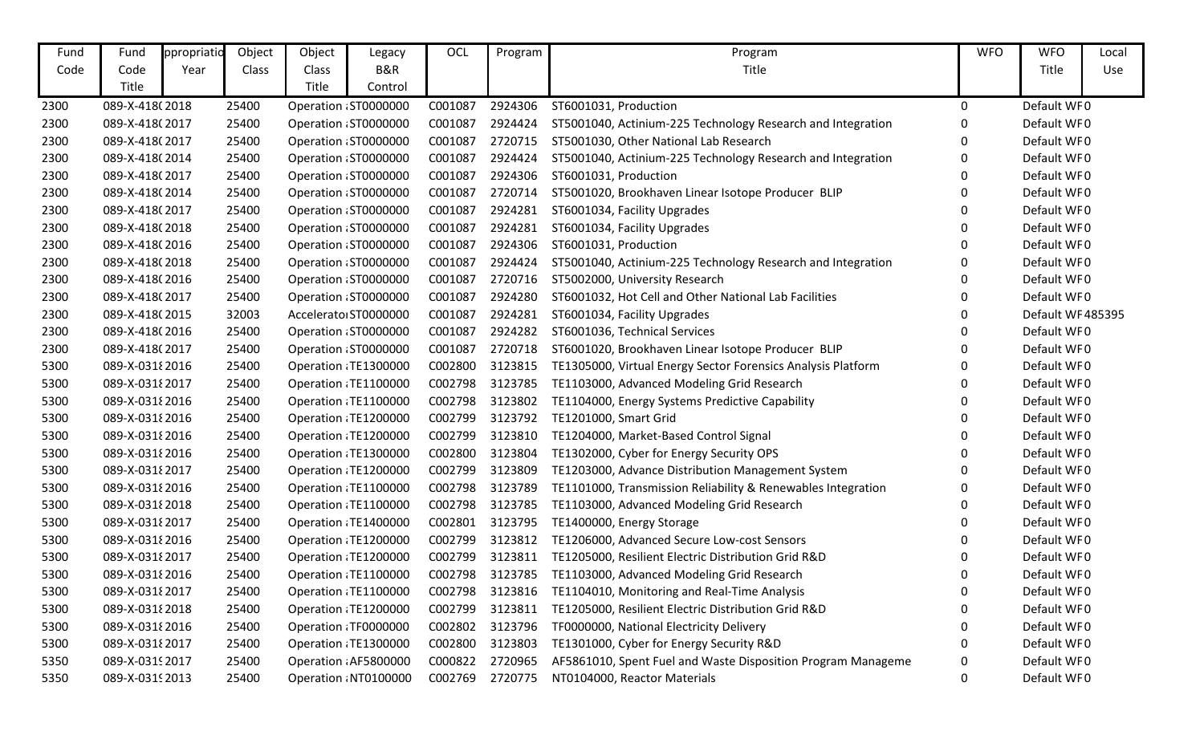| Fund | Fund            | ppropriatio | Object | Object | Legacy                | OCL     | Program | Program                                                      | <b>WFO</b> | <b>WFO</b>       | Local |
|------|-----------------|-------------|--------|--------|-----------------------|---------|---------|--------------------------------------------------------------|------------|------------------|-------|
| Code | Code            | Year        | Class  | Class  | B&R                   |         |         | Title                                                        |            | Title            | Use   |
|      | Title           |             |        | Title  | Control               |         |         |                                                              |            |                  |       |
| 2300 | 089-X-418(2018  |             | 25400  |        | Operation: ST0000000  | C001087 | 2924306 | ST6001031, Production                                        | 0          | Default WF0      |       |
| 2300 | 089-X-418(2017  |             | 25400  |        | Operation: ST0000000  | C001087 | 2924424 | ST5001040, Actinium-225 Technology Research and Integration  | 0          | Default WF0      |       |
| 2300 | 089-X-418(2017  |             | 25400  |        | Operation : ST0000000 | C001087 | 2720715 | ST5001030, Other National Lab Research                       | 0          | Default WF0      |       |
| 2300 | 089-X-418(2014  |             | 25400  |        | Operation: ST0000000  | C001087 | 2924424 | ST5001040, Actinium-225 Technology Research and Integration  | 0          | Default WF0      |       |
| 2300 | 089-X-418(2017  |             | 25400  |        | Operation: ST0000000  | C001087 | 2924306 | ST6001031, Production                                        | 0          | Default WF0      |       |
| 2300 | 089-X-418(2014  |             | 25400  |        | Operation: ST0000000  | C001087 | 2720714 | ST5001020, Brookhaven Linear Isotope Producer BLIP           | 0          | Default WF0      |       |
| 2300 | 089-X-418(2017  |             | 25400  |        | Operation: ST0000000  | C001087 | 2924281 | ST6001034, Facility Upgrades                                 | 0          | Default WF0      |       |
| 2300 | 089-X-418(2018  |             | 25400  |        | Operation: ST0000000  | C001087 | 2924281 | ST6001034, Facility Upgrades                                 | 0          | Default WF0      |       |
| 2300 | 089-X-418(2016  |             | 25400  |        | Operation: ST0000000  | C001087 | 2924306 | ST6001031, Production                                        | 0          | Default WF0      |       |
| 2300 | 089-X-418(2018  |             | 25400  |        | Operation: ST0000000  | C001087 | 2924424 | ST5001040, Actinium-225 Technology Research and Integration  | 0          | Default WF0      |       |
| 2300 | 089-X-418(2016  |             | 25400  |        | Operation: ST0000000  | C001087 | 2720716 | ST5002000, University Research                               | 0          | Default WF0      |       |
| 2300 | 089-X-418(2017  |             | 25400  |        | Operation: ST0000000  | C001087 | 2924280 | ST6001032, Hot Cell and Other National Lab Facilities        | 0          | Default WF0      |       |
| 2300 | 089-X-418(2015  |             | 32003  |        | Accelerato ST0000000  | C001087 | 2924281 | ST6001034, Facility Upgrades                                 | 0          | Default WF485395 |       |
| 2300 | 089-X-418(2016  |             | 25400  |        | Operation: ST0000000  | C001087 | 2924282 | ST6001036, Technical Services                                | 0          | Default WF0      |       |
| 2300 | 089-X-418(2017  |             | 25400  |        | Operation: ST0000000  | C001087 | 2720718 | ST6001020, Brookhaven Linear Isotope Producer BLIP           | 0          | Default WF0      |       |
| 5300 | 089-X-031 2016  |             | 25400  |        | Operation: TE1300000  | C002800 | 3123815 | TE1305000, Virtual Energy Sector Forensics Analysis Platform | 0          | Default WF0      |       |
| 5300 | 089-X-0318 2017 |             | 25400  |        | Operation: TE1100000  | C002798 | 3123785 | TE1103000, Advanced Modeling Grid Research                   | 0          | Default WF0      |       |
| 5300 | 089-X-03182016  |             | 25400  |        | Operation: TE1100000  | C002798 | 3123802 | TE1104000, Energy Systems Predictive Capability              | 0          | Default WF0      |       |
| 5300 | 089-X-031 2016  |             | 25400  |        | Operation: TE1200000  | C002799 | 3123792 | TE1201000, Smart Grid                                        | O          | Default WF0      |       |
| 5300 | 089-X-031 2016  |             | 25400  |        | Operation: TE1200000  | C002799 | 3123810 | TE1204000, Market-Based Control Signal                       | 0          | Default WF0      |       |
| 5300 | 089-X-031 2016  |             | 25400  |        | Operation: TE1300000  | C002800 | 3123804 | TE1302000, Cyber for Energy Security OPS                     | 0          | Default WF0      |       |
| 5300 | 089-X-0318 2017 |             | 25400  |        | Operation: TE1200000  | C002799 | 3123809 | TE1203000, Advance Distribution Management System            | 0          | Default WF0      |       |
| 5300 | 089-X-031 2016  |             | 25400  |        | Operation: TE1100000  | C002798 | 3123789 | TE1101000, Transmission Reliability & Renewables Integration | 0          | Default WF0      |       |
| 5300 | 089-X-031 {2018 |             | 25400  |        | Operation: TE1100000  | C002798 | 3123785 | TE1103000, Advanced Modeling Grid Research                   | 0          | Default WF0      |       |
| 5300 | 089-X-0318 2017 |             | 25400  |        | Operation: TE1400000  | C002801 | 3123795 | TE1400000, Energy Storage                                    | 0          | Default WF0      |       |
| 5300 | 089-X-0318 2016 |             | 25400  |        | Operation: TE1200000  | C002799 | 3123812 | TE1206000, Advanced Secure Low-cost Sensors                  | 0          | Default WF0      |       |
| 5300 | 089-X-0318 2017 |             | 25400  |        | Operation : TE1200000 | C002799 | 3123811 | TE1205000, Resilient Electric Distribution Grid R&D          | 0          | Default WF0      |       |
| 5300 | 089-X-0318 2016 |             | 25400  |        | Operation TE1100000   |         |         | C002798 3123785 TE1103000, Advanced Modeling Grid Research   | U          | Default WF0      |       |
| 5300 | 089-X-0318 2017 |             | 25400  |        | Operation TE1100000   | C002798 | 3123816 | TE1104010, Monitoring and Real-Time Analysis                 | 0          | Default WF0      |       |
| 5300 | 089-X-031 {2018 |             | 25400  |        | Operation: TE1200000  | C002799 | 3123811 | TE1205000, Resilient Electric Distribution Grid R&D          | 0          | Default WF0      |       |
| 5300 | 089-X-031 2016  |             | 25400  |        | Operation: TF0000000  | C002802 | 3123796 | TF0000000, National Electricity Delivery                     |            | Default WF0      |       |
| 5300 | 089-X-0318 2017 |             | 25400  |        | Operation: TE1300000  | C002800 | 3123803 | TE1301000, Cyber for Energy Security R&D                     |            | Default WF0      |       |
| 5350 | 089-X-0319 2017 |             | 25400  |        | Operation AF5800000   | C000822 | 2720965 | AF5861010, Spent Fuel and Waste Disposition Program Manageme | 0          | Default WF0      |       |
| 5350 | 089-X-0319 2013 |             | 25400  |        | Operation : NT0100000 | C002769 | 2720775 | NT0104000, Reactor Materials                                 | 0          | Default WF0      |       |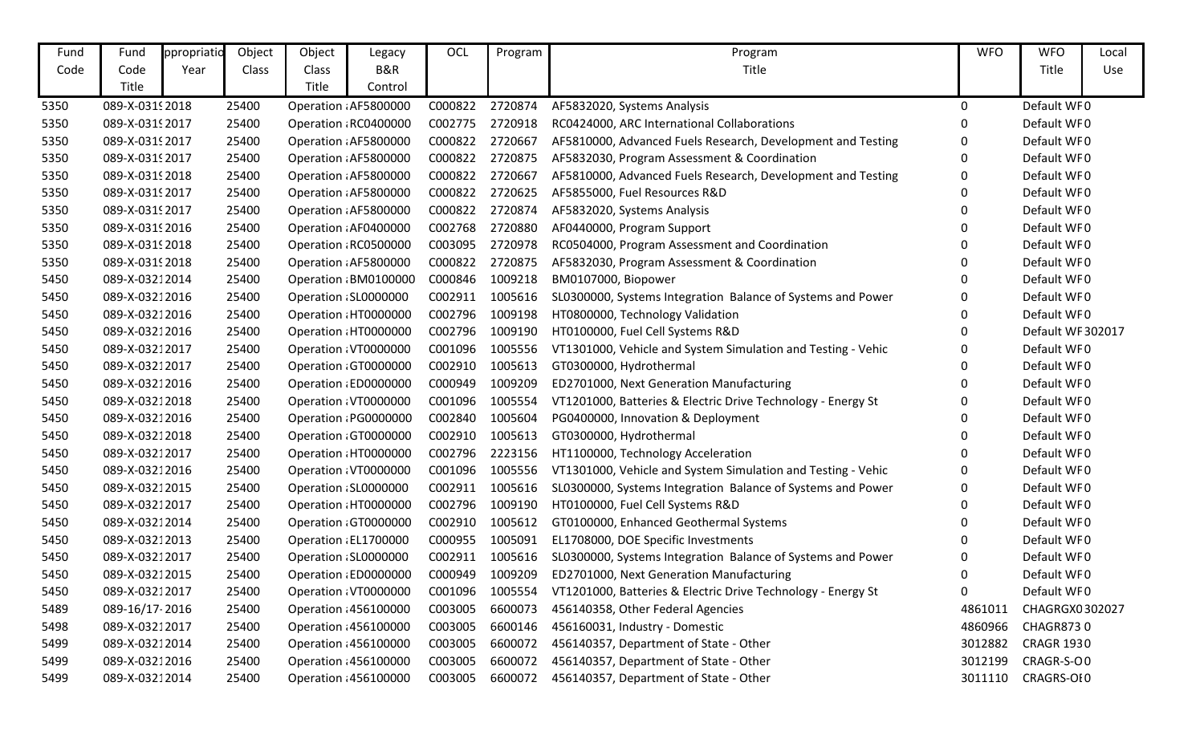| Fund | Fund            | ppropriatio | Object | Object                | Legacy                | OCL             | Program | Program                                                      | <b>WFO</b> | <b>WFO</b>        | Local |
|------|-----------------|-------------|--------|-----------------------|-----------------------|-----------------|---------|--------------------------------------------------------------|------------|-------------------|-------|
| Code | Code            | Year        | Class  | Class                 | B&R                   |                 |         | Title                                                        |            | Title             | Use   |
|      | Title           |             |        | Title                 | Control               |                 |         |                                                              |            |                   |       |
| 5350 | 089-X-0319 2018 |             | 25400  |                       | Operation : AF5800000 | C000822         | 2720874 | AF5832020, Systems Analysis                                  | $\Omega$   | Default WF0       |       |
| 5350 | 089-X-0319 2017 |             | 25400  |                       | Operation: RC0400000  | C002775         | 2720918 | RC0424000, ARC International Collaborations                  |            | Default WF0       |       |
| 5350 | 089-X-0319 2017 |             | 25400  |                       | Operation: AF5800000  | C000822         | 2720667 | AF5810000, Advanced Fuels Research, Development and Testing  |            | Default WF0       |       |
| 5350 | 089-X-0319 2017 |             | 25400  |                       | Operation: AF5800000  | C000822         | 2720875 | AF5832030, Program Assessment & Coordination                 | 0          | Default WF0       |       |
| 5350 | 089-X-0319 2018 |             | 25400  |                       | Operation: AF5800000  | C000822         | 2720667 | AF5810000, Advanced Fuels Research, Development and Testing  |            | Default WF0       |       |
| 5350 | 089-X-0319 2017 |             | 25400  |                       | Operation: AF5800000  | C000822         | 2720625 | AF5855000, Fuel Resources R&D                                | 0          | Default WF0       |       |
| 5350 | 089-X-03192017  |             | 25400  |                       | Operation : AF5800000 | C000822         | 2720874 | AF5832020, Systems Analysis                                  |            | Default WF0       |       |
| 5350 | 089-X-0319 2016 |             | 25400  |                       | Operation : AF0400000 | C002768         | 2720880 | AF0440000, Program Support                                   |            | Default WF0       |       |
| 5350 | 089-X-0319 2018 |             | 25400  |                       | Operation: RC0500000  | C003095         | 2720978 | RC0504000, Program Assessment and Coordination               |            | Default WF0       |       |
| 5350 | 089-X-0319 2018 |             | 25400  |                       | Operation AF5800000   | C000822         | 2720875 | AF5832030, Program Assessment & Coordination                 |            | Default WF0       |       |
| 5450 | 089-X-03212014  |             | 25400  |                       | Operation: BM0100000  | C000846         | 1009218 | BM0107000, Biopower                                          |            | Default WF0       |       |
| 5450 | 089-X-03212016  |             | 25400  |                       | Operation : SL0000000 | C002911         | 1005616 | SL0300000, Systems Integration Balance of Systems and Power  |            | Default WF0       |       |
| 5450 | 089-X-03212016  |             | 25400  |                       | Operation: HT0000000  | C002796         | 1009198 | HT0800000, Technology Validation                             |            | Default WF0       |       |
| 5450 | 089-X-03212016  |             | 25400  |                       | Operation: HT0000000  | C002796         | 1009190 | HT0100000, Fuel Cell Systems R&D                             |            | Default WF 302017 |       |
| 5450 | 089-X-03212017  |             | 25400  |                       | Operation: VT0000000  | C001096         | 1005556 | VT1301000, Vehicle and System Simulation and Testing - Vehic |            | Default WF0       |       |
| 5450 | 089-X-03212017  |             | 25400  |                       | Operation GT0000000   | C002910         | 1005613 | GT0300000, Hydrothermal                                      |            | Default WF0       |       |
| 5450 | 089-X-03212016  |             | 25400  |                       | Operation: ED0000000  | C000949         | 1009209 | ED2701000, Next Generation Manufacturing                     |            | Default WF0       |       |
| 5450 | 089-X-03212018  |             | 25400  |                       | Operation: VT0000000  | C001096         | 1005554 | VT1201000, Batteries & Electric Drive Technology - Energy St |            | Default WF0       |       |
| 5450 | 089-X-03212016  |             | 25400  |                       | Operation : PG0000000 | C002840         | 1005604 | PG0400000, Innovation & Deployment                           |            | Default WF0       |       |
| 5450 | 089-X-03212018  |             | 25400  |                       | Operation GT0000000   | C002910         | 1005613 | GT0300000, Hydrothermal                                      |            | Default WF0       |       |
| 5450 | 089-X-03212017  |             | 25400  |                       | Operation HT0000000   | C002796         | 2223156 | HT1100000, Technology Acceleration                           |            | Default WF0       |       |
| 5450 | 089-X-03212016  |             | 25400  |                       | Operation: VT0000000  | C001096         | 1005556 | VT1301000, Vehicle and System Simulation and Testing - Vehic |            | Default WF0       |       |
| 5450 | 089-X-03212015  |             | 25400  |                       | Operation : SL0000000 | C002911         | 1005616 | SL0300000, Systems Integration Balance of Systems and Power  | 0          | Default WF0       |       |
| 5450 | 089-X-03212017  |             | 25400  |                       | Operation: HT0000000  | C002796         | 1009190 | HT0100000, Fuel Cell Systems R&D                             |            | Default WF0       |       |
| 5450 | 089-X-03212014  |             | 25400  |                       | Operation GT0000000   | C002910         | 1005612 | GT0100000, Enhanced Geothermal Systems                       |            | Default WF0       |       |
| 5450 | 089-X-03212013  |             | 25400  | Operation : EL1700000 |                       | C000955         | 1005091 | EL1708000, DOE Specific Investments                          |            | Default WF0       |       |
| 5450 | 089-X-03212017  |             | 25400  | Operation : SL0000000 |                       | C002911         | 1005616 | SL0300000, Systems Integration Balance of Systems and Power  | 0          | Default WF0       |       |
| 5450 | 089-X-03212015  |             | 25400  |                       | Operation : ED0000000 | C000949         | 1009209 | ED2701000, Next Generation Manufacturing                     | 0          | Default WF0       |       |
| 5450 | 089-X-03212017  |             | 25400  |                       | Operation VT0000000   | C001096 1005554 |         | VT1201000, Batteries & Electric Drive Technology - Energy St | 0          | Default WF0       |       |
| 5489 | 089-16/17-2016  |             | 25400  |                       | Operation : 456100000 | C003005         | 6600073 | 456140358, Other Federal Agencies                            | 4861011    | CHAGRGX0302027    |       |
| 5498 | 089-X-03212017  |             | 25400  |                       | Operation : 456100000 | C003005         | 6600146 | 456160031, Industry - Domestic                               | 4860966    | <b>CHAGR8730</b>  |       |
| 5499 | 089-X-03212014  |             | 25400  |                       | Operation : 456100000 | C003005         | 6600072 | 456140357, Department of State - Other                       | 3012882    | <b>CRAGR 1930</b> |       |
| 5499 | 089-X-03212016  |             | 25400  |                       | Operation : 456100000 | C003005         | 6600072 | 456140357, Department of State - Other                       | 3012199    | CRAGR-S-O0        |       |
| 5499 | 089-X-03212014  |             | 25400  |                       | Operation : 456100000 | C003005         | 6600072 | 456140357, Department of State - Other                       | 3011110    | CRAGRS-OI0        |       |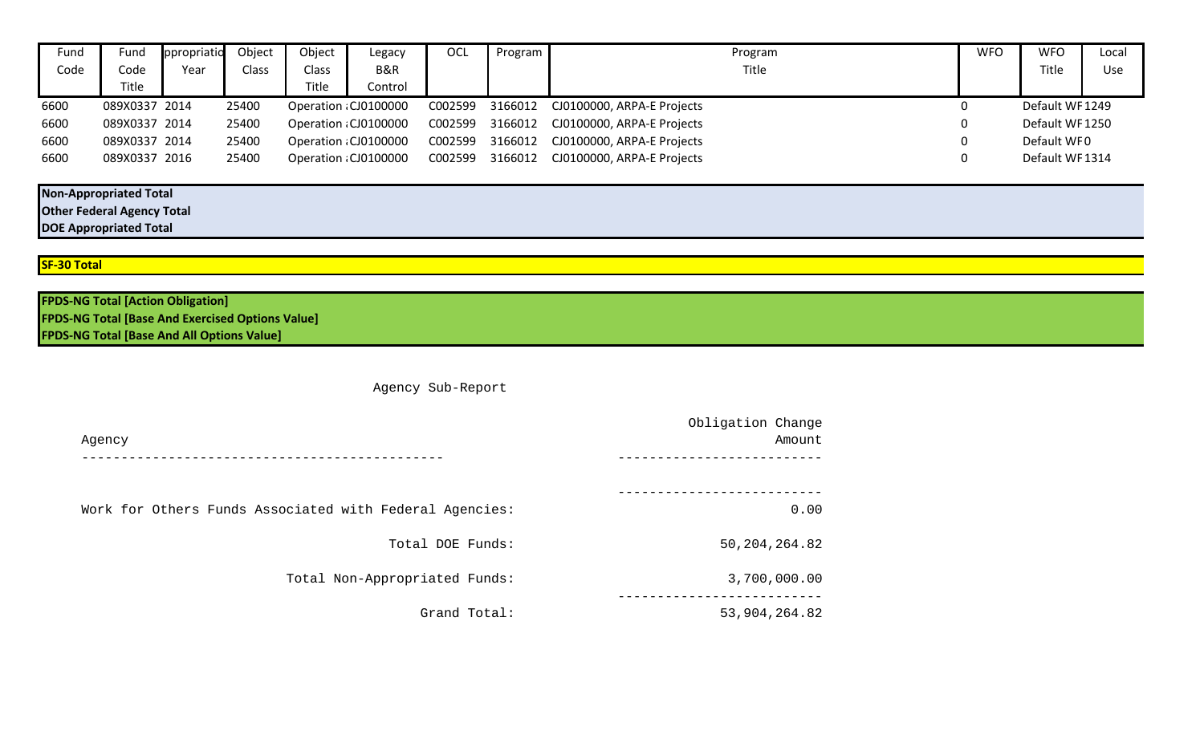| Fund | Fund          | ppropriatio | Object | Object | Legacy                | <b>OCL</b> | Program | Program                    | <b>WFO</b> | <b>WFO</b>     | Local |
|------|---------------|-------------|--------|--------|-----------------------|------------|---------|----------------------------|------------|----------------|-------|
| Code | Code          | Year        | Class  | Class  | B&R                   |            |         | Title                      |            | Title          | Use   |
|      | Title         |             |        | Title  | Control               |            |         |                            |            |                |       |
| 6600 | 089X0337 2014 |             | 25400  |        | Operation : CJ0100000 | C002599    | 3166012 | CJ0100000, ARPA-E Projects |            | Default WF1249 |       |
| 6600 | 089X0337 2014 |             | 25400  |        | Operation : CJ0100000 | C002599    | 3166012 | CJ0100000, ARPA-E Projects |            | Default WF1250 |       |
| 6600 | 089X0337 2014 |             | 25400  |        | Operation : CJ0100000 | C002599    | 3166012 | CJ0100000, ARPA-E Projects |            | Default WF0    |       |
| 6600 | 089X0337 2016 |             | 25400  |        | Operation : CJ0100000 | C002599    | 3166012 | CJ0100000, ARPA-E Projects |            | Default WF1314 |       |
|      |               |             |        |        |                       |            |         |                            |            |                |       |

**Non-Appropriated Total**

**Other Federal Agency Total**

**DOE Appropriated Total**

## **SF-30 Total**

| <b>FPDS-NG Total [Action Obligation]</b>                |  |
|---------------------------------------------------------|--|
| <b>FPDS-NG Total [Base And Exercised Options Value]</b> |  |
| <b>FPDS-NG Total [Base And All Options Value]</b>       |  |

Agency Sub-Report

|                                                         | Obligation Change |
|---------------------------------------------------------|-------------------|
| Agency                                                  | Amount            |
|                                                         |                   |
|                                                         |                   |
| Work for Others Funds Associated with Federal Agencies: | 0.00              |
| Total DOE Funds:                                        | 50, 204, 264.82   |
| Total Non-Appropriated Funds:                           | 3,700,000.00      |
| Grand Total:                                            | 53,904,264.82     |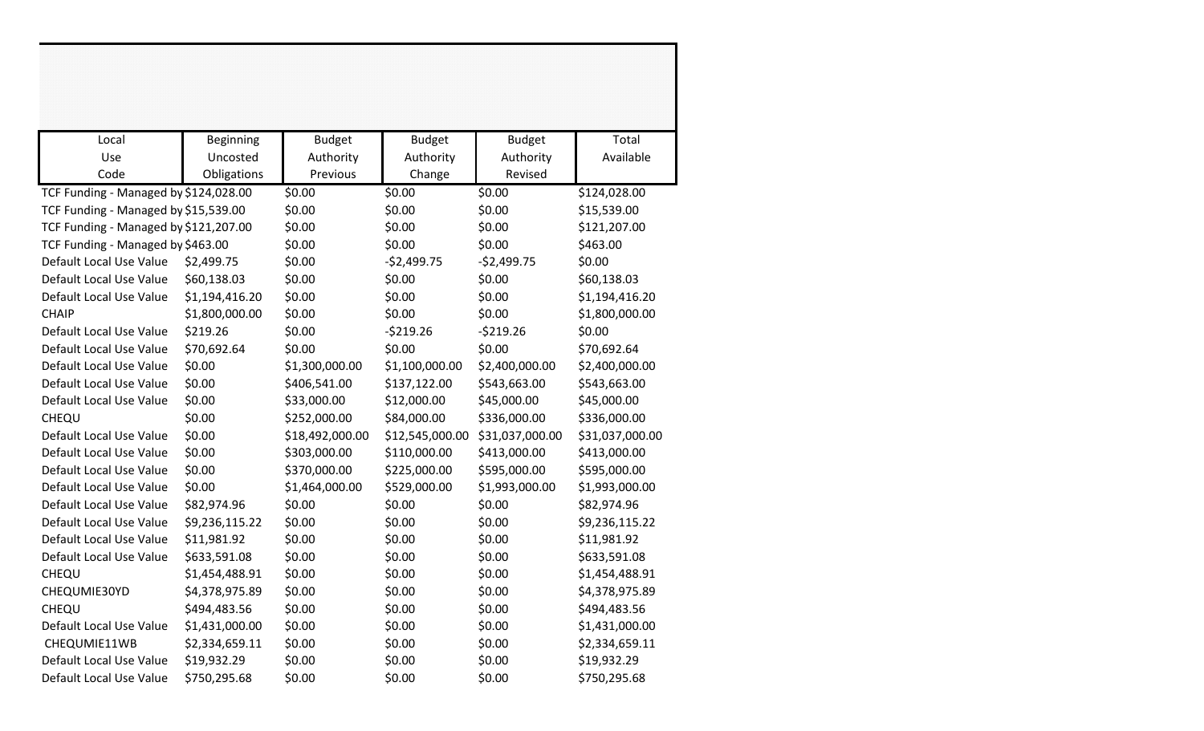| Local                                 | <b>Beginning</b> | <b>Budget</b>   | <b>Budget</b>   | <b>Budget</b>   | Total           |
|---------------------------------------|------------------|-----------------|-----------------|-----------------|-----------------|
| Use                                   | Uncosted         | Authority       | Authority       | Authority       | Available       |
| Code                                  | Obligations      | Previous        | Change          | Revised         |                 |
| TCF Funding - Managed by \$124,028.00 |                  | \$0.00          | \$0.00          | \$0.00          | \$124,028.00    |
| TCF Funding - Managed by \$15,539.00  |                  | \$0.00          | \$0.00          | \$0.00          | \$15,539.00     |
| TCF Funding - Managed by \$121,207.00 |                  | \$0.00          | \$0.00          | \$0.00          | \$121,207.00    |
| TCF Funding - Managed by \$463.00     |                  | \$0.00          | \$0.00          | \$0.00          | \$463.00        |
| Default Local Use Value               | \$2,499.75       | \$0.00          | $-52,499.75$    | $-$2,499.75$    | \$0.00          |
| Default Local Use Value               | \$60,138.03      | \$0.00          | \$0.00          | \$0.00          | \$60,138.03     |
| Default Local Use Value               | \$1,194,416.20   | \$0.00          | \$0.00          | \$0.00          | \$1,194,416.20  |
| <b>CHAIP</b>                          | \$1,800,000.00   | \$0.00          | \$0.00          | \$0.00          | \$1,800,000.00  |
| Default Local Use Value               | \$219.26         | \$0.00          | $-5219.26$      | $-5219.26$      | \$0.00          |
| Default Local Use Value               | \$70,692.64      | \$0.00          | \$0.00          | \$0.00          | \$70,692.64     |
| Default Local Use Value               | \$0.00           | \$1,300,000.00  | \$1,100,000.00  | \$2,400,000.00  | \$2,400,000.00  |
| Default Local Use Value               | \$0.00           | \$406,541.00    | \$137,122.00    | \$543,663.00    | \$543,663.00    |
| Default Local Use Value               | \$0.00           | \$33,000.00     | \$12,000.00     | \$45,000.00     | \$45,000.00     |
| CHEQU                                 | \$0.00           | \$252,000.00    | \$84,000.00     | \$336,000.00    | \$336,000.00    |
| Default Local Use Value               | \$0.00           | \$18,492,000.00 | \$12,545,000.00 | \$31,037,000.00 | \$31,037,000.00 |
| Default Local Use Value               | \$0.00           | \$303,000.00    | \$110,000.00    | \$413,000.00    | \$413,000.00    |
| Default Local Use Value               | \$0.00           | \$370,000.00    | \$225,000.00    | \$595,000.00    | \$595,000.00    |
| Default Local Use Value               | \$0.00           | \$1,464,000.00  | \$529,000.00    | \$1,993,000.00  | \$1,993,000.00  |
| Default Local Use Value               | \$82,974.96      | \$0.00          | \$0.00          | \$0.00          | \$82,974.96     |
| Default Local Use Value               | \$9,236,115.22   | \$0.00          | \$0.00          | \$0.00          | \$9,236,115.22  |
| Default Local Use Value               | \$11,981.92      | \$0.00          | \$0.00          | \$0.00          | \$11,981.92     |
| Default Local Use Value               | \$633,591.08     | \$0.00          | \$0.00          | \$0.00          | \$633,591.08    |
| CHEQU                                 | \$1,454,488.91   | \$0.00          | \$0.00          | \$0.00          | \$1,454,488.91  |
| CHEQUMIE30YD                          | \$4,378,975.89   | \$0.00          | \$0.00          | \$0.00          | \$4,378,975.89  |
| CHEQU                                 | \$494,483.56     | \$0.00          | \$0.00          | \$0.00          | \$494,483.56    |
| Default Local Use Value               | \$1,431,000.00   | \$0.00          | \$0.00          | \$0.00          | \$1,431,000.00  |
| CHEQUMIE11WB                          | \$2,334,659.11   | \$0.00          | \$0.00          | \$0.00          | \$2,334,659.11  |
| Default Local Use Value               | \$19,932.29      | \$0.00          | \$0.00          | \$0.00          | \$19,932.29     |
| Default Local Use Value               | \$750,295.68     | \$0.00          | \$0.00          | \$0.00          | \$750,295.68    |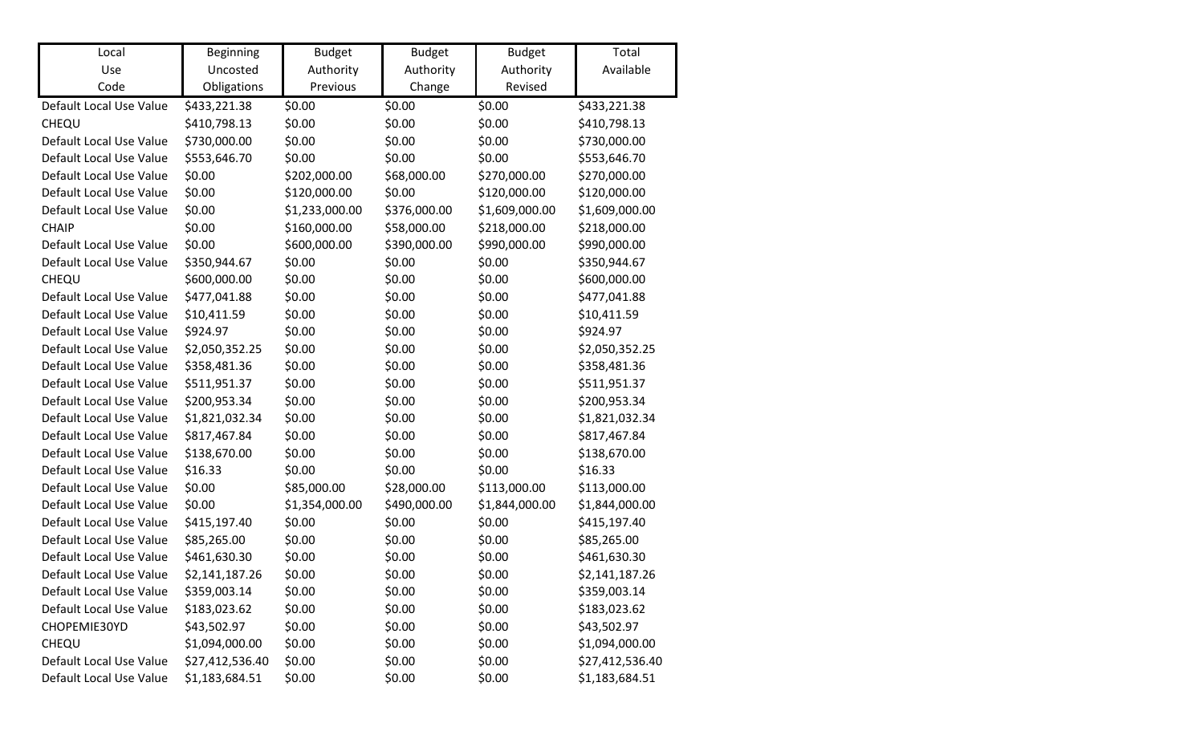| Local                   | <b>Beginning</b> | <b>Budget</b>  | <b>Budget</b> | <b>Budget</b>  | Total           |
|-------------------------|------------------|----------------|---------------|----------------|-----------------|
| Use                     | Uncosted         | Authority      | Authority     | Authority      | Available       |
| Code                    | Obligations      | Previous       | Change        | Revised        |                 |
| Default Local Use Value | \$433,221.38     | \$0.00         | \$0.00        | \$0.00         | \$433,221.38    |
| CHEQU                   | \$410,798.13     | \$0.00         | \$0.00        | \$0.00         | \$410,798.13    |
| Default Local Use Value | \$730,000.00     | \$0.00         | \$0.00        | \$0.00         | \$730,000.00    |
| Default Local Use Value | \$553,646.70     | \$0.00         | \$0.00        | \$0.00         | \$553,646.70    |
| Default Local Use Value | \$0.00           | \$202,000.00   | \$68,000.00   | \$270,000.00   | \$270,000.00    |
| Default Local Use Value | \$0.00           | \$120,000.00   | \$0.00        | \$120,000.00   | \$120,000.00    |
| Default Local Use Value | \$0.00           | \$1,233,000.00 | \$376,000.00  | \$1,609,000.00 | \$1,609,000.00  |
| <b>CHAIP</b>            | \$0.00           | \$160,000.00   | \$58,000.00   | \$218,000.00   | \$218,000.00    |
| Default Local Use Value | \$0.00           | \$600,000.00   | \$390,000.00  | \$990,000.00   | \$990,000.00    |
| Default Local Use Value | \$350,944.67     | \$0.00         | \$0.00        | \$0.00         | \$350,944.67    |
| CHEQU                   | \$600,000.00     | \$0.00         | \$0.00        | \$0.00         | \$600,000.00    |
| Default Local Use Value | \$477,041.88     | \$0.00         | \$0.00        | \$0.00         | \$477,041.88    |
| Default Local Use Value | \$10,411.59      | \$0.00         | \$0.00        | \$0.00         | \$10,411.59     |
| Default Local Use Value | \$924.97         | \$0.00         | \$0.00        | \$0.00         | \$924.97        |
| Default Local Use Value | \$2,050,352.25   | \$0.00         | \$0.00        | \$0.00         | \$2,050,352.25  |
| Default Local Use Value | \$358,481.36     | \$0.00         | \$0.00        | \$0.00         | \$358,481.36    |
| Default Local Use Value | \$511,951.37     | \$0.00         | \$0.00        | \$0.00         | \$511,951.37    |
| Default Local Use Value | \$200,953.34     | \$0.00         | \$0.00        | \$0.00         | \$200,953.34    |
| Default Local Use Value | \$1,821,032.34   | \$0.00         | \$0.00        | \$0.00         | \$1,821,032.34  |
| Default Local Use Value | \$817,467.84     | \$0.00         | \$0.00        | \$0.00         | \$817,467.84    |
| Default Local Use Value | \$138,670.00     | \$0.00         | \$0.00        | \$0.00         | \$138,670.00    |
| Default Local Use Value | \$16.33          | \$0.00         | \$0.00        | \$0.00         | \$16.33         |
| Default Local Use Value | \$0.00           | \$85,000.00    | \$28,000.00   | \$113,000.00   | \$113,000.00    |
| Default Local Use Value | \$0.00           | \$1,354,000.00 | \$490,000.00  | \$1,844,000.00 | \$1,844,000.00  |
| Default Local Use Value | \$415,197.40     | \$0.00         | \$0.00        | \$0.00         | \$415,197.40    |
| Default Local Use Value | \$85,265.00      | \$0.00         | \$0.00        | \$0.00         | \$85,265.00     |
| Default Local Use Value | \$461,630.30     | \$0.00         | \$0.00        | \$0.00         | \$461,630.30    |
| Default Local Use Value | \$2,141,187.26   | \$0.00         | \$0.00        | \$0.00         | \$2,141,187.26  |
| Default Local Use Value | \$359,003.14     | \$0.00         | \$0.00        | \$0.00         | \$359,003.14    |
| Default Local Use Value | \$183,023.62     | \$0.00         | \$0.00        | \$0.00         | \$183,023.62    |
| CHOPEMIE30YD            | \$43,502.97      | \$0.00         | \$0.00        | \$0.00         | \$43,502.97     |
| CHEQU                   | \$1,094,000.00   | \$0.00         | \$0.00        | \$0.00         | \$1,094,000.00  |
| Default Local Use Value | \$27,412,536.40  | \$0.00         | \$0.00        | \$0.00         | \$27,412,536.40 |
| Default Local Use Value | \$1,183,684.51   | \$0.00         | \$0.00        | \$0.00         | \$1,183,684.51  |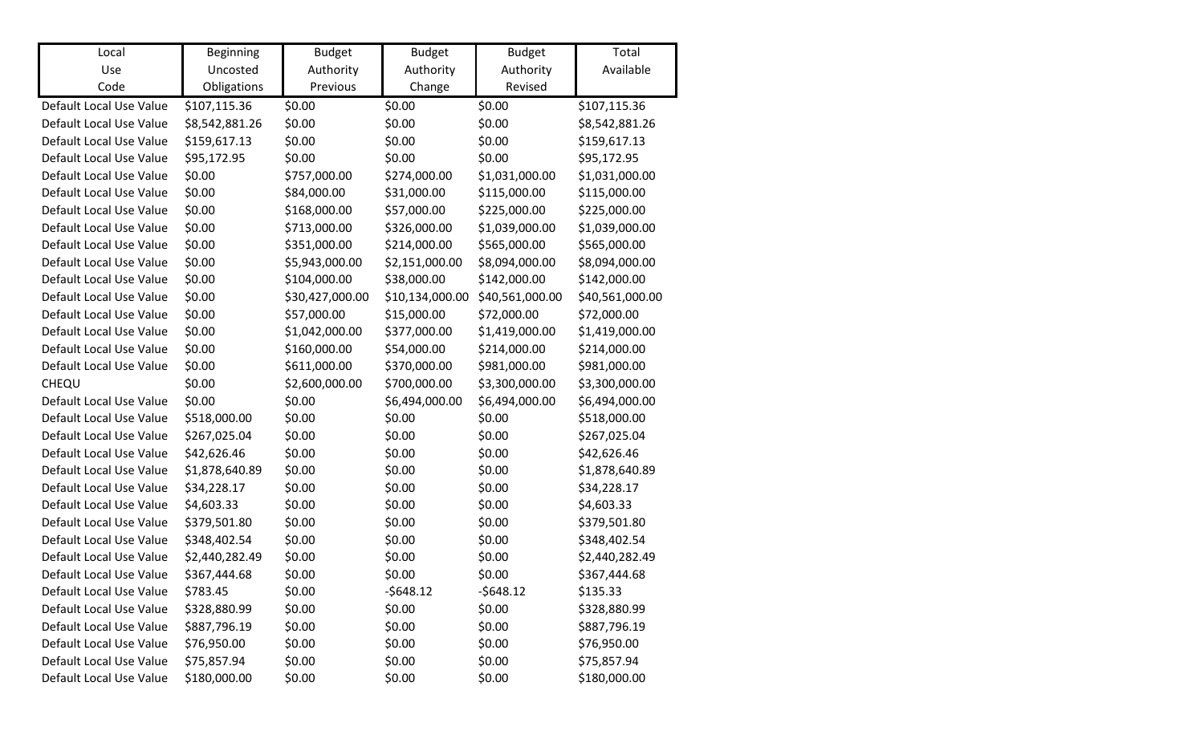| Local                   | Beginning      | <b>Budget</b>   | <b>Budget</b>   | <b>Budget</b>   | Total           |
|-------------------------|----------------|-----------------|-----------------|-----------------|-----------------|
| Use                     | Uncosted       | Authority       | Authority       | Authority       | Available       |
| Code                    | Obligations    | Previous        | Change          | Revised         |                 |
| Default Local Use Value | \$107,115.36   | \$0.00          | \$0.00          | \$0.00          | \$107,115.36    |
| Default Local Use Value | \$8,542,881.26 | \$0.00          | \$0.00          | \$0.00          | \$8,542,881.26  |
| Default Local Use Value | \$159,617.13   | \$0.00          | \$0.00          | \$0.00          | \$159,617.13    |
| Default Local Use Value | \$95,172.95    | \$0.00          | \$0.00          | \$0.00          | \$95,172.95     |
| Default Local Use Value | \$0.00         | \$757,000.00    | \$274,000.00    | \$1,031,000.00  | \$1,031,000.00  |
| Default Local Use Value | \$0.00         | \$84,000.00     | \$31,000.00     | \$115,000.00    | \$115,000.00    |
| Default Local Use Value | \$0.00         | \$168,000.00    | \$57,000.00     | \$225,000.00    | \$225,000.00    |
| Default Local Use Value | \$0.00         | \$713,000.00    | \$326,000.00    | \$1,039,000.00  | \$1,039,000.00  |
| Default Local Use Value | \$0.00         | \$351,000.00    | \$214,000.00    | \$565,000.00    | \$565,000.00    |
| Default Local Use Value | \$0.00         | \$5,943,000.00  | \$2,151,000.00  | \$8,094,000.00  | \$8,094,000.00  |
| Default Local Use Value | \$0.00         | \$104,000.00    | \$38,000.00     | \$142,000.00    | \$142,000.00    |
| Default Local Use Value | \$0.00         | \$30,427,000.00 | \$10,134,000.00 | \$40,561,000.00 | \$40,561,000.00 |
| Default Local Use Value | \$0.00         | \$57,000.00     | \$15,000.00     | \$72,000.00     | \$72,000.00     |
| Default Local Use Value | \$0.00         | \$1,042,000.00  | \$377,000.00    | \$1,419,000.00  | \$1,419,000.00  |
| Default Local Use Value | \$0.00         | \$160,000.00    | \$54,000.00     | \$214,000.00    | \$214,000.00    |
| Default Local Use Value | \$0.00         | \$611,000.00    | \$370,000.00    | \$981,000.00    | \$981,000.00    |
| CHEQU                   | \$0.00         | \$2,600,000.00  | \$700,000.00    | \$3,300,000.00  | \$3,300,000.00  |
| Default Local Use Value | \$0.00         | \$0.00          | \$6,494,000.00  | \$6,494,000.00  | \$6,494,000.00  |
| Default Local Use Value | \$518,000.00   | \$0.00          | \$0.00          | \$0.00          | \$518,000.00    |
| Default Local Use Value | \$267,025.04   | \$0.00          | \$0.00          | \$0.00          | \$267,025.04    |
| Default Local Use Value | \$42,626.46    | \$0.00          | \$0.00          | \$0.00          | \$42,626.46     |
| Default Local Use Value | \$1,878,640.89 | \$0.00          | \$0.00          | \$0.00          | \$1,878,640.89  |
| Default Local Use Value | \$34,228.17    | \$0.00          | \$0.00          | \$0.00          | \$34,228.17     |
| Default Local Use Value | \$4,603.33     | \$0.00          | \$0.00          | \$0.00          | \$4,603.33      |
| Default Local Use Value | \$379,501.80   | \$0.00          | \$0.00          | \$0.00          | \$379,501.80    |
| Default Local Use Value | \$348,402.54   | \$0.00          | \$0.00          | \$0.00          | \$348,402.54    |
| Default Local Use Value | \$2,440,282.49 | \$0.00          | \$0.00          | \$0.00          | \$2,440,282.49  |
| Default Local Use Value | \$367,444.68   | \$0.00          | \$0.00          | \$0.00          | \$367,444.68    |
| Default Local Use Value | \$783.45       | \$0.00          | $-5648.12$      | $-5648.12$      | \$135.33        |
| Default Local Use Value | \$328,880.99   | \$0.00          | \$0.00          | \$0.00          | \$328,880.99    |
| Default Local Use Value | \$887,796.19   | \$0.00          | \$0.00          | \$0.00          | \$887,796.19    |
| Default Local Use Value | \$76,950.00    | \$0.00          | \$0.00          | \$0.00          | \$76,950.00     |
| Default Local Use Value | \$75,857.94    | \$0.00          | \$0.00          | \$0.00          | \$75,857.94     |
| Default Local Use Value | \$180,000.00   | \$0.00          | \$0.00          | \$0.00          | \$180,000.00    |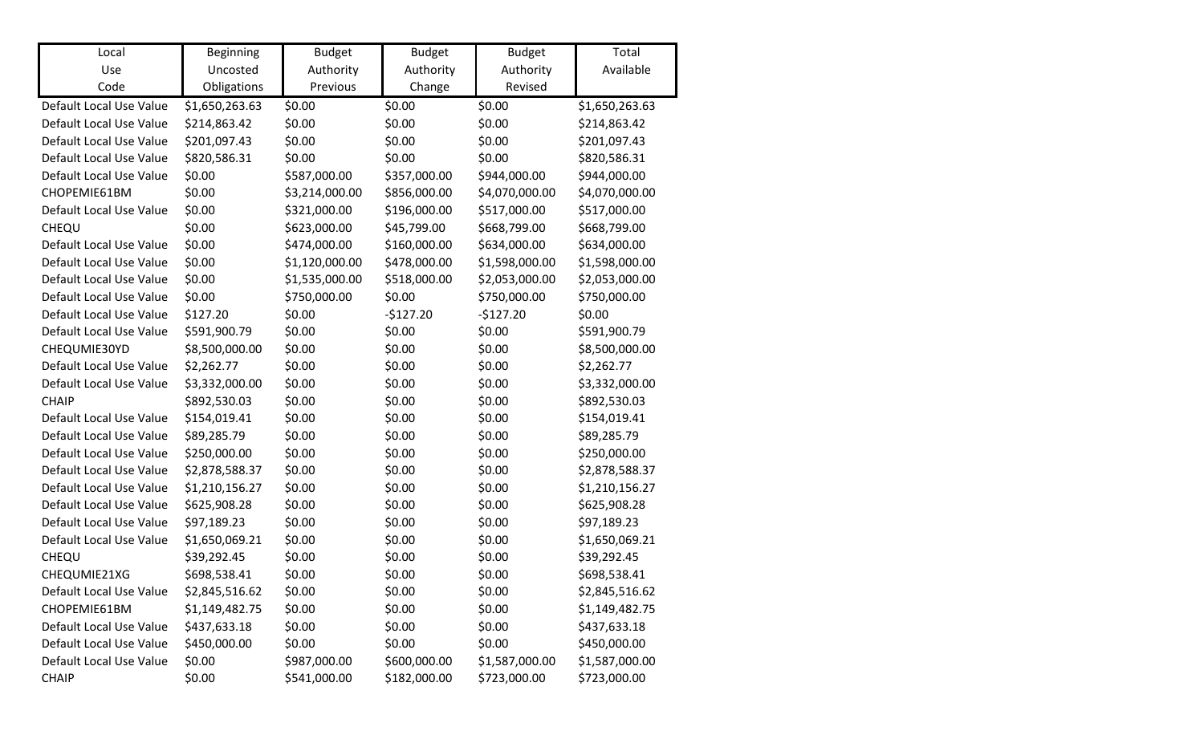| Local                   | Beginning      | <b>Budget</b>  | <b>Budget</b> | <b>Budget</b>  | Total          |
|-------------------------|----------------|----------------|---------------|----------------|----------------|
| Use                     | Uncosted       | Authority      | Authority     | Authority      | Available      |
| Code                    | Obligations    | Previous       | Change        | Revised        |                |
| Default Local Use Value | \$1,650,263.63 | \$0.00         | \$0.00        | \$0.00         | \$1,650,263.63 |
| Default Local Use Value | \$214,863.42   | \$0.00         | \$0.00        | \$0.00         | \$214,863.42   |
| Default Local Use Value | \$201,097.43   | \$0.00         | \$0.00        | \$0.00         | \$201,097.43   |
| Default Local Use Value | \$820,586.31   | \$0.00         | \$0.00        | \$0.00         | \$820,586.31   |
| Default Local Use Value | \$0.00         | \$587,000.00   | \$357,000.00  | \$944,000.00   | \$944,000.00   |
| CHOPEMIE61BM            | \$0.00         | \$3,214,000.00 | \$856,000.00  | \$4,070,000.00 | \$4,070,000.00 |
| Default Local Use Value | \$0.00         | \$321,000.00   | \$196,000.00  | \$517,000.00   | \$517,000.00   |
| CHEQU                   | \$0.00         | \$623,000.00   | \$45,799.00   | \$668,799.00   | \$668,799.00   |
| Default Local Use Value | \$0.00         | \$474,000.00   | \$160,000.00  | \$634,000.00   | \$634,000.00   |
| Default Local Use Value | \$0.00         | \$1,120,000.00 | \$478,000.00  | \$1,598,000.00 | \$1,598,000.00 |
| Default Local Use Value | \$0.00         | \$1,535,000.00 | \$518,000.00  | \$2,053,000.00 | \$2,053,000.00 |
| Default Local Use Value | \$0.00         | \$750,000.00   | \$0.00        | \$750,000.00   | \$750,000.00   |
| Default Local Use Value | \$127.20       | \$0.00         | $-$127.20$    | $-$127.20$     | \$0.00         |
| Default Local Use Value | \$591,900.79   | \$0.00         | \$0.00        | \$0.00         | \$591,900.79   |
| CHEQUMIE30YD            | \$8,500,000.00 | \$0.00         | \$0.00        | \$0.00         | \$8,500,000.00 |
| Default Local Use Value | \$2,262.77     | \$0.00         | \$0.00        | \$0.00         | \$2,262.77     |
| Default Local Use Value | \$3,332,000.00 | \$0.00         | \$0.00        | \$0.00         | \$3,332,000.00 |
| <b>CHAIP</b>            | \$892,530.03   | \$0.00         | \$0.00        | \$0.00         | \$892,530.03   |
| Default Local Use Value | \$154,019.41   | \$0.00         | \$0.00        | \$0.00         | \$154,019.41   |
| Default Local Use Value | \$89,285.79    | \$0.00         | \$0.00        | \$0.00         | \$89,285.79    |
| Default Local Use Value | \$250,000.00   | \$0.00         | \$0.00        | \$0.00         | \$250,000.00   |
| Default Local Use Value | \$2,878,588.37 | \$0.00         | \$0.00        | \$0.00         | \$2,878,588.37 |
| Default Local Use Value | \$1,210,156.27 | \$0.00         | \$0.00        | \$0.00         | \$1,210,156.27 |
| Default Local Use Value | \$625,908.28   | \$0.00         | \$0.00        | \$0.00         | \$625,908.28   |
| Default Local Use Value | \$97,189.23    | \$0.00         | \$0.00        | \$0.00         | \$97,189.23    |
| Default Local Use Value | \$1,650,069.21 | \$0.00         | \$0.00        | \$0.00         | \$1,650,069.21 |
| CHEQU                   | \$39,292.45    | \$0.00         | \$0.00        | \$0.00         | \$39,292.45    |
| CHEQUMIE21XG            | \$698,538.41   | \$0.00         | \$0.00        | \$0.00         | \$698,538.41   |
| Default Local Use Value | \$2,845,516.62 | \$0.00         | \$0.00        | \$0.00         | \$2,845,516.62 |
| CHOPEMIE61BM            | \$1,149,482.75 | \$0.00         | \$0.00        | \$0.00         | \$1,149,482.75 |
| Default Local Use Value | \$437,633.18   | \$0.00         | \$0.00        | \$0.00         | \$437,633.18   |
| Default Local Use Value | \$450,000.00   | \$0.00         | \$0.00        | \$0.00         | \$450,000.00   |
| Default Local Use Value | \$0.00         | \$987,000.00   | \$600,000.00  | \$1,587,000.00 | \$1,587,000.00 |
| <b>CHAIP</b>            | \$0.00         | \$541,000.00   | \$182,000.00  | \$723,000.00   | \$723,000.00   |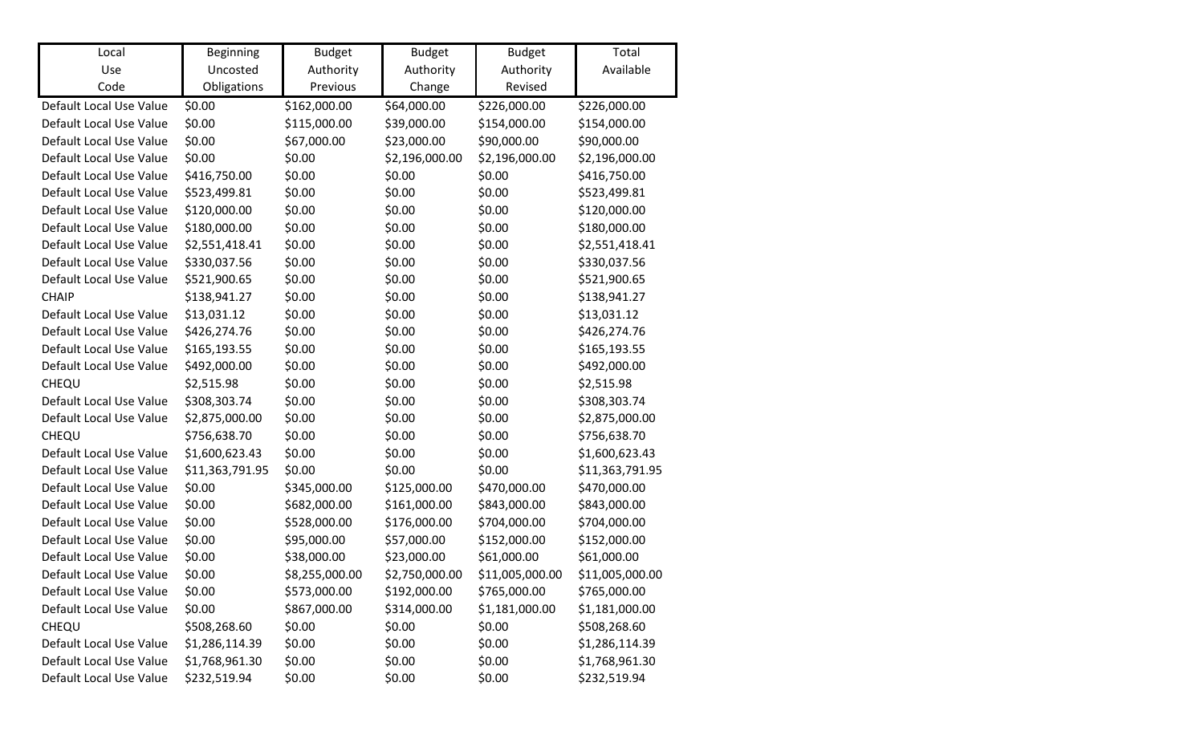| Local                   | Beginning       | <b>Budget</b>  | <b>Budget</b>  | <b>Budget</b>   | Total           |
|-------------------------|-----------------|----------------|----------------|-----------------|-----------------|
| Use                     | Uncosted        | Authority      | Authority      | Authority       | Available       |
| Code                    | Obligations     | Previous       | Change         | Revised         |                 |
| Default Local Use Value | \$0.00          | \$162,000.00   | \$64,000.00    | \$226,000.00    | \$226,000.00    |
| Default Local Use Value | \$0.00          | \$115,000.00   | \$39,000.00    | \$154,000.00    | \$154,000.00    |
| Default Local Use Value | \$0.00          | \$67,000.00    | \$23,000.00    | \$90,000.00     | \$90,000.00     |
| Default Local Use Value | \$0.00          | \$0.00         | \$2,196,000.00 | \$2,196,000.00  | \$2,196,000.00  |
| Default Local Use Value | \$416,750.00    | \$0.00         | \$0.00         | \$0.00          | \$416,750.00    |
| Default Local Use Value | \$523,499.81    | \$0.00         | \$0.00         | \$0.00          | \$523,499.81    |
| Default Local Use Value | \$120,000.00    | \$0.00         | \$0.00         | \$0.00          | \$120,000.00    |
| Default Local Use Value | \$180,000.00    | \$0.00         | \$0.00         | \$0.00          | \$180,000.00    |
| Default Local Use Value | \$2,551,418.41  | \$0.00         | \$0.00         | \$0.00          | \$2,551,418.41  |
| Default Local Use Value | \$330,037.56    | \$0.00         | \$0.00         | \$0.00          | \$330,037.56    |
| Default Local Use Value | \$521,900.65    | \$0.00         | \$0.00         | \$0.00          | \$521,900.65    |
| <b>CHAIP</b>            | \$138,941.27    | \$0.00         | \$0.00         | \$0.00          | \$138,941.27    |
| Default Local Use Value | \$13,031.12     | \$0.00         | \$0.00         | \$0.00          | \$13,031.12     |
| Default Local Use Value | \$426,274.76    | \$0.00         | \$0.00         | \$0.00          | \$426,274.76    |
| Default Local Use Value | \$165,193.55    | \$0.00         | \$0.00         | \$0.00          | \$165,193.55    |
| Default Local Use Value | \$492,000.00    | \$0.00         | \$0.00         | \$0.00          | \$492,000.00    |
| CHEQU                   | \$2,515.98      | \$0.00         | \$0.00         | \$0.00          | \$2,515.98      |
| Default Local Use Value | \$308,303.74    | \$0.00         | \$0.00         | \$0.00          | \$308,303.74    |
| Default Local Use Value | \$2,875,000.00  | \$0.00         | \$0.00         | \$0.00          | \$2,875,000.00  |
| CHEQU                   | \$756,638.70    | \$0.00         | \$0.00         | \$0.00          | \$756,638.70    |
| Default Local Use Value | \$1,600,623.43  | \$0.00         | \$0.00         | \$0.00          | \$1,600,623.43  |
| Default Local Use Value | \$11,363,791.95 | \$0.00         | \$0.00         | \$0.00          | \$11,363,791.95 |
| Default Local Use Value | \$0.00          | \$345,000.00   | \$125,000.00   | \$470,000.00    | \$470,000.00    |
| Default Local Use Value | \$0.00          | \$682,000.00   | \$161,000.00   | \$843,000.00    | \$843,000.00    |
| Default Local Use Value | \$0.00          | \$528,000.00   | \$176,000.00   | \$704,000.00    | \$704,000.00    |
| Default Local Use Value | \$0.00          | \$95,000.00    | \$57,000.00    | \$152,000.00    | \$152,000.00    |
| Default Local Use Value | \$0.00          | \$38,000.00    | \$23,000.00    | \$61,000.00     | \$61,000.00     |
| Default Local Use Value | \$0.00          | \$8,255,000.00 | \$2,750,000.00 | \$11,005,000.00 | \$11,005,000.00 |
| Default Local Use Value | \$0.00          | \$573,000.00   | \$192,000.00   | \$765,000.00    | \$765,000.00    |
| Default Local Use Value | \$0.00          | \$867,000.00   | \$314,000.00   | \$1,181,000.00  | \$1,181,000.00  |
| CHEQU                   | \$508,268.60    | \$0.00         | \$0.00         | \$0.00          | \$508,268.60    |
| Default Local Use Value | \$1,286,114.39  | \$0.00         | \$0.00         | \$0.00          | \$1,286,114.39  |
| Default Local Use Value | \$1,768,961.30  | \$0.00         | \$0.00         | \$0.00          | \$1,768,961.30  |
| Default Local Use Value | \$232,519.94    | \$0.00         | \$0.00         | \$0.00          | \$232,519.94    |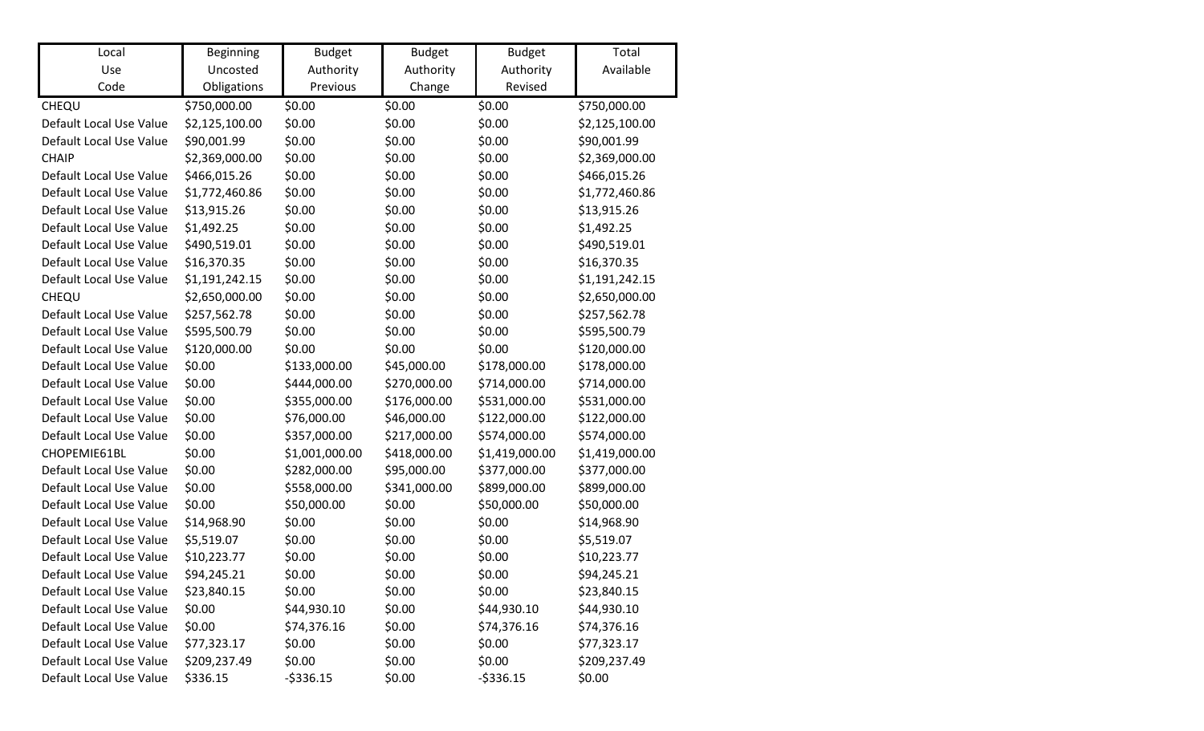| Local                   | <b>Beginning</b> | <b>Budget</b>  | <b>Budget</b> | <b>Budget</b>  | Total          |
|-------------------------|------------------|----------------|---------------|----------------|----------------|
| Use                     | Uncosted         | Authority      | Authority     | Authority      | Available      |
| Code                    | Obligations      | Previous       | Change        | Revised        |                |
| CHEQU                   | \$750,000.00     | \$0.00         | \$0.00        | \$0.00         | \$750,000.00   |
| Default Local Use Value | \$2,125,100.00   | \$0.00         | \$0.00        | \$0.00         | \$2,125,100.00 |
| Default Local Use Value | \$90,001.99      | \$0.00         | \$0.00        | \$0.00         | \$90,001.99    |
| <b>CHAIP</b>            | \$2,369,000.00   | \$0.00         | \$0.00        | \$0.00         | \$2,369,000.00 |
| Default Local Use Value | \$466,015.26     | \$0.00         | \$0.00        | \$0.00         | \$466,015.26   |
| Default Local Use Value | \$1,772,460.86   | \$0.00         | \$0.00        | \$0.00         | \$1,772,460.86 |
| Default Local Use Value | \$13,915.26      | \$0.00         | \$0.00        | \$0.00         | \$13,915.26    |
| Default Local Use Value | \$1,492.25       | \$0.00         | \$0.00        | \$0.00         | \$1,492.25     |
| Default Local Use Value | \$490,519.01     | \$0.00         | \$0.00        | \$0.00         | \$490,519.01   |
| Default Local Use Value | \$16,370.35      | \$0.00         | \$0.00        | \$0.00         | \$16,370.35    |
| Default Local Use Value | \$1,191,242.15   | \$0.00         | \$0.00        | \$0.00         | \$1,191,242.15 |
| CHEQU                   | \$2,650,000.00   | \$0.00         | \$0.00        | \$0.00         | \$2,650,000.00 |
| Default Local Use Value | \$257,562.78     | \$0.00         | \$0.00        | \$0.00         | \$257,562.78   |
| Default Local Use Value | \$595,500.79     | \$0.00         | \$0.00        | \$0.00         | \$595,500.79   |
| Default Local Use Value | \$120,000.00     | \$0.00         | \$0.00        | \$0.00         | \$120,000.00   |
| Default Local Use Value | \$0.00           | \$133,000.00   | \$45,000.00   | \$178,000.00   | \$178,000.00   |
| Default Local Use Value | \$0.00           | \$444,000.00   | \$270,000.00  | \$714,000.00   | \$714,000.00   |
| Default Local Use Value | \$0.00           | \$355,000.00   | \$176,000.00  | \$531,000.00   | \$531,000.00   |
| Default Local Use Value | \$0.00           | \$76,000.00    | \$46,000.00   | \$122,000.00   | \$122,000.00   |
| Default Local Use Value | \$0.00           | \$357,000.00   | \$217,000.00  | \$574,000.00   | \$574,000.00   |
| CHOPEMIE61BL            | \$0.00           | \$1,001,000.00 | \$418,000.00  | \$1,419,000.00 | \$1,419,000.00 |
| Default Local Use Value | \$0.00           | \$282,000.00   | \$95,000.00   | \$377,000.00   | \$377,000.00   |
| Default Local Use Value | \$0.00           | \$558,000.00   | \$341,000.00  | \$899,000.00   | \$899,000.00   |
| Default Local Use Value | \$0.00           | \$50,000.00    | \$0.00        | \$50,000.00    | \$50,000.00    |
| Default Local Use Value | \$14,968.90      | \$0.00         | \$0.00        | \$0.00         | \$14,968.90    |
| Default Local Use Value | \$5,519.07       | \$0.00         | \$0.00        | \$0.00         | \$5,519.07     |
| Default Local Use Value | \$10,223.77      | \$0.00         | \$0.00        | \$0.00         | \$10,223.77    |
| Default Local Use Value | \$94,245.21      | \$0.00         | \$0.00        | \$0.00         | \$94,245.21    |
| Default Local Use Value | \$23,840.15      | \$0.00         | \$0.00        | \$0.00         | \$23,840.15    |
| Default Local Use Value | \$0.00           | \$44,930.10    | \$0.00        | \$44,930.10    | \$44,930.10    |
| Default Local Use Value | \$0.00           | \$74,376.16    | \$0.00        | \$74,376.16    | \$74,376.16    |
| Default Local Use Value | \$77,323.17      | \$0.00         | \$0.00        | \$0.00         | \$77,323.17    |
| Default Local Use Value | \$209,237.49     | \$0.00         | \$0.00        | \$0.00         | \$209,237.49   |
| Default Local Use Value | \$336.15         | $-5336.15$     | \$0.00        | $-$ \$336.15   | \$0.00         |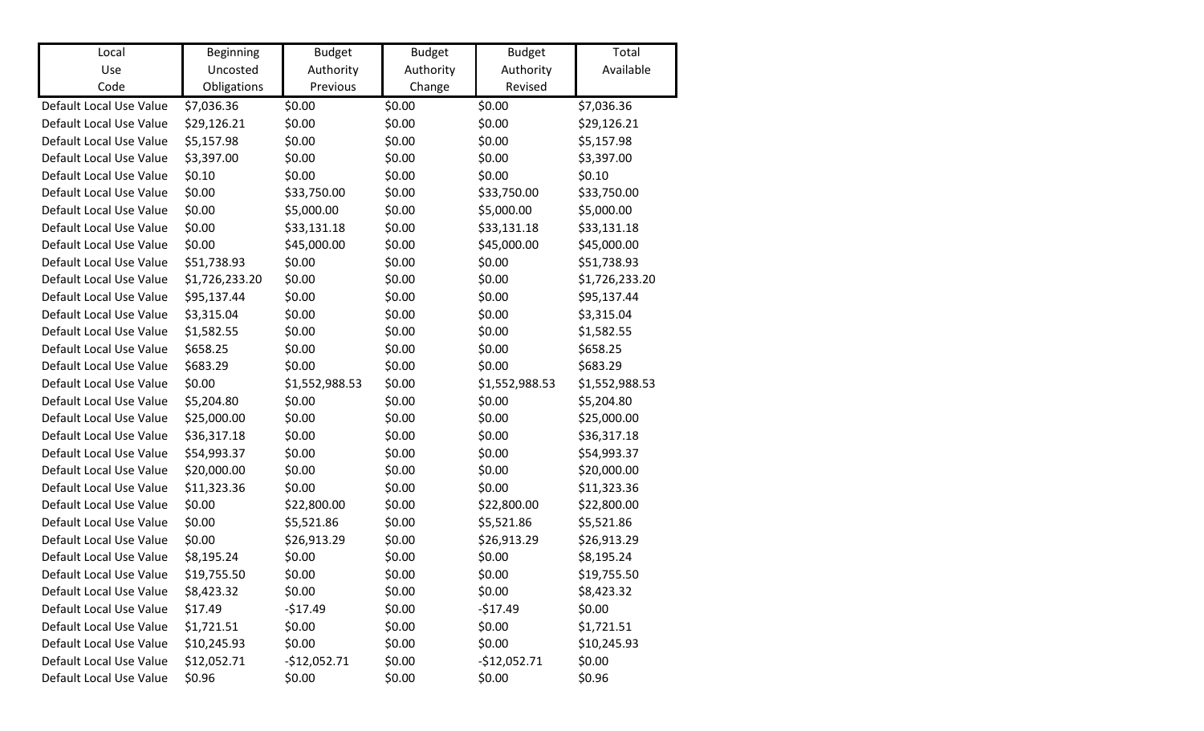| Local<br>Use            | <b>Beginning</b><br>Uncosted | <b>Budget</b>         | <b>Budget</b>       | <b>Budget</b>        | Total<br>Available |
|-------------------------|------------------------------|-----------------------|---------------------|----------------------|--------------------|
| Code                    | Obligations                  | Authority<br>Previous | Authority<br>Change | Authority<br>Revised |                    |
|                         |                              |                       |                     |                      |                    |
| Default Local Use Value | \$7,036.36                   | \$0.00                | \$0.00              | \$0.00               | \$7,036.36         |
| Default Local Use Value | \$29,126.21                  | \$0.00                | \$0.00              | \$0.00               | \$29,126.21        |
| Default Local Use Value | \$5,157.98                   | \$0.00                | \$0.00              | \$0.00               | \$5,157.98         |
| Default Local Use Value | \$3,397.00                   | \$0.00                | \$0.00              | \$0.00               | \$3,397.00         |
| Default Local Use Value | \$0.10                       | \$0.00                | \$0.00              | \$0.00               | \$0.10             |
| Default Local Use Value | \$0.00                       | \$33,750.00           | \$0.00              | \$33,750.00          | \$33,750.00        |
| Default Local Use Value | \$0.00                       | \$5,000.00            | \$0.00              | \$5,000.00           | \$5,000.00         |
| Default Local Use Value | \$0.00                       | \$33,131.18           | \$0.00              | \$33,131.18          | \$33,131.18        |
| Default Local Use Value | \$0.00                       | \$45,000.00           | \$0.00              | \$45,000.00          | \$45,000.00        |
| Default Local Use Value | \$51,738.93                  | \$0.00                | \$0.00              | \$0.00               | \$51,738.93        |
| Default Local Use Value | \$1,726,233.20               | \$0.00                | \$0.00              | \$0.00               | \$1,726,233.20     |
| Default Local Use Value | \$95,137.44                  | \$0.00                | \$0.00              | \$0.00               | \$95,137.44        |
| Default Local Use Value | \$3,315.04                   | \$0.00                | \$0.00              | \$0.00               | \$3,315.04         |
| Default Local Use Value | \$1,582.55                   | \$0.00                | \$0.00              | \$0.00               | \$1,582.55         |
| Default Local Use Value | \$658.25                     | \$0.00                | \$0.00              | \$0.00               | \$658.25           |
| Default Local Use Value | \$683.29                     | \$0.00                | \$0.00              | \$0.00               | \$683.29           |
| Default Local Use Value | \$0.00                       | \$1,552,988.53        | \$0.00              | \$1,552,988.53       | \$1,552,988.53     |
| Default Local Use Value | \$5,204.80                   | \$0.00                | \$0.00              | \$0.00               | \$5,204.80         |
| Default Local Use Value | \$25,000.00                  | \$0.00                | \$0.00              | \$0.00               | \$25,000.00        |
| Default Local Use Value | \$36,317.18                  | \$0.00                | \$0.00              | \$0.00               | \$36,317.18        |
| Default Local Use Value | \$54,993.37                  | \$0.00                | \$0.00              | \$0.00               | \$54,993.37        |
| Default Local Use Value | \$20,000.00                  | \$0.00                | \$0.00              | \$0.00               | \$20,000.00        |
| Default Local Use Value | \$11,323.36                  | \$0.00                | \$0.00              | \$0.00               | \$11,323.36        |
| Default Local Use Value | \$0.00                       | \$22,800.00           | \$0.00              | \$22,800.00          | \$22,800.00        |
| Default Local Use Value | \$0.00                       | \$5,521.86            | \$0.00              | \$5,521.86           | \$5,521.86         |
| Default Local Use Value | \$0.00                       | \$26,913.29           | \$0.00              | \$26,913.29          | \$26,913.29        |
| Default Local Use Value | \$8,195.24                   | \$0.00                | \$0.00              | \$0.00               | \$8,195.24         |
| Default Local Use Value | \$19,755.50                  | \$0.00                | \$0.00              | \$0.00               | \$19,755.50        |
| Default Local Use Value | \$8,423.32                   | \$0.00                | \$0.00              | \$0.00               | \$8,423.32         |
| Default Local Use Value | \$17.49                      | $-517.49$             | \$0.00              | $-$17.49$            | \$0.00             |
| Default Local Use Value | \$1,721.51                   | \$0.00                | \$0.00              | \$0.00               | \$1,721.51         |
| Default Local Use Value | \$10,245.93                  | \$0.00                | \$0.00              | \$0.00               | \$10,245.93        |
| Default Local Use Value | \$12,052.71                  | $-$12,052.71$         | \$0.00              | $-$12,052.71$        | \$0.00             |
| Default Local Use Value | \$0.96                       | \$0.00                | \$0.00              | \$0.00               | \$0.96             |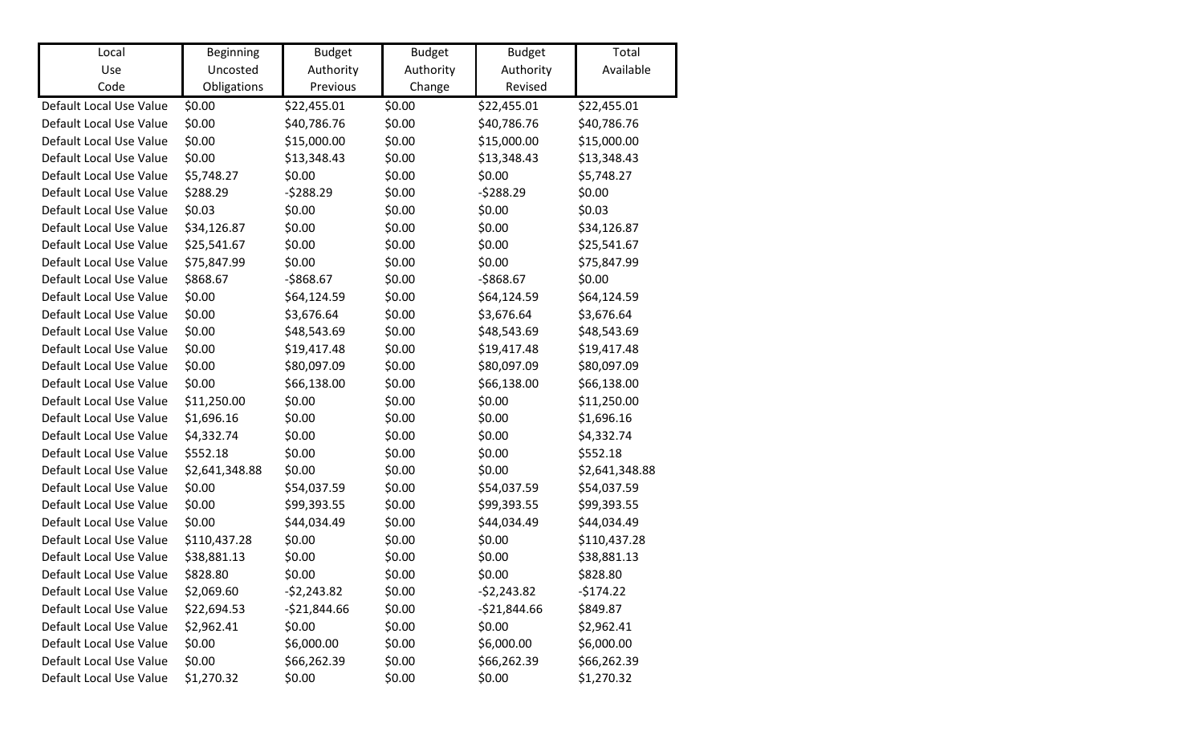| Local                   | <b>Beginning</b> | <b>Budget</b> | <b>Budget</b> | <b>Budget</b> | Total          |
|-------------------------|------------------|---------------|---------------|---------------|----------------|
| Use                     | Uncosted         | Authority     | Authority     | Authority     | Available      |
| Code                    | Obligations      | Previous      | Change        | Revised       |                |
| Default Local Use Value | \$0.00           | \$22,455.01   | \$0.00        | \$22,455.01   | \$22,455.01    |
| Default Local Use Value | \$0.00           | \$40,786.76   | \$0.00        | \$40,786.76   | \$40,786.76    |
| Default Local Use Value | \$0.00           | \$15,000.00   | \$0.00        | \$15,000.00   | \$15,000.00    |
| Default Local Use Value | \$0.00           | \$13,348.43   | \$0.00        | \$13,348.43   | \$13,348.43    |
| Default Local Use Value | \$5,748.27       | \$0.00        | \$0.00        | \$0.00        | \$5,748.27     |
| Default Local Use Value | \$288.29         | $-5288.29$    | \$0.00        | $-5288.29$    | \$0.00         |
| Default Local Use Value | \$0.03           | \$0.00        | \$0.00        | \$0.00        | \$0.03         |
| Default Local Use Value | \$34,126.87      | \$0.00        | \$0.00        | \$0.00        | \$34,126.87    |
| Default Local Use Value | \$25,541.67      | \$0.00        | \$0.00        | \$0.00        | \$25,541.67    |
| Default Local Use Value | \$75,847.99      | \$0.00        | \$0.00        | \$0.00        | \$75,847.99    |
| Default Local Use Value | \$868.67         | $-$868.67$    | \$0.00        | $-$868.67$    | \$0.00         |
| Default Local Use Value | \$0.00           | \$64,124.59   | \$0.00        | \$64,124.59   | \$64,124.59    |
| Default Local Use Value | \$0.00           | \$3,676.64    | \$0.00        | \$3,676.64    | \$3,676.64     |
| Default Local Use Value | \$0.00           | \$48,543.69   | \$0.00        | \$48,543.69   | \$48,543.69    |
| Default Local Use Value | \$0.00           | \$19,417.48   | \$0.00        | \$19,417.48   | \$19,417.48    |
| Default Local Use Value | \$0.00           | \$80,097.09   | \$0.00        | \$80,097.09   | \$80,097.09    |
| Default Local Use Value | \$0.00           | \$66,138.00   | \$0.00        | \$66,138.00   | \$66,138.00    |
| Default Local Use Value | \$11,250.00      | \$0.00        | \$0.00        | \$0.00        | \$11,250.00    |
| Default Local Use Value | \$1,696.16       | \$0.00        | \$0.00        | \$0.00        | \$1,696.16     |
| Default Local Use Value | \$4,332.74       | \$0.00        | \$0.00        | \$0.00        | \$4,332.74     |
| Default Local Use Value | \$552.18         | \$0.00        | \$0.00        | \$0.00        | \$552.18       |
| Default Local Use Value | \$2,641,348.88   | \$0.00        | \$0.00        | \$0.00        | \$2,641,348.88 |
| Default Local Use Value | \$0.00           | \$54,037.59   | \$0.00        | \$54,037.59   | \$54,037.59    |
| Default Local Use Value | \$0.00           | \$99,393.55   | \$0.00        | \$99,393.55   | \$99,393.55    |
| Default Local Use Value | \$0.00           | \$44,034.49   | \$0.00        | \$44,034.49   | \$44,034.49    |
| Default Local Use Value | \$110,437.28     | \$0.00        | \$0.00        | \$0.00        | \$110,437.28   |
| Default Local Use Value | \$38,881.13      | \$0.00        | \$0.00        | \$0.00        | \$38,881.13    |
| Default Local Use Value | \$828.80         | \$0.00        | \$0.00        | \$0.00        | \$828.80       |
| Default Local Use Value | \$2,069.60       | $-52,243.82$  | \$0.00        | $-52,243.82$  | $-5174.22$     |
| Default Local Use Value | \$22,694.53      | $-$21,844.66$ | \$0.00        | $-521,844.66$ | \$849.87       |
| Default Local Use Value | \$2,962.41       | \$0.00        | \$0.00        | \$0.00        | \$2,962.41     |
| Default Local Use Value | \$0.00           | \$6,000.00    | \$0.00        | \$6,000.00    | \$6,000.00     |
| Default Local Use Value | \$0.00           | \$66,262.39   | \$0.00        | \$66,262.39   | \$66,262.39    |
| Default Local Use Value | \$1,270.32       | \$0.00        | \$0.00        | \$0.00        | \$1,270.32     |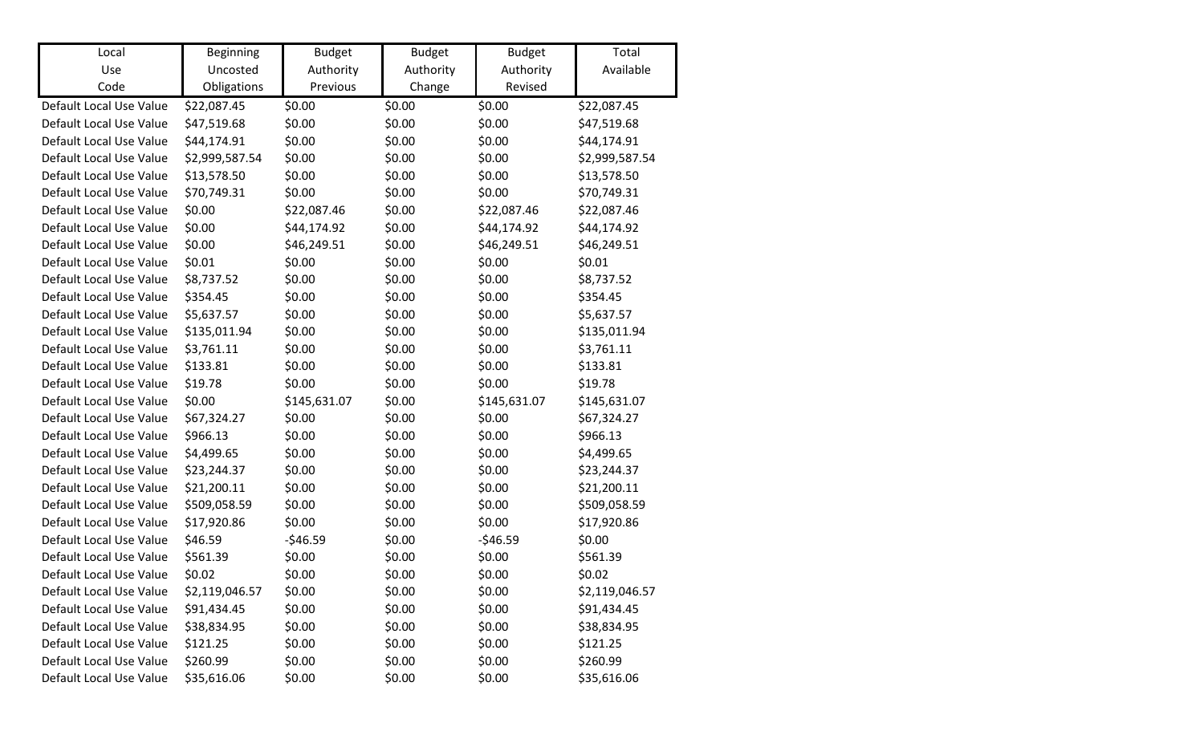| Local                   | <b>Beginning</b> | <b>Budget</b> | <b>Budget</b> | <b>Budget</b> | Total          |
|-------------------------|------------------|---------------|---------------|---------------|----------------|
| Use                     | Uncosted         | Authority     | Authority     | Authority     | Available      |
| Code                    | Obligations      | Previous      | Change        | Revised       |                |
| Default Local Use Value | \$22,087.45      | \$0.00        | \$0.00        | \$0.00        | \$22,087.45    |
| Default Local Use Value | \$47,519.68      | \$0.00        | \$0.00        | \$0.00        | \$47,519.68    |
| Default Local Use Value | \$44,174.91      | \$0.00        | \$0.00        | \$0.00        | \$44,174.91    |
| Default Local Use Value | \$2,999,587.54   | \$0.00        | \$0.00        | \$0.00        | \$2,999,587.54 |
| Default Local Use Value | \$13,578.50      | \$0.00        | \$0.00        | \$0.00        | \$13,578.50    |
| Default Local Use Value | \$70,749.31      | \$0.00        | \$0.00        | \$0.00        | \$70,749.31    |
| Default Local Use Value | \$0.00           | \$22,087.46   | \$0.00        | \$22,087.46   | \$22,087.46    |
| Default Local Use Value | \$0.00           | \$44,174.92   | \$0.00        | \$44,174.92   | \$44,174.92    |
| Default Local Use Value | \$0.00           | \$46,249.51   | \$0.00        | \$46,249.51   | \$46,249.51    |
| Default Local Use Value | \$0.01           | \$0.00        | \$0.00        | \$0.00        | \$0.01         |
| Default Local Use Value | \$8,737.52       | \$0.00        | \$0.00        | \$0.00        | \$8,737.52     |
| Default Local Use Value | \$354.45         | \$0.00        | \$0.00        | \$0.00        | \$354.45       |
| Default Local Use Value | \$5,637.57       | \$0.00        | \$0.00        | \$0.00        | \$5,637.57     |
| Default Local Use Value | \$135,011.94     | \$0.00        | \$0.00        | \$0.00        | \$135,011.94   |
| Default Local Use Value | \$3,761.11       | \$0.00        | \$0.00        | \$0.00        | \$3,761.11     |
| Default Local Use Value | \$133.81         | \$0.00        | \$0.00        | \$0.00        | \$133.81       |
| Default Local Use Value | \$19.78          | \$0.00        | \$0.00        | \$0.00        | \$19.78        |
| Default Local Use Value | \$0.00           | \$145,631.07  | \$0.00        | \$145,631.07  | \$145,631.07   |
| Default Local Use Value | \$67,324.27      | \$0.00        | \$0.00        | \$0.00        | \$67,324.27    |
| Default Local Use Value | \$966.13         | \$0.00        | \$0.00        | \$0.00        | \$966.13       |
| Default Local Use Value | \$4,499.65       | \$0.00        | \$0.00        | \$0.00        | \$4,499.65     |
| Default Local Use Value | \$23,244.37      | \$0.00        | \$0.00        | \$0.00        | \$23,244.37    |
| Default Local Use Value | \$21,200.11      | \$0.00        | \$0.00        | \$0.00        | \$21,200.11    |
| Default Local Use Value | \$509,058.59     | \$0.00        | \$0.00        | \$0.00        | \$509,058.59   |
| Default Local Use Value | \$17,920.86      | \$0.00        | \$0.00        | \$0.00        | \$17,920.86    |
| Default Local Use Value | \$46.59          | $-546.59$     | \$0.00        | $-546.59$     | \$0.00         |
| Default Local Use Value | \$561.39         | \$0.00        | \$0.00        | \$0.00        | \$561.39       |
| Default Local Use Value | \$0.02           | \$0.00        | \$0.00        | \$0.00        | \$0.02\$       |
| Default Local Use Value | \$2,119,046.57   | \$0.00        | \$0.00        | \$0.00        | \$2,119,046.57 |
| Default Local Use Value | \$91,434.45      | \$0.00        | \$0.00        | \$0.00        | \$91,434.45    |
| Default Local Use Value | \$38,834.95      | \$0.00        | \$0.00        | \$0.00        | \$38,834.95    |
| Default Local Use Value | \$121.25         | \$0.00        | \$0.00        | \$0.00        | \$121.25       |
| Default Local Use Value | \$260.99         | \$0.00        | \$0.00        | \$0.00        | \$260.99       |
| Default Local Use Value | \$35,616.06      | \$0.00        | \$0.00        | \$0.00        | \$35,616.06    |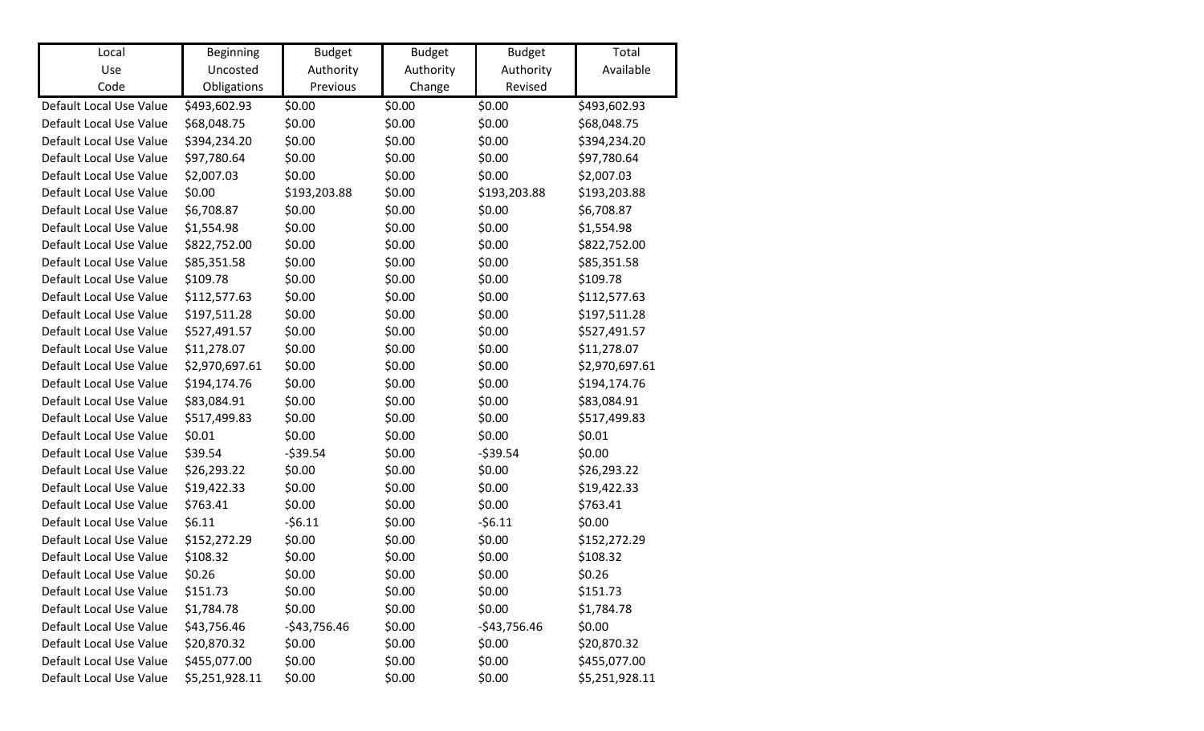| Local                   | <b>Beginning</b>        | <b>Budget</b>         | <b>Budget</b>       | <b>Budget</b>        | Total<br>Available |
|-------------------------|-------------------------|-----------------------|---------------------|----------------------|--------------------|
| Use<br>Code             | Uncosted<br>Obligations | Authority<br>Previous | Authority<br>Change | Authority<br>Revised |                    |
|                         |                         |                       |                     |                      |                    |
| Default Local Use Value | \$493,602.93            | \$0.00                | \$0.00              | \$0.00               | \$493,602.93       |
| Default Local Use Value | \$68,048.75             | \$0.00                | \$0.00              | \$0.00               | \$68,048.75        |
| Default Local Use Value | \$394,234.20            | \$0.00                | \$0.00              | \$0.00               | \$394,234.20       |
| Default Local Use Value | \$97,780.64             | \$0.00                | \$0.00              | \$0.00               | \$97,780.64        |
| Default Local Use Value | \$2,007.03              | \$0.00                | \$0.00              | \$0.00               | \$2,007.03         |
| Default Local Use Value | \$0.00                  | \$193,203.88          | \$0.00              | \$193,203.88         | \$193,203.88       |
| Default Local Use Value | \$6,708.87              | \$0.00                | \$0.00              | \$0.00               | \$6,708.87         |
| Default Local Use Value | \$1,554.98              | \$0.00                | \$0.00              | \$0.00               | \$1,554.98         |
| Default Local Use Value | \$822,752.00            | \$0.00                | \$0.00              | \$0.00               | \$822,752.00       |
| Default Local Use Value | \$85,351.58             | \$0.00                | \$0.00              | \$0.00               | \$85,351.58        |
| Default Local Use Value | \$109.78                | \$0.00                | \$0.00              | \$0.00               | \$109.78           |
| Default Local Use Value | \$112,577.63            | \$0.00                | \$0.00              | \$0.00               | \$112,577.63       |
| Default Local Use Value | \$197,511.28            | \$0.00                | \$0.00              | \$0.00               | \$197,511.28       |
| Default Local Use Value | \$527,491.57            | \$0.00                | \$0.00              | \$0.00               | \$527,491.57       |
| Default Local Use Value | \$11,278.07             | \$0.00                | \$0.00              | \$0.00               | \$11,278.07        |
| Default Local Use Value | \$2,970,697.61          | \$0.00                | \$0.00              | \$0.00               | \$2,970,697.61     |
| Default Local Use Value | \$194,174.76            | \$0.00                | \$0.00              | \$0.00               | \$194,174.76       |
| Default Local Use Value | \$83,084.91             | \$0.00                | \$0.00              | \$0.00               | \$83,084.91        |
| Default Local Use Value | \$517,499.83            | \$0.00                | \$0.00              | \$0.00               | \$517,499.83       |
| Default Local Use Value | \$0.01                  | \$0.00                | \$0.00              | \$0.00               | \$0.01             |
| Default Local Use Value | \$39.54                 | $-539.54$             | \$0.00              | $-539.54$            | \$0.00             |
| Default Local Use Value | \$26,293.22             | \$0.00                | \$0.00              | \$0.00               | \$26,293.22        |
| Default Local Use Value | \$19,422.33             | \$0.00                | \$0.00              | \$0.00               | \$19,422.33        |
| Default Local Use Value | \$763.41                | \$0.00                | \$0.00              | \$0.00               | \$763.41           |
| Default Local Use Value | \$6.11                  | $-56.11$              | \$0.00              | $-56.11$             | \$0.00             |
| Default Local Use Value | \$152,272.29            | \$0.00                | \$0.00              | \$0.00               | \$152,272.29       |
| Default Local Use Value | \$108.32                | \$0.00                | \$0.00              | \$0.00               | \$108.32           |
| Default Local Use Value | \$0.26                  | \$0.00                | \$0.00              | \$0.00               | \$0.26             |
| Default Local Use Value | \$151.73                | \$0.00                | \$0.00              | \$0.00               | \$151.73           |
| Default Local Use Value | \$1,784.78              | \$0.00                | \$0.00              | \$0.00               | \$1,784.78         |
| Default Local Use Value | \$43,756.46             | $-$43,756.46$         | \$0.00              | $-$43,756.46$        | \$0.00             |
| Default Local Use Value | \$20,870.32             | \$0.00                | \$0.00              | \$0.00               | \$20,870.32        |
| Default Local Use Value | \$455,077.00            | \$0.00                | \$0.00              | \$0.00               | \$455,077.00       |
| Default Local Use Value | \$5,251,928.11          | \$0.00                | \$0.00              | \$0.00               | \$5,251,928.11     |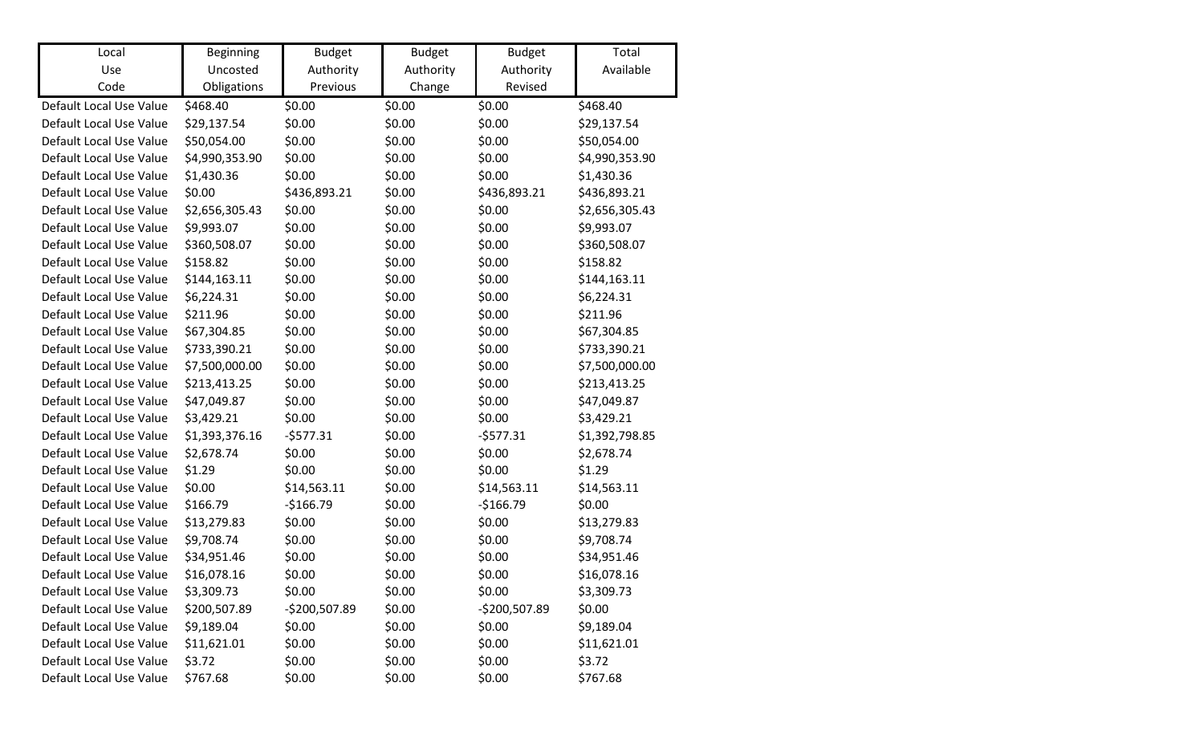| Local                   | <b>Beginning</b> | <b>Budget</b> | <b>Budget</b> | <b>Budget</b> | Total          |
|-------------------------|------------------|---------------|---------------|---------------|----------------|
| Use                     | Uncosted         | Authority     | Authority     | Authority     | Available      |
| Code                    | Obligations      | Previous      | Change        | Revised       |                |
| Default Local Use Value | \$468.40         | \$0.00        | \$0.00        | \$0.00        | \$468.40       |
| Default Local Use Value | \$29,137.54      | \$0.00        | \$0.00        | \$0.00        | \$29,137.54    |
| Default Local Use Value | \$50,054.00      | \$0.00        | \$0.00        | \$0.00        | \$50,054.00    |
| Default Local Use Value | \$4,990,353.90   | \$0.00        | \$0.00        | \$0.00        | \$4,990,353.90 |
| Default Local Use Value | \$1,430.36       | \$0.00        | \$0.00        | \$0.00        | \$1,430.36     |
| Default Local Use Value | \$0.00           | \$436,893.21  | \$0.00        | \$436,893.21  | \$436,893.21   |
| Default Local Use Value | \$2,656,305.43   | \$0.00        | \$0.00        | \$0.00        | \$2,656,305.43 |
| Default Local Use Value | \$9,993.07       | \$0.00        | \$0.00        | \$0.00        | \$9,993.07     |
| Default Local Use Value | \$360,508.07     | \$0.00        | \$0.00        | \$0.00        | \$360,508.07   |
| Default Local Use Value | \$158.82         | \$0.00        | \$0.00        | \$0.00        | \$158.82       |
| Default Local Use Value | \$144,163.11     | \$0.00        | \$0.00        | \$0.00        | \$144,163.11   |
| Default Local Use Value | \$6,224.31       | \$0.00        | \$0.00        | \$0.00        | \$6,224.31     |
| Default Local Use Value | \$211.96         | \$0.00        | \$0.00        | \$0.00        | \$211.96       |
| Default Local Use Value | \$67,304.85      | \$0.00        | \$0.00        | \$0.00        | \$67,304.85    |
| Default Local Use Value | \$733,390.21     | \$0.00        | \$0.00        | \$0.00        | \$733,390.21   |
| Default Local Use Value | \$7,500,000.00   | \$0.00        | \$0.00        | \$0.00        | \$7,500,000.00 |
| Default Local Use Value | \$213,413.25     | \$0.00        | \$0.00        | \$0.00        | \$213,413.25   |
| Default Local Use Value | \$47,049.87      | \$0.00        | \$0.00        | \$0.00        | \$47,049.87    |
| Default Local Use Value | \$3,429.21       | \$0.00        | \$0.00        | \$0.00        | \$3,429.21     |
| Default Local Use Value | \$1,393,376.16   | $-5577.31$    | \$0.00        | $-5577.31$    | \$1,392,798.85 |
| Default Local Use Value | \$2,678.74       | \$0.00        | \$0.00        | \$0.00        | \$2,678.74     |
| Default Local Use Value | \$1.29           | \$0.00        | \$0.00        | \$0.00        | \$1.29         |
| Default Local Use Value | \$0.00           | \$14,563.11   | \$0.00        | \$14,563.11   | \$14,563.11    |
| Default Local Use Value | \$166.79         | $-$166.79$    | \$0.00        | $-$166.79$    | \$0.00         |
| Default Local Use Value | \$13,279.83      | \$0.00        | \$0.00        | \$0.00        | \$13,279.83    |
| Default Local Use Value | \$9,708.74       | \$0.00        | \$0.00        | \$0.00        | \$9,708.74     |
| Default Local Use Value | \$34,951.46      | \$0.00        | \$0.00        | \$0.00        | \$34,951.46    |
| Default Local Use Value | \$16,078.16      | \$0.00        | \$0.00        | \$0.00        | \$16,078.16    |
| Default Local Use Value | \$3,309.73       | \$0.00        | \$0.00        | \$0.00        | \$3,309.73     |
| Default Local Use Value | \$200,507.89     | -\$200,507.89 | \$0.00        | -\$200,507.89 | \$0.00         |
| Default Local Use Value | \$9,189.04       | \$0.00        | \$0.00        | \$0.00        | \$9,189.04     |
| Default Local Use Value | \$11,621.01      | \$0.00        | \$0.00        | \$0.00        | \$11,621.01    |
| Default Local Use Value | \$3.72           | \$0.00        | \$0.00        | \$0.00        | \$3.72         |
| Default Local Use Value | \$767.68         | \$0.00        | \$0.00        | \$0.00        | \$767.68       |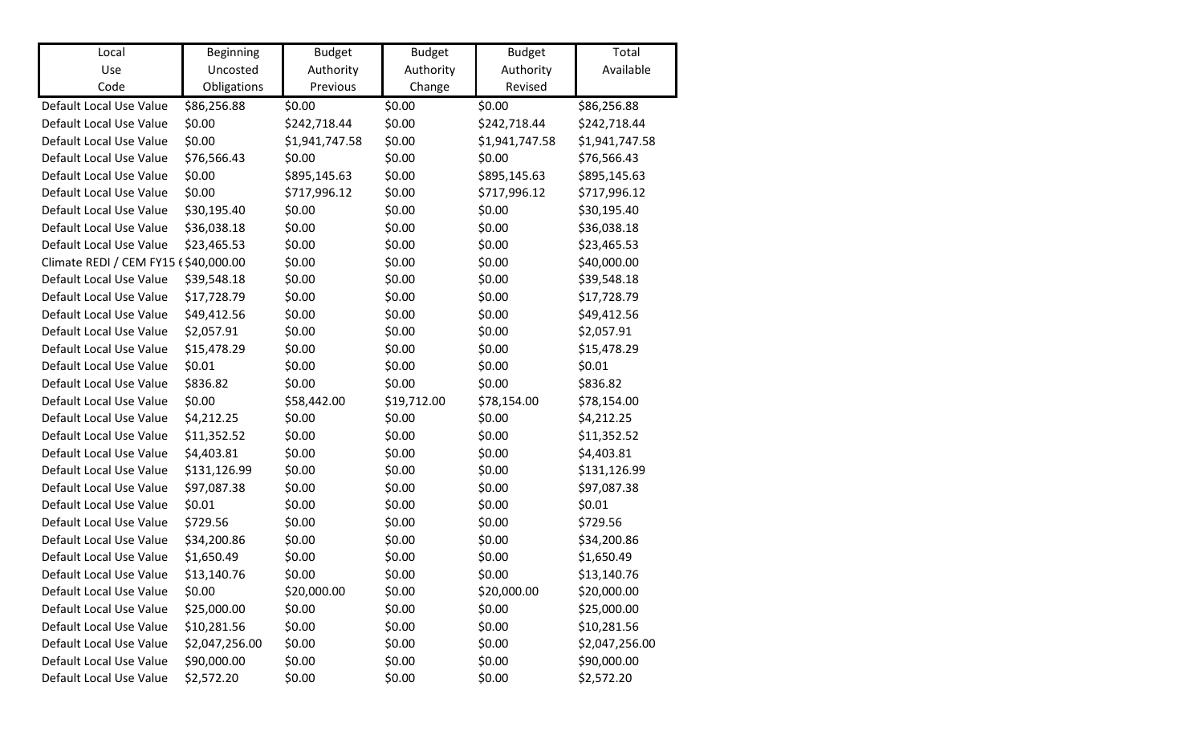| Local                                | <b>Beginning</b> | <b>Budget</b>  | <b>Budget</b> | <b>Budget</b>  | Total          |
|--------------------------------------|------------------|----------------|---------------|----------------|----------------|
| Use                                  | Uncosted         | Authority      | Authority     | Authority      | Available      |
| Code                                 | Obligations      | Previous       | Change        | Revised        |                |
| Default Local Use Value              | \$86,256.88      | \$0.00         | \$0.00        | \$0.00         | \$86,256.88    |
| Default Local Use Value              | \$0.00           | \$242,718.44   | \$0.00        | \$242,718.44   | \$242,718.44   |
| Default Local Use Value              | \$0.00           | \$1,941,747.58 | \$0.00        | \$1,941,747.58 | \$1,941,747.58 |
| Default Local Use Value              | \$76,566.43      | \$0.00         | \$0.00        | \$0.00         | \$76,566.43    |
| Default Local Use Value              | \$0.00           | \$895,145.63   | \$0.00        | \$895,145.63   | \$895,145.63   |
| Default Local Use Value              | \$0.00           | \$717,996.12   | \$0.00        | \$717,996.12   | \$717,996.12   |
| Default Local Use Value              | \$30,195.40      | \$0.00         | \$0.00        | \$0.00         | \$30,195.40    |
| Default Local Use Value              | \$36,038.18      | \$0.00         | \$0.00        | \$0.00         | \$36,038.18    |
| Default Local Use Value              | \$23,465.53      | \$0.00         | \$0.00        | \$0.00         | \$23,465.53    |
| Climate REDI / CEM FY15 £\$40,000.00 |                  | \$0.00         | \$0.00        | \$0.00         | \$40,000.00    |
| Default Local Use Value              | \$39,548.18      | \$0.00         | \$0.00        | \$0.00         | \$39,548.18    |
| Default Local Use Value              | \$17,728.79      | \$0.00         | \$0.00        | \$0.00         | \$17,728.79    |
| Default Local Use Value              | \$49,412.56      | \$0.00         | \$0.00        | \$0.00         | \$49,412.56    |
| Default Local Use Value              | \$2,057.91       | \$0.00         | \$0.00        | \$0.00         | \$2,057.91     |
| Default Local Use Value              | \$15,478.29      | \$0.00         | \$0.00        | \$0.00         | \$15,478.29    |
| Default Local Use Value              | \$0.01           | \$0.00         | \$0.00        | \$0.00         | \$0.01         |
| Default Local Use Value              | \$836.82         | \$0.00         | \$0.00        | \$0.00         | \$836.82       |
| Default Local Use Value              | \$0.00           | \$58,442.00    | \$19,712.00   | \$78,154.00    | \$78,154.00    |
| Default Local Use Value              | \$4,212.25       | \$0.00         | \$0.00        | \$0.00         | \$4,212.25     |
| Default Local Use Value              | \$11,352.52      | \$0.00         | \$0.00        | \$0.00         | \$11,352.52    |
| Default Local Use Value              | \$4,403.81       | \$0.00         | \$0.00        | \$0.00         | \$4,403.81     |
| Default Local Use Value              | \$131,126.99     | \$0.00         | \$0.00        | \$0.00         | \$131,126.99   |
| Default Local Use Value              | \$97,087.38      | \$0.00         | \$0.00        | \$0.00         | \$97,087.38    |
| Default Local Use Value              | \$0.01           | \$0.00         | \$0.00        | \$0.00         | \$0.01         |
| Default Local Use Value              | \$729.56         | \$0.00         | \$0.00        | \$0.00         | \$729.56       |
| Default Local Use Value              | \$34,200.86      | \$0.00         | \$0.00        | \$0.00         | \$34,200.86    |
| Default Local Use Value              | \$1,650.49       | \$0.00         | \$0.00        | \$0.00         | \$1,650.49     |
| Default Local Use Value              | \$13,140.76      | \$0.00         | \$0.00        | \$0.00         | \$13,140.76    |
| Default Local Use Value              | \$0.00           | \$20,000.00    | \$0.00        | \$20,000.00    | \$20,000.00    |
| Default Local Use Value              | \$25,000.00      | \$0.00         | \$0.00        | \$0.00         | \$25,000.00    |
| Default Local Use Value              | \$10,281.56      | \$0.00         | \$0.00        | \$0.00         | \$10,281.56    |
| Default Local Use Value              | \$2,047,256.00   | \$0.00         | \$0.00        | \$0.00         | \$2,047,256.00 |
| Default Local Use Value              | \$90,000.00      | \$0.00         | \$0.00        | \$0.00         | \$90,000.00    |
| Default Local Use Value              | \$2,572.20       | \$0.00         | \$0.00        | \$0.00         | \$2,572.20     |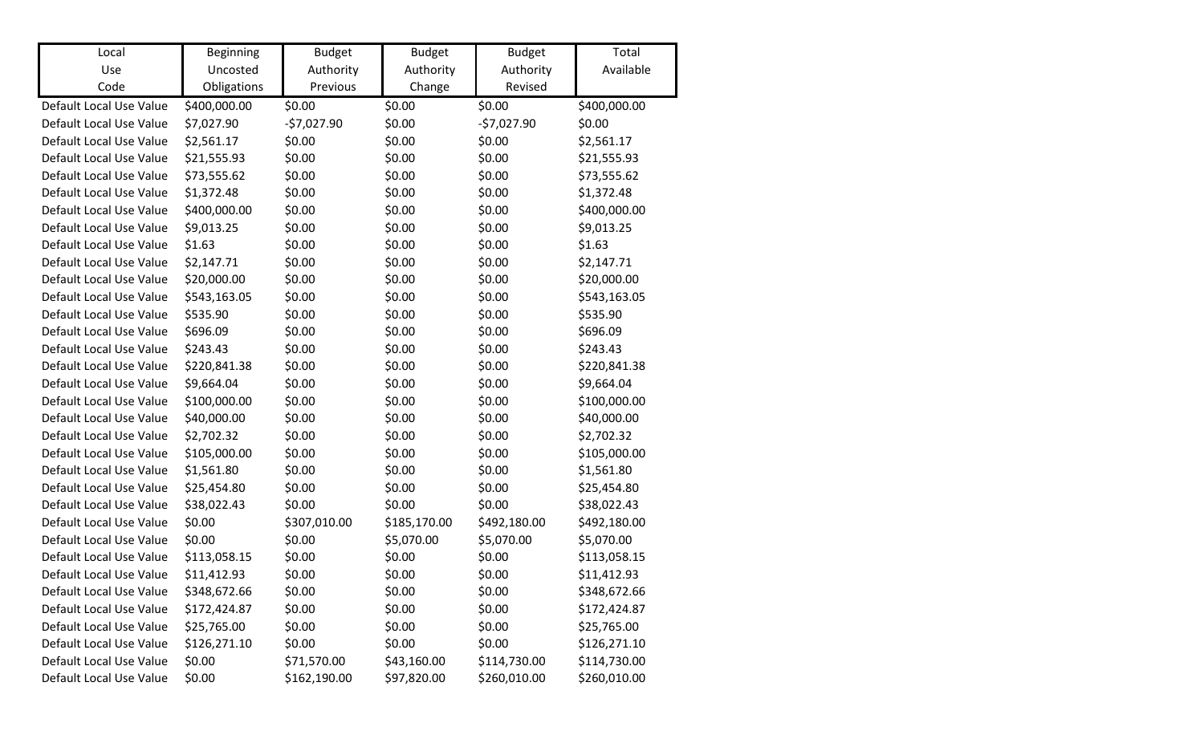| Local                   | Beginning    | <b>Budget</b> | <b>Budget</b> | <b>Budget</b> | Total        |
|-------------------------|--------------|---------------|---------------|---------------|--------------|
| Use                     | Uncosted     | Authority     | Authority     | Authority     | Available    |
| Code                    | Obligations  | Previous      | Change        | Revised       |              |
| Default Local Use Value | \$400,000.00 | \$0.00        | \$0.00        | \$0.00        | \$400,000.00 |
| Default Local Use Value | \$7,027.90   | $-57,027.90$  | \$0.00        | $-57,027.90$  | \$0.00       |
| Default Local Use Value | \$2,561.17   | \$0.00        | \$0.00        | \$0.00        | \$2,561.17   |
| Default Local Use Value | \$21,555.93  | \$0.00        | \$0.00        | \$0.00        | \$21,555.93  |
| Default Local Use Value | \$73,555.62  | \$0.00        | \$0.00        | \$0.00        | \$73,555.62  |
| Default Local Use Value | \$1,372.48   | \$0.00        | \$0.00        | \$0.00        | \$1,372.48   |
| Default Local Use Value | \$400,000.00 | \$0.00        | \$0.00        | \$0.00        | \$400,000.00 |
| Default Local Use Value | \$9,013.25   | \$0.00        | \$0.00        | \$0.00        | \$9,013.25   |
| Default Local Use Value | \$1.63       | \$0.00        | \$0.00        | \$0.00        | \$1.63       |
| Default Local Use Value | \$2,147.71   | \$0.00        | \$0.00        | \$0.00        | \$2,147.71   |
| Default Local Use Value | \$20,000.00  | \$0.00        | \$0.00        | \$0.00        | \$20,000.00  |
| Default Local Use Value | \$543,163.05 | \$0.00        | \$0.00        | \$0.00        | \$543,163.05 |
| Default Local Use Value | \$535.90     | \$0.00        | \$0.00        | \$0.00        | \$535.90     |
| Default Local Use Value | \$696.09     | \$0.00        | \$0.00        | \$0.00        | \$696.09     |
| Default Local Use Value | \$243.43     | \$0.00        | \$0.00        | \$0.00        | \$243.43     |
| Default Local Use Value | \$220,841.38 | \$0.00        | \$0.00        | \$0.00        | \$220,841.38 |
| Default Local Use Value | \$9,664.04   | \$0.00        | \$0.00        | \$0.00        | \$9,664.04   |
| Default Local Use Value | \$100,000.00 | \$0.00        | \$0.00        | \$0.00        | \$100,000.00 |
| Default Local Use Value | \$40,000.00  | \$0.00        | \$0.00        | \$0.00        | \$40,000.00  |
| Default Local Use Value | \$2,702.32   | \$0.00        | \$0.00        | \$0.00        | \$2,702.32   |
| Default Local Use Value | \$105,000.00 | \$0.00        | \$0.00        | \$0.00        | \$105,000.00 |
| Default Local Use Value | \$1,561.80   | \$0.00        | \$0.00        | \$0.00        | \$1,561.80   |
| Default Local Use Value | \$25,454.80  | \$0.00        | \$0.00        | \$0.00        | \$25,454.80  |
| Default Local Use Value | \$38,022.43  | \$0.00        | \$0.00        | \$0.00        | \$38,022.43  |
| Default Local Use Value | \$0.00       | \$307,010.00  | \$185,170.00  | \$492,180.00  | \$492,180.00 |
| Default Local Use Value | \$0.00       | \$0.00        | \$5,070.00    | \$5,070.00    | \$5,070.00   |
| Default Local Use Value | \$113,058.15 | \$0.00        | \$0.00        | \$0.00        | \$113,058.15 |
| Default Local Use Value | \$11,412.93  | \$0.00        | \$0.00        | \$0.00        | \$11,412.93  |
| Default Local Use Value | \$348,672.66 | \$0.00        | \$0.00        | \$0.00        | \$348,672.66 |
| Default Local Use Value | \$172,424.87 | \$0.00        | \$0.00        | \$0.00        | \$172,424.87 |
| Default Local Use Value | \$25,765.00  | \$0.00        | \$0.00        | \$0.00        | \$25,765.00  |
| Default Local Use Value | \$126,271.10 | \$0.00        | \$0.00        | \$0.00        | \$126,271.10 |
| Default Local Use Value | \$0.00       | \$71,570.00   | \$43,160.00   | \$114,730.00  | \$114,730.00 |
| Default Local Use Value | \$0.00       | \$162,190.00  | \$97,820.00   | \$260,010.00  | \$260,010.00 |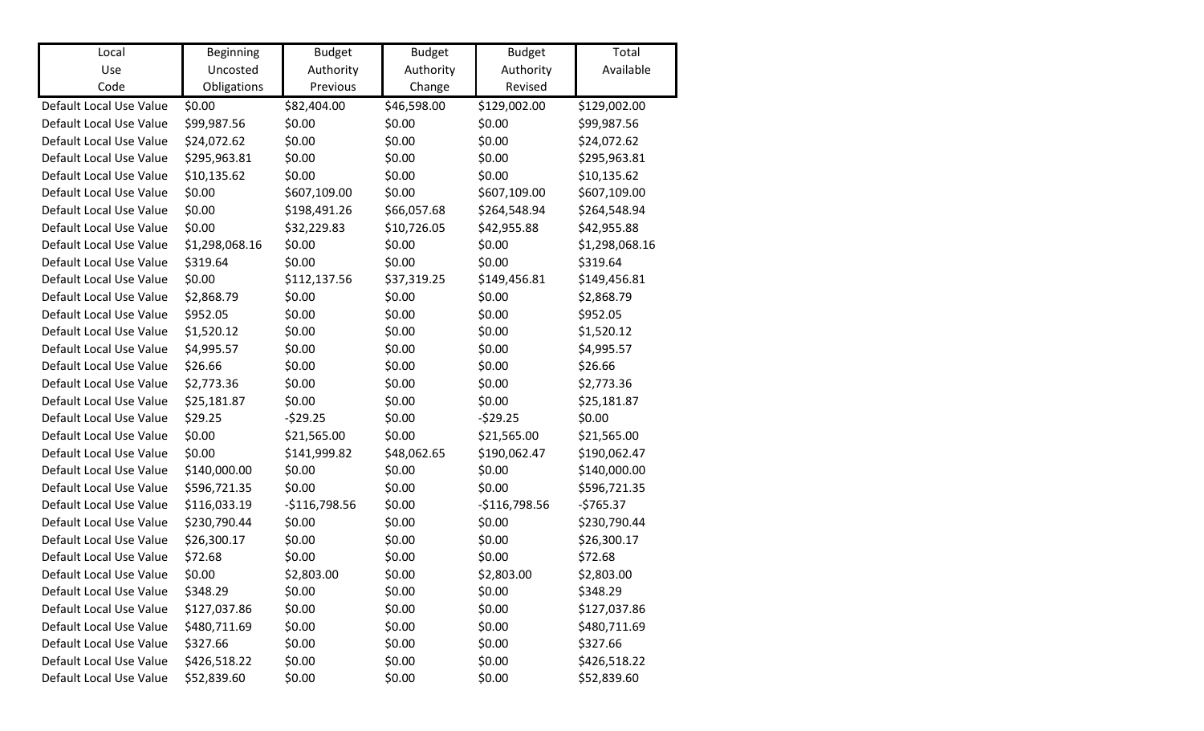| Local                   | <b>Beginning</b> | <b>Budget</b>  | <b>Budget</b> | <b>Budget</b>  | Total          |
|-------------------------|------------------|----------------|---------------|----------------|----------------|
| Use                     | Uncosted         | Authority      | Authority     | Authority      | Available      |
| Code                    | Obligations      | Previous       | Change        | Revised        |                |
| Default Local Use Value | \$0.00           | \$82,404.00    | \$46,598.00   | \$129,002.00   | \$129,002.00   |
| Default Local Use Value | \$99,987.56      | \$0.00         | \$0.00        | \$0.00         | \$99,987.56    |
| Default Local Use Value | \$24,072.62      | \$0.00         | \$0.00        | \$0.00         | \$24,072.62    |
| Default Local Use Value | \$295,963.81     | \$0.00         | \$0.00        | \$0.00         | \$295,963.81   |
| Default Local Use Value | \$10,135.62      | \$0.00         | \$0.00        | \$0.00         | \$10,135.62    |
| Default Local Use Value | \$0.00           | \$607,109.00   | \$0.00        | \$607,109.00   | \$607,109.00   |
| Default Local Use Value | \$0.00           | \$198,491.26   | \$66,057.68   | \$264,548.94   | \$264,548.94   |
| Default Local Use Value | \$0.00           | \$32,229.83    | \$10,726.05   | \$42,955.88    | \$42,955.88    |
| Default Local Use Value | \$1,298,068.16   | \$0.00         | \$0.00        | \$0.00         | \$1,298,068.16 |
| Default Local Use Value | \$319.64         | \$0.00         | \$0.00        | \$0.00         | \$319.64       |
| Default Local Use Value | \$0.00           | \$112,137.56   | \$37,319.25   | \$149,456.81   | \$149,456.81   |
| Default Local Use Value | \$2,868.79       | \$0.00         | \$0.00        | \$0.00         | \$2,868.79     |
| Default Local Use Value | \$952.05         | \$0.00         | \$0.00        | \$0.00         | \$952.05       |
| Default Local Use Value | \$1,520.12       | \$0.00         | \$0.00        | \$0.00         | \$1,520.12     |
| Default Local Use Value | \$4,995.57       | \$0.00         | \$0.00        | \$0.00         | \$4,995.57     |
| Default Local Use Value | \$26.66          | \$0.00         | \$0.00        | \$0.00         | \$26.66        |
| Default Local Use Value | \$2,773.36       | \$0.00         | \$0.00        | \$0.00         | \$2,773.36     |
| Default Local Use Value | \$25,181.87      | \$0.00         | \$0.00        | \$0.00         | \$25,181.87    |
| Default Local Use Value | \$29.25          | $-529.25$      | \$0.00        | $-529.25$      | \$0.00         |
| Default Local Use Value | \$0.00           | \$21,565.00    | \$0.00        | \$21,565.00    | \$21,565.00    |
| Default Local Use Value | \$0.00           | \$141,999.82   | \$48,062.65   | \$190,062.47   | \$190,062.47   |
| Default Local Use Value | \$140,000.00     | \$0.00         | \$0.00        | \$0.00         | \$140,000.00   |
| Default Local Use Value | \$596,721.35     | \$0.00         | \$0.00        | \$0.00         | \$596,721.35   |
| Default Local Use Value | \$116,033.19     | $-$116,798.56$ | \$0.00        | $-$116,798.56$ | $-5765.37$     |
| Default Local Use Value | \$230,790.44     | \$0.00         | \$0.00        | \$0.00         | \$230,790.44   |
| Default Local Use Value | \$26,300.17      | \$0.00         | \$0.00        | \$0.00         | \$26,300.17    |
| Default Local Use Value | \$72.68          | \$0.00         | \$0.00        | \$0.00         | \$72.68        |
| Default Local Use Value | \$0.00           | \$2,803.00     | \$0.00        | \$2,803.00     | \$2,803.00     |
| Default Local Use Value | \$348.29         | \$0.00         | \$0.00        | \$0.00         | \$348.29       |
| Default Local Use Value | \$127,037.86     | \$0.00         | \$0.00        | \$0.00         | \$127,037.86   |
| Default Local Use Value | \$480,711.69     | \$0.00         | \$0.00        | \$0.00         | \$480,711.69   |
| Default Local Use Value | \$327.66         | \$0.00         | \$0.00        | \$0.00         | \$327.66       |
| Default Local Use Value | \$426,518.22     | \$0.00         | \$0.00        | \$0.00         | \$426,518.22   |
| Default Local Use Value | \$52,839.60      | \$0.00         | \$0.00        | \$0.00         | \$52,839.60    |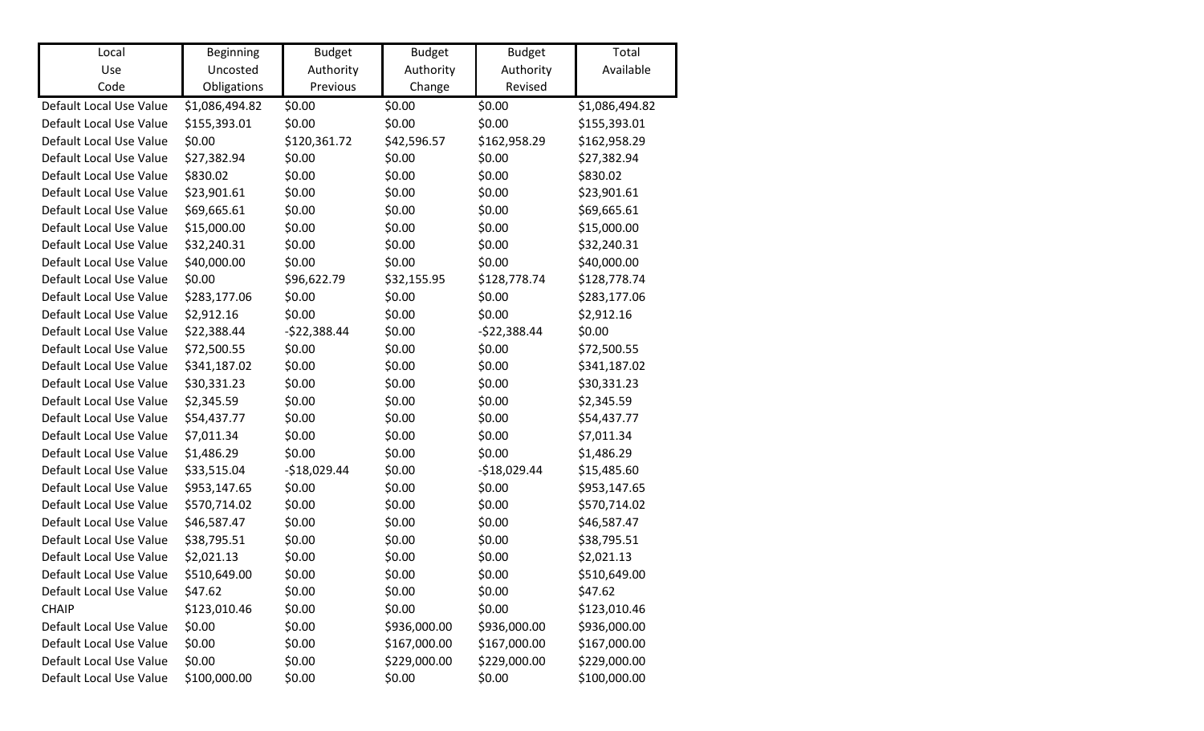| Local                   | <b>Beginning</b> | <b>Budget</b> | <b>Budget</b> | <b>Budget</b> | Total          |
|-------------------------|------------------|---------------|---------------|---------------|----------------|
| Use                     | Uncosted         | Authority     | Authority     | Authority     | Available      |
| Code                    | Obligations      | Previous      | Change        | Revised       |                |
| Default Local Use Value | \$1,086,494.82   | \$0.00        | \$0.00        | \$0.00        | \$1,086,494.82 |
| Default Local Use Value | \$155,393.01     | \$0.00        | \$0.00        | \$0.00        | \$155,393.01   |
| Default Local Use Value | \$0.00           | \$120,361.72  | \$42,596.57   | \$162,958.29  | \$162,958.29   |
| Default Local Use Value | \$27,382.94      | \$0.00        | \$0.00        | \$0.00        | \$27,382.94    |
| Default Local Use Value | \$830.02         | \$0.00        | \$0.00        | \$0.00        | \$830.02       |
| Default Local Use Value | \$23,901.61      | \$0.00        | \$0.00        | \$0.00        | \$23,901.61    |
| Default Local Use Value | \$69,665.61      | \$0.00        | \$0.00        | \$0.00        | \$69,665.61    |
| Default Local Use Value | \$15,000.00      | \$0.00        | \$0.00        | \$0.00        | \$15,000.00    |
| Default Local Use Value | \$32,240.31      | \$0.00        | \$0.00        | \$0.00        | \$32,240.31    |
| Default Local Use Value | \$40,000.00      | \$0.00        | \$0.00        | \$0.00        | \$40,000.00    |
| Default Local Use Value | \$0.00           | \$96,622.79   | \$32,155.95   | \$128,778.74  | \$128,778.74   |
| Default Local Use Value | \$283,177.06     | \$0.00        | \$0.00        | \$0.00        | \$283,177.06   |
| Default Local Use Value | \$2,912.16       | \$0.00        | \$0.00        | \$0.00        | \$2,912.16     |
| Default Local Use Value | \$22,388.44      | $-$22,388.44$ | \$0.00        | $-$22,388.44$ | \$0.00         |
| Default Local Use Value | \$72,500.55      | \$0.00        | \$0.00        | \$0.00        | \$72,500.55    |
| Default Local Use Value | \$341,187.02     | \$0.00        | \$0.00        | \$0.00        | \$341,187.02   |
| Default Local Use Value | \$30,331.23      | \$0.00        | \$0.00        | \$0.00        | \$30,331.23    |
| Default Local Use Value | \$2,345.59       | \$0.00        | \$0.00        | \$0.00        | \$2,345.59     |
| Default Local Use Value | \$54,437.77      | \$0.00        | \$0.00        | \$0.00        | \$54,437.77    |
| Default Local Use Value | \$7,011.34       | \$0.00        | \$0.00        | \$0.00        | \$7,011.34     |
| Default Local Use Value | \$1,486.29       | \$0.00        | \$0.00        | \$0.00        | \$1,486.29     |
| Default Local Use Value | \$33,515.04      | $-$18,029.44$ | \$0.00        | $-$18,029.44$ | \$15,485.60    |
| Default Local Use Value | \$953,147.65     | \$0.00        | \$0.00        | \$0.00        | \$953,147.65   |
| Default Local Use Value | \$570,714.02     | \$0.00        | \$0.00        | \$0.00        | \$570,714.02   |
| Default Local Use Value | \$46,587.47      | \$0.00        | \$0.00        | \$0.00        | \$46,587.47    |
| Default Local Use Value | \$38,795.51      | \$0.00        | \$0.00        | \$0.00        | \$38,795.51    |
| Default Local Use Value | \$2,021.13       | \$0.00        | \$0.00        | \$0.00        | \$2,021.13     |
| Default Local Use Value | \$510,649.00     | \$0.00        | \$0.00        | \$0.00        | \$510,649.00   |
| Default Local Use Value | \$47.62          | \$0.00        | \$0.00        | \$0.00        | \$47.62        |
| <b>CHAIP</b>            | \$123,010.46     | \$0.00        | \$0.00        | \$0.00        | \$123,010.46   |
| Default Local Use Value | \$0.00           | \$0.00        | \$936,000.00  | \$936,000.00  | \$936,000.00   |
| Default Local Use Value | \$0.00           | \$0.00        | \$167,000.00  | \$167,000.00  | \$167,000.00   |
| Default Local Use Value | \$0.00           | \$0.00        | \$229,000.00  | \$229,000.00  | \$229,000.00   |
| Default Local Use Value | \$100,000.00     | \$0.00        | \$0.00        | \$0.00        | \$100,000.00   |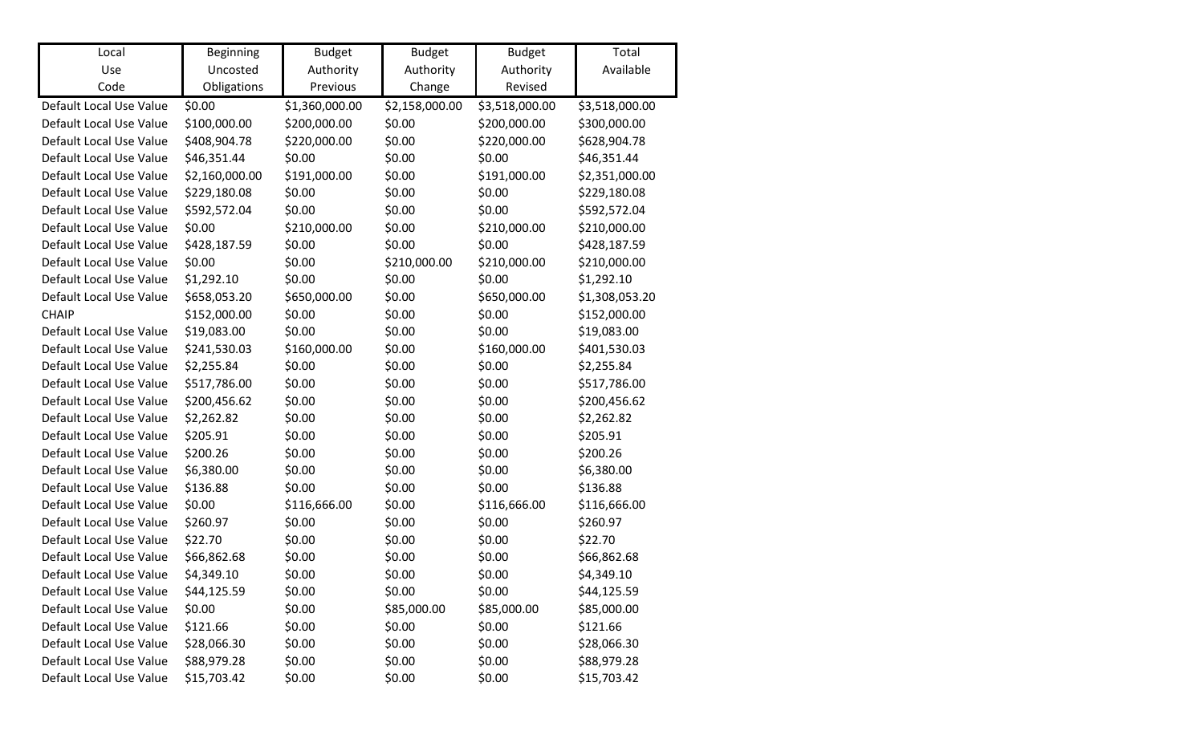| Local                   | <b>Beginning</b> | <b>Budget</b>  | <b>Budget</b>  | <b>Budget</b>  | Total          |
|-------------------------|------------------|----------------|----------------|----------------|----------------|
| Use                     | Uncosted         | Authority      | Authority      | Authority      | Available      |
| Code                    | Obligations      | Previous       | Change         | Revised        |                |
| Default Local Use Value | \$0.00           | \$1,360,000.00 | \$2,158,000.00 | \$3,518,000.00 | \$3,518,000.00 |
| Default Local Use Value | \$100,000.00     | \$200,000.00   | \$0.00         | \$200,000.00   | \$300,000.00   |
| Default Local Use Value | \$408,904.78     | \$220,000.00   | \$0.00         | \$220,000.00   | \$628,904.78   |
| Default Local Use Value | \$46,351.44      | \$0.00         | \$0.00         | \$0.00         | \$46,351.44    |
| Default Local Use Value | \$2,160,000.00   | \$191,000.00   | \$0.00         | \$191,000.00   | \$2,351,000.00 |
| Default Local Use Value | \$229,180.08     | \$0.00         | \$0.00         | \$0.00         | \$229,180.08   |
| Default Local Use Value | \$592,572.04     | \$0.00         | \$0.00         | \$0.00         | \$592,572.04   |
| Default Local Use Value | \$0.00           | \$210,000.00   | \$0.00         | \$210,000.00   | \$210,000.00   |
| Default Local Use Value | \$428,187.59     | \$0.00         | \$0.00         | \$0.00         | \$428,187.59   |
| Default Local Use Value | \$0.00           | \$0.00         | \$210,000.00   | \$210,000.00   | \$210,000.00   |
| Default Local Use Value | \$1,292.10       | \$0.00         | \$0.00         | \$0.00         | \$1,292.10     |
| Default Local Use Value | \$658,053.20     | \$650,000.00   | \$0.00         | \$650,000.00   | \$1,308,053.20 |
| <b>CHAIP</b>            | \$152,000.00     | \$0.00         | \$0.00         | \$0.00         | \$152,000.00   |
| Default Local Use Value | \$19,083.00      | \$0.00         | \$0.00         | \$0.00         | \$19,083.00    |
| Default Local Use Value | \$241,530.03     | \$160,000.00   | \$0.00         | \$160,000.00   | \$401,530.03   |
| Default Local Use Value | \$2,255.84       | \$0.00         | \$0.00         | \$0.00         | \$2,255.84     |
| Default Local Use Value | \$517,786.00     | \$0.00         | \$0.00         | \$0.00         | \$517,786.00   |
| Default Local Use Value | \$200,456.62     | \$0.00         | \$0.00         | \$0.00         | \$200,456.62   |
| Default Local Use Value | \$2,262.82       | \$0.00         | \$0.00         | \$0.00         | \$2,262.82     |
| Default Local Use Value | \$205.91         | \$0.00         | \$0.00         | \$0.00         | \$205.91       |
| Default Local Use Value | \$200.26         | \$0.00         | \$0.00         | \$0.00         | \$200.26       |
| Default Local Use Value | \$6,380.00       | \$0.00         | \$0.00         | \$0.00         | \$6,380.00     |
| Default Local Use Value | \$136.88         | \$0.00         | \$0.00         | \$0.00         | \$136.88       |
| Default Local Use Value | \$0.00           | \$116,666.00   | \$0.00         | \$116,666.00   | \$116,666.00   |
| Default Local Use Value | \$260.97         | \$0.00         | \$0.00         | \$0.00         | \$260.97       |
| Default Local Use Value | \$22.70          | \$0.00         | \$0.00         | \$0.00         | \$22.70        |
| Default Local Use Value | \$66,862.68      | \$0.00         | \$0.00         | \$0.00         | \$66,862.68    |
| Default Local Use Value | \$4,349.10       | \$0.00         | \$0.00         | \$0.00         | \$4,349.10     |
| Default Local Use Value | \$44,125.59      | \$0.00         | \$0.00         | \$0.00         | \$44,125.59    |
| Default Local Use Value | \$0.00           | \$0.00         | \$85,000.00    | \$85,000.00    | \$85,000.00    |
| Default Local Use Value | \$121.66         | \$0.00         | \$0.00         | \$0.00         | \$121.66       |
| Default Local Use Value | \$28,066.30      | \$0.00         | \$0.00         | \$0.00         | \$28,066.30    |
| Default Local Use Value | \$88,979.28      | \$0.00         | \$0.00         | \$0.00         | \$88,979.28    |
| Default Local Use Value | \$15,703.42      | \$0.00         | \$0.00         | \$0.00         | \$15,703.42    |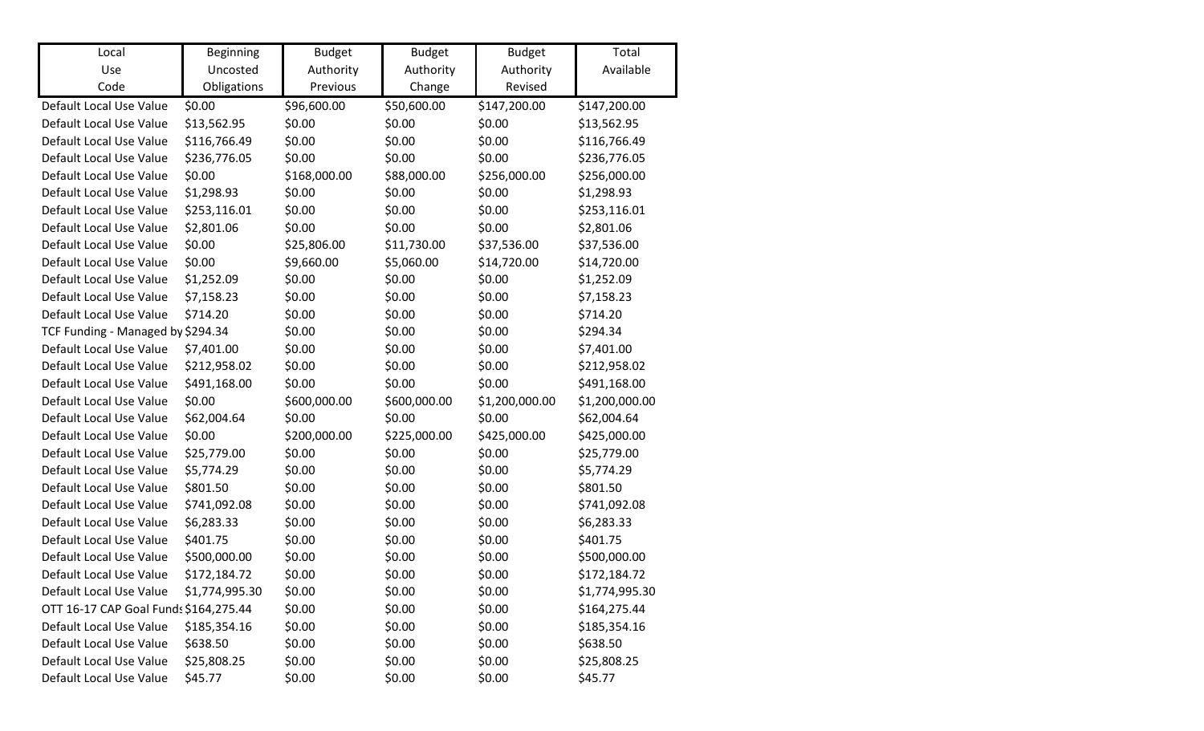| Local                                 | Beginning      | <b>Budget</b> | <b>Budget</b> | <b>Budget</b>  | Total          |
|---------------------------------------|----------------|---------------|---------------|----------------|----------------|
| Use                                   | Uncosted       | Authority     | Authority     | Authority      | Available      |
| Code                                  | Obligations    | Previous      | Change        | Revised        |                |
| Default Local Use Value               | \$0.00         | \$96,600.00   | \$50,600.00   | \$147,200.00   | \$147,200.00   |
| Default Local Use Value               | \$13,562.95    | \$0.00        | \$0.00        | \$0.00         | \$13,562.95    |
| Default Local Use Value               | \$116,766.49   | \$0.00        | \$0.00        | \$0.00         | \$116,766.49   |
| Default Local Use Value               | \$236,776.05   | \$0.00        | \$0.00        | \$0.00         | \$236,776.05   |
| Default Local Use Value               | \$0.00         | \$168,000.00  | \$88,000.00   | \$256,000.00   | \$256,000.00   |
| Default Local Use Value               | \$1,298.93     | \$0.00        | \$0.00        | \$0.00         | \$1,298.93     |
| Default Local Use Value               | \$253,116.01   | \$0.00        | \$0.00        | \$0.00         | \$253,116.01   |
| Default Local Use Value               | \$2,801.06     | \$0.00        | \$0.00        | \$0.00         | \$2,801.06     |
| Default Local Use Value               | \$0.00         | \$25,806.00   | \$11,730.00   | \$37,536.00    | \$37,536.00    |
| Default Local Use Value               | \$0.00         | \$9,660.00    | \$5,060.00    | \$14,720.00    | \$14,720.00    |
| Default Local Use Value               | \$1,252.09     | \$0.00        | \$0.00        | \$0.00         | \$1,252.09     |
| Default Local Use Value               | \$7,158.23     | \$0.00        | \$0.00        | \$0.00         | \$7,158.23     |
| Default Local Use Value               | \$714.20       | \$0.00        | \$0.00        | \$0.00         | \$714.20       |
| TCF Funding - Managed by \$294.34     |                | \$0.00        | \$0.00        | \$0.00         | \$294.34       |
| Default Local Use Value               | \$7,401.00     | \$0.00        | \$0.00        | \$0.00         | \$7,401.00     |
| Default Local Use Value               | \$212,958.02   | \$0.00        | \$0.00        | \$0.00         | \$212,958.02   |
| Default Local Use Value               | \$491,168.00   | \$0.00        | \$0.00        | \$0.00         | \$491,168.00   |
| Default Local Use Value               | \$0.00         | \$600,000.00  | \$600,000.00  | \$1,200,000.00 | \$1,200,000.00 |
| Default Local Use Value               | \$62,004.64    | \$0.00        | \$0.00        | \$0.00         | \$62,004.64    |
| Default Local Use Value               | \$0.00         | \$200,000.00  | \$225,000.00  | \$425,000.00   | \$425,000.00   |
| Default Local Use Value               | \$25,779.00    | \$0.00        | \$0.00        | \$0.00         | \$25,779.00    |
| Default Local Use Value               | \$5,774.29     | \$0.00        | \$0.00        | \$0.00         | \$5,774.29     |
| Default Local Use Value               | \$801.50       | \$0.00        | \$0.00        | \$0.00         | \$801.50       |
| Default Local Use Value               | \$741,092.08   | \$0.00        | \$0.00        | \$0.00         | \$741,092.08   |
| Default Local Use Value               | \$6,283.33     | \$0.00        | \$0.00        | \$0.00         | \$6,283.33     |
| Default Local Use Value               | \$401.75       | \$0.00        | \$0.00        | \$0.00         | \$401.75       |
| Default Local Use Value               | \$500,000.00   | \$0.00        | \$0.00        | \$0.00         | \$500,000.00   |
| Default Local Use Value               | \$172,184.72   | \$0.00        | \$0.00        | \$0.00         | \$172,184.72   |
| Default Local Use Value               | \$1,774,995.30 | \$0.00        | \$0.00        | \$0.00         | \$1,774,995.30 |
| OTT 16-17 CAP Goal Funds \$164,275.44 |                | \$0.00        | \$0.00        | \$0.00         | \$164,275.44   |
| Default Local Use Value               | \$185,354.16   | \$0.00        | \$0.00        | \$0.00         | \$185,354.16   |
| Default Local Use Value               | \$638.50       | \$0.00        | \$0.00        | \$0.00         | \$638.50       |
| Default Local Use Value               | \$25,808.25    | \$0.00        | \$0.00        | \$0.00         | \$25,808.25    |
| Default Local Use Value               | \$45.77        | \$0.00        | \$0.00        | \$0.00         | \$45.77        |